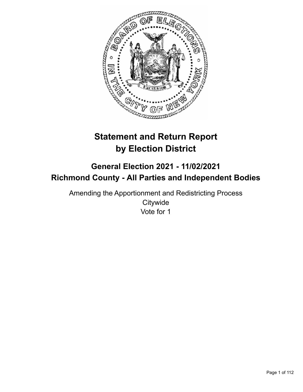

# **Statement and Return Report by Election District**

# **General Election 2021 - 11/02/2021 Richmond County - All Parties and Independent Bodies**

Amending the Apportionment and Redistricting Process **Citywide** Vote for 1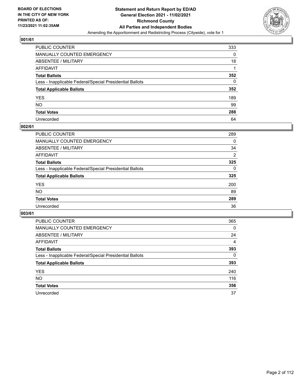

| PUBLIC COUNTER                                           | 333 |
|----------------------------------------------------------|-----|
| MANUALLY COUNTED EMERGENCY                               | 0   |
| ABSENTEE / MILITARY                                      | 18  |
| <b>AFFIDAVIT</b>                                         |     |
| <b>Total Ballots</b>                                     | 352 |
| Less - Inapplicable Federal/Special Presidential Ballots | 0   |
| <b>Total Applicable Ballots</b>                          | 352 |
| YES                                                      | 189 |
| NO.                                                      | 99  |
| <b>Total Votes</b>                                       | 288 |
| Unrecorded                                               | 64  |

# **002/61**

| <b>PUBLIC COUNTER</b>                                    | 289          |
|----------------------------------------------------------|--------------|
| <b>MANUALLY COUNTED EMERGENCY</b>                        | 0            |
| ABSENTEE / MILITARY                                      | 34           |
| AFFIDAVIT                                                | 2            |
| <b>Total Ballots</b>                                     | 325          |
| Less - Inapplicable Federal/Special Presidential Ballots | $\mathbf{0}$ |
| <b>Total Applicable Ballots</b>                          | 325          |
| <b>YES</b>                                               | 200          |
| NO                                                       | 89           |
| <b>Total Votes</b>                                       | 289          |
| Unrecorded                                               | 36           |

| <b>PUBLIC COUNTER</b>                                    | 365      |
|----------------------------------------------------------|----------|
| MANUALLY COUNTED EMERGENCY                               | 0        |
| ABSENTEE / MILITARY                                      | 24       |
| AFFIDAVIT                                                | 4        |
| <b>Total Ballots</b>                                     | 393      |
| Less - Inapplicable Federal/Special Presidential Ballots | $\Omega$ |
| <b>Total Applicable Ballots</b>                          | 393      |
| <b>YES</b>                                               | 240      |
| <b>NO</b>                                                | 116      |
| <b>Total Votes</b>                                       | 356      |
| Unrecorded                                               | 37       |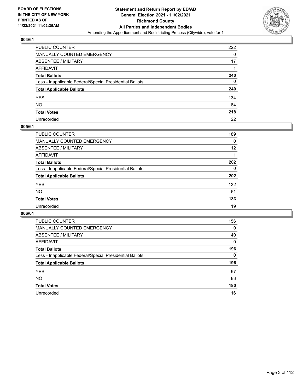

| PUBLIC COUNTER                                           | 222 |
|----------------------------------------------------------|-----|
| MANUALLY COUNTED EMERGENCY                               | 0   |
| ABSENTEE / MILITARY                                      | 17  |
| AFFIDAVIT                                                |     |
| Total Ballots                                            | 240 |
| Less - Inapplicable Federal/Special Presidential Ballots | 0   |
| <b>Total Applicable Ballots</b>                          | 240 |
| YES                                                      | 134 |
| NO.                                                      | 84  |
| <b>Total Votes</b>                                       | 218 |
| Unrecorded                                               | 22  |

# **005/61**

| <b>PUBLIC COUNTER</b>                                    | 189      |
|----------------------------------------------------------|----------|
| <b>MANUALLY COUNTED EMERGENCY</b>                        | 0        |
| ABSENTEE / MILITARY                                      | 12       |
| AFFIDAVIT                                                |          |
| <b>Total Ballots</b>                                     | 202      |
| Less - Inapplicable Federal/Special Presidential Ballots | $\Omega$ |
| <b>Total Applicable Ballots</b>                          | 202      |
| <b>YES</b>                                               | 132      |
| <b>NO</b>                                                | 51       |
| <b>Total Votes</b>                                       | 183      |
| Unrecorded                                               | 19       |

| <b>PUBLIC COUNTER</b>                                    | 156      |
|----------------------------------------------------------|----------|
| MANUALLY COUNTED EMERGENCY                               | 0        |
| ABSENTEE / MILITARY                                      | 40       |
| AFFIDAVIT                                                | $\Omega$ |
| <b>Total Ballots</b>                                     | 196      |
| Less - Inapplicable Federal/Special Presidential Ballots | $\Omega$ |
| <b>Total Applicable Ballots</b>                          | 196      |
| <b>YES</b>                                               | 97       |
| <b>NO</b>                                                | 83       |
| <b>Total Votes</b>                                       |          |
|                                                          | 180      |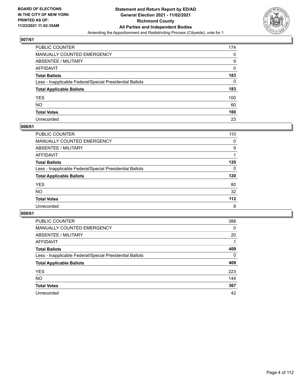

| PUBLIC COUNTER                                           | 174      |
|----------------------------------------------------------|----------|
| MANUALLY COUNTED EMERGENCY                               | 0        |
| ABSENTEE / MILITARY                                      | 9        |
| AFFIDAVIT                                                | 0        |
| <b>Total Ballots</b>                                     | 183      |
| Less - Inapplicable Federal/Special Presidential Ballots | $\Omega$ |
| <b>Total Applicable Ballots</b>                          | 183      |
| YES.                                                     | 100      |
| NO.                                                      | 60       |
| <b>Total Votes</b>                                       | 160      |
| Unrecorded                                               | 23       |

# **008/61**

| <b>PUBLIC COUNTER</b>                                    | 110      |
|----------------------------------------------------------|----------|
| <b>MANUALLY COUNTED EMERGENCY</b>                        | 0        |
| ABSENTEE / MILITARY                                      | 9        |
| AFFIDAVIT                                                |          |
| <b>Total Ballots</b>                                     | 120      |
| Less - Inapplicable Federal/Special Presidential Ballots | $\Omega$ |
| <b>Total Applicable Ballots</b>                          | 120      |
| <b>YES</b>                                               | 80       |
| <b>NO</b>                                                | 32       |
| <b>Total Votes</b>                                       | $112$    |
| Unrecorded                                               | 8        |

| <b>PUBLIC COUNTER</b>                                    | 388      |
|----------------------------------------------------------|----------|
| MANUALLY COUNTED EMERGENCY                               | 0        |
| ABSENTEE / MILITARY                                      | 20       |
| AFFIDAVIT                                                |          |
| <b>Total Ballots</b>                                     | 409      |
| Less - Inapplicable Federal/Special Presidential Ballots | $\Omega$ |
| <b>Total Applicable Ballots</b>                          | 409      |
| <b>YES</b>                                               | 223      |
| NO.                                                      | 144      |
| <b>Total Votes</b>                                       | 367      |
| Unrecorded                                               | 42       |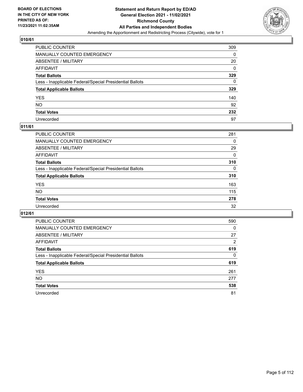

| PUBLIC COUNTER                                           | 309 |
|----------------------------------------------------------|-----|
| MANUALLY COUNTED EMERGENCY                               | 0   |
| ABSENTEE / MILITARY                                      | 20  |
| AFFIDAVIT                                                | 0   |
| <b>Total Ballots</b>                                     | 329 |
| Less - Inapplicable Federal/Special Presidential Ballots | 0   |
| <b>Total Applicable Ballots</b>                          | 329 |
| YES                                                      | 140 |
| NO.                                                      | 92  |
| <b>Total Votes</b>                                       | 232 |
| Unrecorded                                               | 97  |

# **011/61**

| PUBLIC COUNTER                                           | 281      |
|----------------------------------------------------------|----------|
| MANUALLY COUNTED EMERGENCY                               | 0        |
| ABSENTEE / MILITARY                                      | 29       |
| AFFIDAVIT                                                | $\Omega$ |
| <b>Total Ballots</b>                                     | 310      |
| Less - Inapplicable Federal/Special Presidential Ballots | $\Omega$ |
| <b>Total Applicable Ballots</b>                          | 310      |
| <b>YES</b>                                               | 163      |
| <b>NO</b>                                                | 115      |
| <b>Total Votes</b>                                       | 278      |
| Unrecorded                                               | 32       |

| <b>PUBLIC COUNTER</b>                                    | 590      |
|----------------------------------------------------------|----------|
| MANUALLY COUNTED EMERGENCY                               | $\Omega$ |
| ABSENTEE / MILITARY                                      | 27       |
| AFFIDAVIT                                                | 2        |
| <b>Total Ballots</b>                                     | 619      |
| Less - Inapplicable Federal/Special Presidential Ballots | $\Omega$ |
| <b>Total Applicable Ballots</b>                          | 619      |
| <b>YES</b>                                               | 261      |
| <b>NO</b>                                                | 277      |
| <b>Total Votes</b>                                       | 538      |
| Unrecorded                                               | 81       |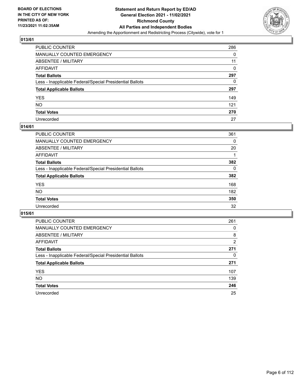

| PUBLIC COUNTER                                           | 286 |
|----------------------------------------------------------|-----|
| MANUALLY COUNTED EMERGENCY                               | 0   |
| ABSENTEE / MILITARY                                      | 11  |
| AFFIDAVIT                                                | 0   |
| Total Ballots                                            | 297 |
| Less - Inapplicable Federal/Special Presidential Ballots | 0   |
| <b>Total Applicable Ballots</b>                          | 297 |
| YES                                                      | 149 |
| NO.                                                      | 121 |
| <b>Total Votes</b>                                       | 270 |
| Unrecorded                                               | 27  |

# **014/61**

| <b>PUBLIC COUNTER</b>                                    | 361 |
|----------------------------------------------------------|-----|
| <b>MANUALLY COUNTED EMERGENCY</b>                        | 0   |
| ABSENTEE / MILITARY                                      | 20  |
| AFFIDAVIT                                                |     |
| <b>Total Ballots</b>                                     | 382 |
| Less - Inapplicable Federal/Special Presidential Ballots | 0   |
| <b>Total Applicable Ballots</b>                          | 382 |
| <b>YES</b>                                               | 168 |
| <b>NO</b>                                                | 182 |
| <b>Total Votes</b>                                       | 350 |
| Unrecorded                                               | 32  |

| <b>PUBLIC COUNTER</b>                                    | 261            |
|----------------------------------------------------------|----------------|
| MANUALLY COUNTED EMERGENCY                               | 0              |
| ABSENTEE / MILITARY                                      | 8              |
| AFFIDAVIT                                                | $\overline{2}$ |
| <b>Total Ballots</b>                                     | 271            |
| Less - Inapplicable Federal/Special Presidential Ballots | 0              |
| <b>Total Applicable Ballots</b>                          | 271            |
| <b>YES</b>                                               | 107            |
| <b>NO</b>                                                | 139            |
| <b>Total Votes</b>                                       | 246            |
| Unrecorded                                               | 25             |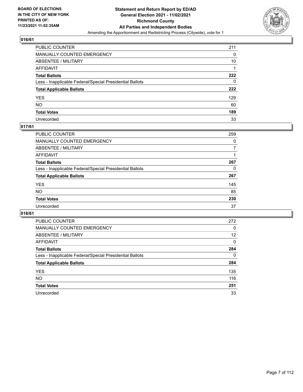

| PUBLIC COUNTER                                           | 211 |
|----------------------------------------------------------|-----|
| MANUALLY COUNTED EMERGENCY                               | 0   |
| ABSENTEE / MILITARY                                      | 10  |
| AFFIDAVIT                                                |     |
| <b>Total Ballots</b>                                     | 222 |
| Less - Inapplicable Federal/Special Presidential Ballots | 0   |
| <b>Total Applicable Ballots</b>                          | 222 |
| YES                                                      | 129 |
| NO.                                                      | 60  |
| <b>Total Votes</b>                                       | 189 |
| Unrecorded                                               | 33  |

# **017/61**

| <b>PUBLIC COUNTER</b>                                    | 259      |
|----------------------------------------------------------|----------|
| MANUALLY COUNTED EMERGENCY                               | $\Omega$ |
| ABSENTEE / MILITARY                                      | 7        |
| AFFIDAVIT                                                |          |
| <b>Total Ballots</b>                                     | 267      |
| Less - Inapplicable Federal/Special Presidential Ballots | 0        |
| <b>Total Applicable Ballots</b>                          | 267      |
| <b>YES</b>                                               | 145      |
| <b>NO</b>                                                | 85       |
| <b>Total Votes</b>                                       | 230      |
| Unrecorded                                               | 37       |

| <b>PUBLIC COUNTER</b>                                    | 272 |
|----------------------------------------------------------|-----|
| MANUALLY COUNTED EMERGENCY                               | 0   |
| ABSENTEE / MILITARY                                      | 12  |
| AFFIDAVIT                                                | 0   |
| <b>Total Ballots</b>                                     | 284 |
| Less - Inapplicable Federal/Special Presidential Ballots | 0   |
| <b>Total Applicable Ballots</b>                          | 284 |
| <b>YES</b>                                               | 135 |
| NO.                                                      | 116 |
| <b>Total Votes</b>                                       | 251 |
| Unrecorded                                               | 33  |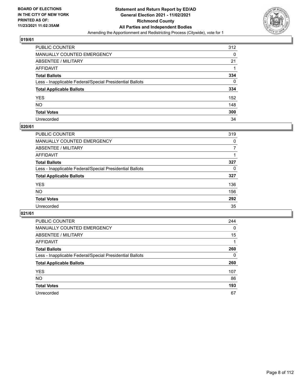

| PUBLIC COUNTER                                           | 312 |
|----------------------------------------------------------|-----|
| MANUALLY COUNTED EMERGENCY                               | 0   |
| ABSENTEE / MILITARY                                      | 21  |
| AFFIDAVIT                                                |     |
| Total Ballots                                            | 334 |
| Less - Inapplicable Federal/Special Presidential Ballots | 0   |
| <b>Total Applicable Ballots</b>                          | 334 |
| YES                                                      | 152 |
| NO.                                                      | 148 |
| <b>Total Votes</b>                                       | 300 |
| Unrecorded                                               | 34  |

# **020/61**

| <b>PUBLIC COUNTER</b>                                    | 319      |
|----------------------------------------------------------|----------|
| MANUALLY COUNTED EMERGENCY                               | 0        |
| ABSENTEE / MILITARY                                      | 7        |
| AFFIDAVIT                                                |          |
| <b>Total Ballots</b>                                     | 327      |
| Less - Inapplicable Federal/Special Presidential Ballots | $\Omega$ |
| <b>Total Applicable Ballots</b>                          | 327      |
| <b>YES</b>                                               | 136      |
| <b>NO</b>                                                | 156      |
| <b>Total Votes</b>                                       | 292      |
| Unrecorded                                               | 35       |

| <b>PUBLIC COUNTER</b>                                    | 244 |
|----------------------------------------------------------|-----|
| MANUALLY COUNTED EMERGENCY                               | 0   |
| ABSENTEE / MILITARY                                      | 15  |
| AFFIDAVIT                                                |     |
| <b>Total Ballots</b>                                     | 260 |
| Less - Inapplicable Federal/Special Presidential Ballots | 0   |
| <b>Total Applicable Ballots</b>                          | 260 |
| <b>YES</b>                                               | 107 |
| <b>NO</b>                                                | 86  |
| <b>Total Votes</b>                                       | 193 |
| Unrecorded                                               | 67  |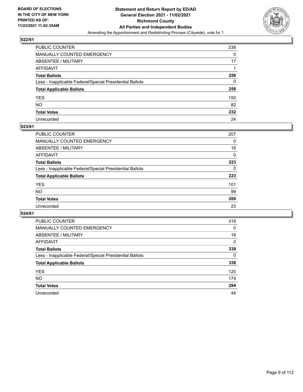

| PUBLIC COUNTER                                           | 238 |
|----------------------------------------------------------|-----|
| <b>MANUALLY COUNTED EMERGENCY</b>                        | 0   |
| <b>ABSENTEE / MILITARY</b>                               | 17  |
| AFFIDAVIT                                                |     |
| <b>Total Ballots</b>                                     | 256 |
| Less - Inapplicable Federal/Special Presidential Ballots | 0   |
| <b>Total Applicable Ballots</b>                          | 256 |
| YES                                                      | 150 |
| NO.                                                      | 82  |
| <b>Total Votes</b>                                       | 232 |
| Unrecorded                                               | 24  |

# **023/61**

| PUBLIC COUNTER                                           | 207      |
|----------------------------------------------------------|----------|
| <b>MANUALLY COUNTED EMERGENCY</b>                        | 0        |
| <b>ABSENTEE / MILITARY</b>                               | 16       |
| AFFIDAVIT                                                | 0        |
| <b>Total Ballots</b>                                     | 223      |
| Less - Inapplicable Federal/Special Presidential Ballots | $\Omega$ |
| <b>Total Applicable Ballots</b>                          | 223      |
| <b>YES</b>                                               | 101      |
| <b>NO</b>                                                | 99       |
| <b>Total Votes</b>                                       | 200      |
| Unrecorded                                               | 23       |

| <b>PUBLIC COUNTER</b>                                    | 319      |
|----------------------------------------------------------|----------|
| MANUALLY COUNTED EMERGENCY                               | 0        |
| ABSENTEE / MILITARY                                      | 19       |
| AFFIDAVIT                                                | $\Omega$ |
| <b>Total Ballots</b>                                     | 338      |
| Less - Inapplicable Federal/Special Presidential Ballots | $\Omega$ |
| <b>Total Applicable Ballots</b>                          | 338      |
| <b>YES</b>                                               | 120      |
| <b>NO</b>                                                | 174      |
| <b>Total Votes</b>                                       | 294      |
| Unrecorded                                               | 44       |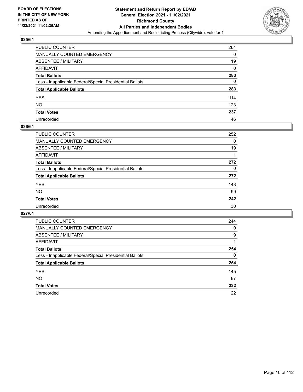

| PUBLIC COUNTER                                           | 264      |
|----------------------------------------------------------|----------|
| <b>MANUALLY COUNTED EMERGENCY</b>                        | 0        |
| <b>ABSENTEE / MILITARY</b>                               | 19       |
| AFFIDAVIT                                                | $\Omega$ |
| <b>Total Ballots</b>                                     | 283      |
| Less - Inapplicable Federal/Special Presidential Ballots | 0        |
| <b>Total Applicable Ballots</b>                          | 283      |
| YES.                                                     | 114      |
| NΟ                                                       | 123      |
| <b>Total Votes</b>                                       | 237      |
| Unrecorded                                               | 46       |

# **026/61**

| PUBLIC COUNTER                                           | 252      |
|----------------------------------------------------------|----------|
| MANUALLY COUNTED EMERGENCY                               | 0        |
| ABSENTEE / MILITARY                                      | 19       |
| AFFIDAVIT                                                |          |
| <b>Total Ballots</b>                                     | 272      |
| Less - Inapplicable Federal/Special Presidential Ballots | $\Omega$ |
| <b>Total Applicable Ballots</b>                          | 272      |
| <b>YES</b>                                               | 143      |
| <b>NO</b>                                                | 99       |
| <b>Total Votes</b>                                       | 242      |
| Unrecorded                                               | 30       |

| <b>PUBLIC COUNTER</b>                                    | 244 |
|----------------------------------------------------------|-----|
| <b>MANUALLY COUNTED EMERGENCY</b>                        | 0   |
| ABSENTEE / MILITARY                                      | 9   |
| AFFIDAVIT                                                |     |
| <b>Total Ballots</b>                                     | 254 |
| Less - Inapplicable Federal/Special Presidential Ballots | 0   |
| <b>Total Applicable Ballots</b>                          | 254 |
| <b>YES</b>                                               | 145 |
| NO.                                                      | 87  |
| <b>Total Votes</b>                                       | 232 |
| Unrecorded                                               | 22  |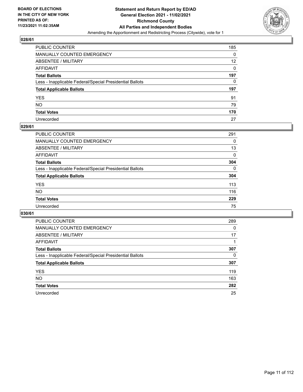

| PUBLIC COUNTER                                           | 185      |
|----------------------------------------------------------|----------|
| MANUALLY COUNTED EMERGENCY                               | 0        |
| <b>ABSENTEE / MILITARY</b>                               | 12       |
| AFFIDAVIT                                                | $\Omega$ |
| <b>Total Ballots</b>                                     | 197      |
| Less - Inapplicable Federal/Special Presidential Ballots | 0        |
| <b>Total Applicable Ballots</b>                          | 197      |
| YES                                                      | 91       |
| NO.                                                      | 79       |
| <b>Total Votes</b>                                       | 170      |
| Unrecorded                                               | 27       |

# **029/61**

| <b>PUBLIC COUNTER</b>                                    | 291      |
|----------------------------------------------------------|----------|
| <b>MANUALLY COUNTED EMERGENCY</b>                        | 0        |
| ABSENTEE / MILITARY                                      | 13       |
| AFFIDAVIT                                                | 0        |
| <b>Total Ballots</b>                                     | 304      |
| Less - Inapplicable Federal/Special Presidential Ballots | $\Omega$ |
| <b>Total Applicable Ballots</b>                          | 304      |
| <b>YES</b>                                               | 113      |
| <b>NO</b>                                                | 116      |
| <b>Total Votes</b>                                       | 229      |
| Unrecorded                                               | 75       |

| <b>PUBLIC COUNTER</b>                                    | 289      |
|----------------------------------------------------------|----------|
| MANUALLY COUNTED EMERGENCY                               | $\Omega$ |
| ABSENTEE / MILITARY                                      | 17       |
| AFFIDAVIT                                                |          |
| <b>Total Ballots</b>                                     | 307      |
| Less - Inapplicable Federal/Special Presidential Ballots | 0        |
| <b>Total Applicable Ballots</b>                          | 307      |
| <b>YES</b>                                               | 119      |
| <b>NO</b>                                                | 163      |
| <b>Total Votes</b>                                       | 282      |
| Unrecorded                                               | 25       |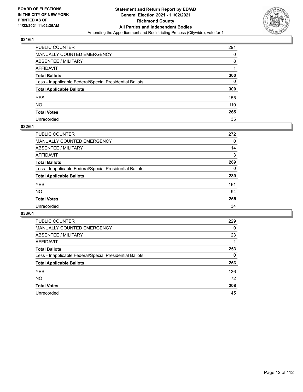

| PUBLIC COUNTER                                           | 291      |
|----------------------------------------------------------|----------|
| MANUALLY COUNTED EMERGENCY                               | 0        |
| ABSENTEE / MILITARY                                      | 8        |
| AFFIDAVIT                                                |          |
| Total Ballots                                            | 300      |
| Less - Inapplicable Federal/Special Presidential Ballots | $\Omega$ |
| <b>Total Applicable Ballots</b>                          | 300      |
| YES                                                      | 155      |
| NO.                                                      | 110      |
| <b>Total Votes</b>                                       | 265      |
| Unrecorded                                               | 35       |

# **032/61**

| <b>PUBLIC COUNTER</b>                                    | 272      |
|----------------------------------------------------------|----------|
| <b>MANUALLY COUNTED EMERGENCY</b>                        | 0        |
| ABSENTEE / MILITARY                                      | 14       |
| AFFIDAVIT                                                | 3        |
| <b>Total Ballots</b>                                     | 289      |
| Less - Inapplicable Federal/Special Presidential Ballots | $\Omega$ |
| <b>Total Applicable Ballots</b>                          | 289      |
| <b>YES</b>                                               | 161      |
| <b>NO</b>                                                | 94       |
| <b>Total Votes</b>                                       | 255      |
| Unrecorded                                               | 34       |

| <b>PUBLIC COUNTER</b>                                    | 229 |
|----------------------------------------------------------|-----|
| MANUALLY COUNTED EMERGENCY                               | 0   |
| ABSENTEE / MILITARY                                      | 23  |
| AFFIDAVIT                                                |     |
| <b>Total Ballots</b>                                     | 253 |
| Less - Inapplicable Federal/Special Presidential Ballots | 0   |
| <b>Total Applicable Ballots</b>                          | 253 |
| <b>YES</b>                                               | 136 |
| <b>NO</b>                                                | 72  |
| <b>Total Votes</b>                                       | 208 |
| Unrecorded                                               | 45  |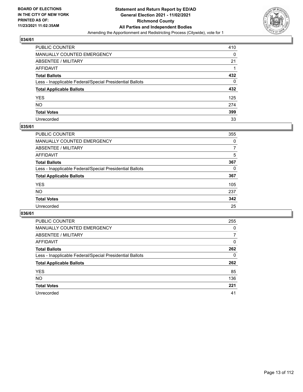

| PUBLIC COUNTER                                           | 410 |
|----------------------------------------------------------|-----|
| MANUALLY COUNTED EMERGENCY                               | 0   |
| ABSENTEE / MILITARY                                      | 21  |
| AFFIDAVIT                                                |     |
| Total Ballots                                            | 432 |
| Less - Inapplicable Federal/Special Presidential Ballots | 0   |
| <b>Total Applicable Ballots</b>                          | 432 |
| YES                                                      | 125 |
| NO.                                                      | 274 |
| <b>Total Votes</b>                                       | 399 |
| Unrecorded                                               | 33  |

# **035/61**

| <b>PUBLIC COUNTER</b>                                    | 355 |
|----------------------------------------------------------|-----|
| <b>MANUALLY COUNTED EMERGENCY</b>                        | 0   |
| ABSENTEE / MILITARY                                      | 7   |
| AFFIDAVIT                                                | 5   |
| <b>Total Ballots</b>                                     | 367 |
| Less - Inapplicable Federal/Special Presidential Ballots | 0   |
| <b>Total Applicable Ballots</b>                          | 367 |
| <b>YES</b>                                               | 105 |
| <b>NO</b>                                                | 237 |
| <b>Total Votes</b>                                       | 342 |
| Unrecorded                                               | 25  |

| <b>PUBLIC COUNTER</b>                                    | 255      |
|----------------------------------------------------------|----------|
| MANUALLY COUNTED EMERGENCY                               | 0        |
| ABSENTEE / MILITARY                                      | 7        |
| AFFIDAVIT                                                | $\Omega$ |
| <b>Total Ballots</b>                                     | 262      |
| Less - Inapplicable Federal/Special Presidential Ballots | 0        |
| <b>Total Applicable Ballots</b>                          | 262      |
| <b>YES</b>                                               | 85       |
| <b>NO</b>                                                | 136      |
| <b>Total Votes</b>                                       | 221      |
| Unrecorded                                               | 41       |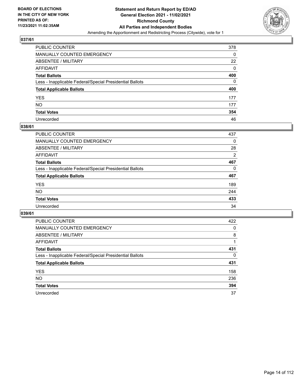

| PUBLIC COUNTER                                           | 378 |
|----------------------------------------------------------|-----|
| MANUALLY COUNTED EMERGENCY                               | 0   |
| ABSENTEE / MILITARY                                      | 22  |
| AFFIDAVIT                                                | 0   |
| Total Ballots                                            | 400 |
| Less - Inapplicable Federal/Special Presidential Ballots | 0   |
| <b>Total Applicable Ballots</b>                          | 400 |
| YES                                                      | 177 |
| NO.                                                      | 177 |
| <b>Total Votes</b>                                       | 354 |
| Unrecorded                                               | 46  |

# **038/61**

| PUBLIC COUNTER                                           | 437            |
|----------------------------------------------------------|----------------|
| <b>MANUALLY COUNTED EMERGENCY</b>                        | $\Omega$       |
| ABSENTEE / MILITARY                                      | 28             |
| AFFIDAVIT                                                | $\overline{2}$ |
| <b>Total Ballots</b>                                     | 467            |
| Less - Inapplicable Federal/Special Presidential Ballots | 0              |
| <b>Total Applicable Ballots</b>                          | 467            |
| <b>YES</b>                                               | 189            |
| <b>NO</b>                                                | 244            |
| <b>Total Votes</b>                                       | 433            |
| Unrecorded                                               | 34             |

| <b>PUBLIC COUNTER</b>                                    | 422      |
|----------------------------------------------------------|----------|
| MANUALLY COUNTED EMERGENCY                               | 0        |
| ABSENTEE / MILITARY                                      | 8        |
| AFFIDAVIT                                                |          |
| <b>Total Ballots</b>                                     | 431      |
| Less - Inapplicable Federal/Special Presidential Ballots | $\Omega$ |
| <b>Total Applicable Ballots</b>                          | 431      |
| <b>YES</b>                                               | 158      |
| <b>NO</b>                                                | 236      |
| <b>Total Votes</b>                                       | 394      |
| Unrecorded                                               | 37       |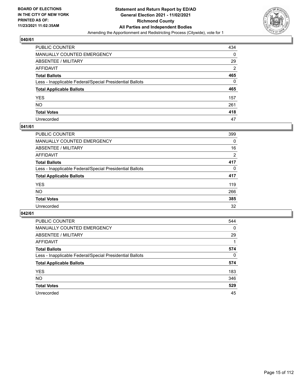

| PUBLIC COUNTER                                           | 434            |
|----------------------------------------------------------|----------------|
| MANUALLY COUNTED EMERGENCY                               | 0              |
| ABSENTEE / MILITARY                                      | 29             |
| AFFIDAVIT                                                | $\overline{2}$ |
| Total Ballots                                            | 465            |
| Less - Inapplicable Federal/Special Presidential Ballots | $\Omega$       |
| <b>Total Applicable Ballots</b>                          | 465            |
| YES                                                      | 157            |
| NO.                                                      | 261            |
| <b>Total Votes</b>                                       | 418            |
| Unrecorded                                               | 47             |

# **041/61**

| <b>PUBLIC COUNTER</b>                                    | 399      |
|----------------------------------------------------------|----------|
| <b>MANUALLY COUNTED EMERGENCY</b>                        | 0        |
| ABSENTEE / MILITARY                                      | 16       |
| AFFIDAVIT                                                | 2        |
| <b>Total Ballots</b>                                     | 417      |
| Less - Inapplicable Federal/Special Presidential Ballots | $\Omega$ |
| <b>Total Applicable Ballots</b>                          | 417      |
| <b>YES</b>                                               | 119      |
| <b>NO</b>                                                | 266      |
| <b>Total Votes</b>                                       | 385      |
| Unrecorded                                               | 32       |

| <b>PUBLIC COUNTER</b>                                    | 544          |
|----------------------------------------------------------|--------------|
| <b>MANUALLY COUNTED EMERGENCY</b>                        | $\mathbf{0}$ |
| ABSENTEE / MILITARY                                      | 29           |
| AFFIDAVIT                                                |              |
| <b>Total Ballots</b>                                     | 574          |
| Less - Inapplicable Federal/Special Presidential Ballots | $\Omega$     |
| <b>Total Applicable Ballots</b>                          | 574          |
| <b>YES</b>                                               | 183          |
| <b>NO</b>                                                | 346          |
| <b>Total Votes</b>                                       | 529          |
| Unrecorded                                               | 45           |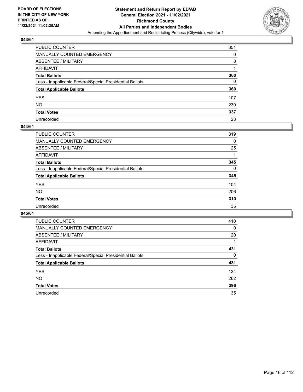

| PUBLIC COUNTER                                           | 351 |
|----------------------------------------------------------|-----|
| MANUALLY COUNTED EMERGENCY                               | 0   |
| ABSENTEE / MILITARY                                      | 8   |
| AFFIDAVIT                                                |     |
| Total Ballots                                            | 360 |
| Less - Inapplicable Federal/Special Presidential Ballots | 0   |
| <b>Total Applicable Ballots</b>                          | 360 |
| YES                                                      | 107 |
| NO.                                                      | 230 |
| <b>Total Votes</b>                                       | 337 |
| Unrecorded                                               | 23  |

#### **044/61**

| <b>PUBLIC COUNTER</b>                                    | 319      |
|----------------------------------------------------------|----------|
| <b>MANUALLY COUNTED EMERGENCY</b>                        | 0        |
| ABSENTEE / MILITARY                                      | 25       |
| AFFIDAVIT                                                |          |
| <b>Total Ballots</b>                                     | 345      |
| Less - Inapplicable Federal/Special Presidential Ballots | $\Omega$ |
| <b>Total Applicable Ballots</b>                          | 345      |
| <b>YES</b>                                               | 104      |
| <b>NO</b>                                                | 206      |
| <b>Total Votes</b>                                       | 310      |
| Unrecorded                                               | 35       |

| <b>PUBLIC COUNTER</b>                                    | 410      |
|----------------------------------------------------------|----------|
| MANUALLY COUNTED EMERGENCY                               | 0        |
| ABSENTEE / MILITARY                                      | 20       |
| AFFIDAVIT                                                |          |
| <b>Total Ballots</b>                                     | 431      |
| Less - Inapplicable Federal/Special Presidential Ballots | $\Omega$ |
| <b>Total Applicable Ballots</b>                          | 431      |
| <b>YES</b>                                               | 134      |
| <b>NO</b>                                                | 262      |
| <b>Total Votes</b>                                       | 396      |
| Unrecorded                                               | 35       |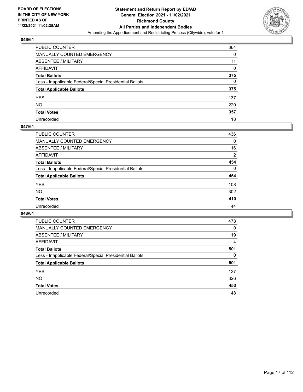

| PUBLIC COUNTER                                           | 364 |
|----------------------------------------------------------|-----|
| MANUALLY COUNTED EMERGENCY                               | 0   |
| ABSENTEE / MILITARY                                      | 11  |
| AFFIDAVIT                                                | 0   |
| Total Ballots                                            | 375 |
| Less - Inapplicable Federal/Special Presidential Ballots | 0   |
| <b>Total Applicable Ballots</b>                          | 375 |
| YES                                                      | 137 |
| NO.                                                      | 220 |
| <b>Total Votes</b>                                       | 357 |
| Unrecorded                                               | 18  |

# **047/61**

| <b>PUBLIC COUNTER</b>                                    | 436      |
|----------------------------------------------------------|----------|
| <b>MANUALLY COUNTED EMERGENCY</b>                        | 0        |
| ABSENTEE / MILITARY                                      | 16       |
| AFFIDAVIT                                                | 2        |
| <b>Total Ballots</b>                                     | 454      |
| Less - Inapplicable Federal/Special Presidential Ballots | $\Omega$ |
| <b>Total Applicable Ballots</b>                          | 454      |
| <b>YES</b>                                               | 108      |
| <b>NO</b>                                                | 302      |
| <b>Total Votes</b>                                       | 410      |
| Unrecorded                                               | 44       |

| <b>PUBLIC COUNTER</b>                                    | 478      |
|----------------------------------------------------------|----------|
| <b>MANUALLY COUNTED EMERGENCY</b>                        | 0        |
| ABSENTEE / MILITARY                                      | 19       |
| AFFIDAVIT                                                | 4        |
| <b>Total Ballots</b>                                     | 501      |
| Less - Inapplicable Federal/Special Presidential Ballots | $\Omega$ |
| <b>Total Applicable Ballots</b>                          | 501      |
| <b>YES</b>                                               | 127      |
| NO.                                                      | 326      |
|                                                          |          |
| <b>Total Votes</b>                                       | 453      |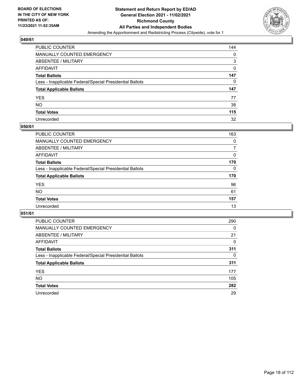

| PUBLIC COUNTER                                           | 144 |
|----------------------------------------------------------|-----|
| MANUALLY COUNTED EMERGENCY                               | 0   |
| <b>ABSENTEE / MILITARY</b>                               | 3   |
| AFFIDAVIT                                                | 0   |
| <b>Total Ballots</b>                                     | 147 |
| Less - Inapplicable Federal/Special Presidential Ballots | 0   |
| <b>Total Applicable Ballots</b>                          | 147 |
| YES.                                                     | 77  |
| NO.                                                      | 38  |
| <b>Total Votes</b>                                       | 115 |
| Unrecorded                                               | 32  |

# **050/61**

| <b>PUBLIC COUNTER</b>                                    | 163      |
|----------------------------------------------------------|----------|
| MANUALLY COUNTED EMERGENCY                               | $\Omega$ |
| ABSENTEE / MILITARY                                      | 7        |
| AFFIDAVIT                                                | 0        |
| <b>Total Ballots</b>                                     | 170      |
| Less - Inapplicable Federal/Special Presidential Ballots | $\Omega$ |
| <b>Total Applicable Ballots</b>                          | 170      |
| <b>YES</b>                                               | 96       |
| <b>NO</b>                                                | 61       |
| <b>Total Votes</b>                                       | 157      |
| Unrecorded                                               | 13       |

| <b>PUBLIC COUNTER</b>                                    | 290      |
|----------------------------------------------------------|----------|
| MANUALLY COUNTED EMERGENCY                               | $\Omega$ |
| ABSENTEE / MILITARY                                      | 21       |
| AFFIDAVIT                                                | 0        |
| <b>Total Ballots</b>                                     | 311      |
| Less - Inapplicable Federal/Special Presidential Ballots | 0        |
| <b>Total Applicable Ballots</b>                          | 311      |
| <b>YES</b>                                               | 177      |
| NO.                                                      | 105      |
| <b>Total Votes</b>                                       | 282      |
| Unrecorded                                               | 29       |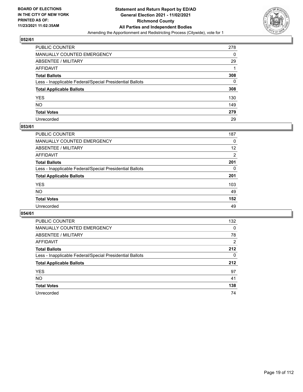

| PUBLIC COUNTER                                           | 278 |
|----------------------------------------------------------|-----|
| MANUALLY COUNTED EMERGENCY                               | 0   |
| ABSENTEE / MILITARY                                      | 29  |
| AFFIDAVIT                                                |     |
| Total Ballots                                            | 308 |
| Less - Inapplicable Federal/Special Presidential Ballots | 0   |
| <b>Total Applicable Ballots</b>                          | 308 |
| YES                                                      | 130 |
| NO.                                                      | 149 |
| <b>Total Votes</b>                                       | 279 |
| Unrecorded                                               | 29  |

# **053/61**

| <b>PUBLIC COUNTER</b>                                    | 187      |
|----------------------------------------------------------|----------|
| <b>MANUALLY COUNTED EMERGENCY</b>                        | 0        |
| ABSENTEE / MILITARY                                      | 12       |
| AFFIDAVIT                                                | 2        |
| <b>Total Ballots</b>                                     | 201      |
| Less - Inapplicable Federal/Special Presidential Ballots | $\Omega$ |
| <b>Total Applicable Ballots</b>                          | 201      |
| <b>YES</b>                                               | 103      |
| <b>NO</b>                                                | 49       |
| <b>Total Votes</b>                                       | 152      |
| Unrecorded                                               | 49       |

| <b>PUBLIC COUNTER</b>                                    | 132            |
|----------------------------------------------------------|----------------|
| <b>MANUALLY COUNTED EMERGENCY</b>                        | $\Omega$       |
| ABSENTEE / MILITARY                                      | 78             |
| AFFIDAVIT                                                | $\overline{2}$ |
| <b>Total Ballots</b>                                     | 212            |
| Less - Inapplicable Federal/Special Presidential Ballots | 0              |
| <b>Total Applicable Ballots</b>                          | 212            |
| <b>YES</b>                                               | 97             |
| <b>NO</b>                                                | 41             |
| <b>Total Votes</b>                                       | 138            |
| Unrecorded                                               | 74             |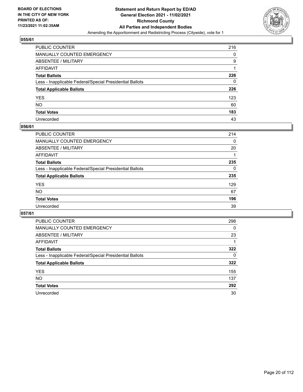

| PUBLIC COUNTER                                           | 216 |
|----------------------------------------------------------|-----|
| MANUALLY COUNTED EMERGENCY                               | 0   |
| ABSENTEE / MILITARY                                      | 9   |
| AFFIDAVIT                                                |     |
| Total Ballots                                            | 226 |
| Less - Inapplicable Federal/Special Presidential Ballots | 0   |
| <b>Total Applicable Ballots</b>                          | 226 |
| YES                                                      | 123 |
| NO.                                                      | 60  |
| <b>Total Votes</b>                                       | 183 |
| Unrecorded                                               | 43  |

# **056/61**

| PUBLIC COUNTER                                           | 214      |
|----------------------------------------------------------|----------|
| <b>MANUALLY COUNTED EMERGENCY</b>                        | $\Omega$ |
| ABSENTEE / MILITARY                                      | 20       |
| AFFIDAVIT                                                |          |
| <b>Total Ballots</b>                                     | 235      |
| Less - Inapplicable Federal/Special Presidential Ballots | $\Omega$ |
| <b>Total Applicable Ballots</b>                          | 235      |
| <b>YES</b>                                               | 129      |
| <b>NO</b>                                                | 67       |
| <b>Total Votes</b>                                       | 196      |
| Unrecorded                                               | 39       |

| <b>PUBLIC COUNTER</b>                                    | 298      |
|----------------------------------------------------------|----------|
| MANUALLY COUNTED EMERGENCY                               | $\Omega$ |
| ABSENTEE / MILITARY                                      | 23       |
| AFFIDAVIT                                                |          |
| <b>Total Ballots</b>                                     | 322      |
| Less - Inapplicable Federal/Special Presidential Ballots | $\Omega$ |
| <b>Total Applicable Ballots</b>                          | 322      |
| <b>YES</b>                                               | 155      |
| NO.                                                      | 137      |
| <b>Total Votes</b>                                       | 292      |
| Unrecorded                                               | 30       |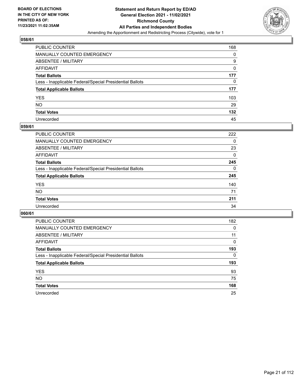

| PUBLIC COUNTER                                           | 168 |
|----------------------------------------------------------|-----|
| MANUALLY COUNTED EMERGENCY                               | 0   |
| ABSENTEE / MILITARY                                      | 9   |
| AFFIDAVIT                                                | 0   |
| Total Ballots                                            | 177 |
| Less - Inapplicable Federal/Special Presidential Ballots | 0   |
| <b>Total Applicable Ballots</b>                          | 177 |
| YES                                                      | 103 |
| NO.                                                      | 29  |
| <b>Total Votes</b>                                       | 132 |
| Unrecorded                                               | 45  |

# **059/61**

| <b>PUBLIC COUNTER</b>                                    | 222      |
|----------------------------------------------------------|----------|
| MANUALLY COUNTED EMERGENCY                               | 0        |
| ABSENTEE / MILITARY                                      | 23       |
| AFFIDAVIT                                                | 0        |
| <b>Total Ballots</b>                                     | 245      |
| Less - Inapplicable Federal/Special Presidential Ballots | $\Omega$ |
| <b>Total Applicable Ballots</b>                          | 245      |
| <b>YES</b>                                               | 140      |
| <b>NO</b>                                                | 71       |
| <b>Total Votes</b>                                       | 211      |
| Unrecorded                                               | 34       |

| <b>PUBLIC COUNTER</b>                                    | 182      |
|----------------------------------------------------------|----------|
| <b>MANUALLY COUNTED EMERGENCY</b>                        | 0        |
| ABSENTEE / MILITARY                                      | 11       |
| AFFIDAVIT                                                | $\Omega$ |
| <b>Total Ballots</b>                                     | 193      |
| Less - Inapplicable Federal/Special Presidential Ballots | $\Omega$ |
| <b>Total Applicable Ballots</b>                          | 193      |
| <b>YES</b>                                               | 93       |
| <b>NO</b>                                                | 75       |
| <b>Total Votes</b>                                       | 168      |
| Unrecorded                                               | 25       |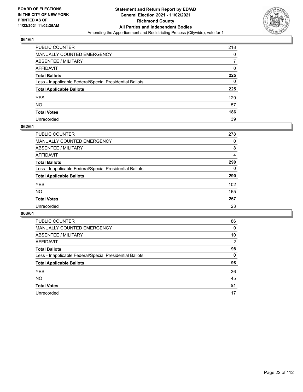

| PUBLIC COUNTER                                           | 218 |
|----------------------------------------------------------|-----|
| MANUALLY COUNTED EMERGENCY                               | 0   |
| ABSENTEE / MILITARY                                      | 7   |
| AFFIDAVIT                                                | 0   |
| Total Ballots                                            | 225 |
| Less - Inapplicable Federal/Special Presidential Ballots | 0   |
| <b>Total Applicable Ballots</b>                          | 225 |
| YES                                                      | 129 |
| NO.                                                      | 57  |
| <b>Total Votes</b>                                       | 186 |
| Unrecorded                                               | 39  |

# **062/61**

| PUBLIC COUNTER                                           | 278      |
|----------------------------------------------------------|----------|
| MANUALLY COUNTED EMERGENCY                               | 0        |
| ABSENTEE / MILITARY                                      | 8        |
| AFFIDAVIT                                                | 4        |
| <b>Total Ballots</b>                                     | 290      |
| Less - Inapplicable Federal/Special Presidential Ballots | $\Omega$ |
| <b>Total Applicable Ballots</b>                          | 290      |
| <b>YES</b>                                               | 102      |
| <b>NO</b>                                                | 165      |
| <b>Total Votes</b>                                       | 267      |
| Unrecorded                                               | 23       |

| <b>PUBLIC COUNTER</b>                                    | 86       |
|----------------------------------------------------------|----------|
| <b>MANUALLY COUNTED EMERGENCY</b>                        | 0        |
| ABSENTEE / MILITARY                                      | 10       |
| AFFIDAVIT                                                | 2        |
| <b>Total Ballots</b>                                     | 98       |
| Less - Inapplicable Federal/Special Presidential Ballots | $\Omega$ |
| <b>Total Applicable Ballots</b>                          | 98       |
| <b>YES</b>                                               | 36       |
| <b>NO</b>                                                | 45       |
| <b>Total Votes</b>                                       | 81       |
| Unrecorded                                               | 17       |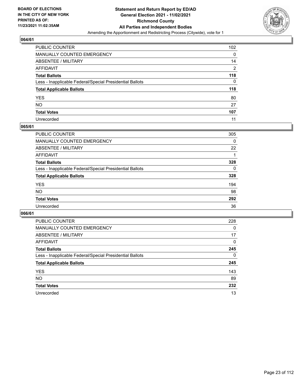

| PUBLIC COUNTER                                           | 102 |
|----------------------------------------------------------|-----|
| MANUALLY COUNTED EMERGENCY                               | 0   |
| ABSENTEE / MILITARY                                      | 14  |
| AFFIDAVIT                                                | 2   |
| Total Ballots                                            | 118 |
| Less - Inapplicable Federal/Special Presidential Ballots | 0   |
| <b>Total Applicable Ballots</b>                          | 118 |
| YES                                                      | 80  |
| NO.                                                      | 27  |
| <b>Total Votes</b>                                       | 107 |
| Unrecorded                                               | 11  |

# **065/61**

| <b>PUBLIC COUNTER</b>                                    | 305      |
|----------------------------------------------------------|----------|
| <b>MANUALLY COUNTED EMERGENCY</b>                        | 0        |
| ABSENTEE / MILITARY                                      | 22       |
| AFFIDAVIT                                                |          |
| <b>Total Ballots</b>                                     | 328      |
| Less - Inapplicable Federal/Special Presidential Ballots | $\Omega$ |
| <b>Total Applicable Ballots</b>                          | 328      |
| <b>YES</b>                                               | 194      |
| NO                                                       | 98       |
| <b>Total Votes</b>                                       | 292      |
| Unrecorded                                               | 36       |

| <b>PUBLIC COUNTER</b>                                    | 228      |
|----------------------------------------------------------|----------|
| <b>MANUALLY COUNTED EMERGENCY</b>                        | $\Omega$ |
| ABSENTEE / MILITARY                                      | 17       |
| AFFIDAVIT                                                | $\Omega$ |
| <b>Total Ballots</b>                                     | 245      |
| Less - Inapplicable Federal/Special Presidential Ballots | $\Omega$ |
| <b>Total Applicable Ballots</b>                          | 245      |
| <b>YES</b>                                               | 143      |
| NO.                                                      | 89       |
| <b>Total Votes</b>                                       | 232      |
| Unrecorded                                               | 13       |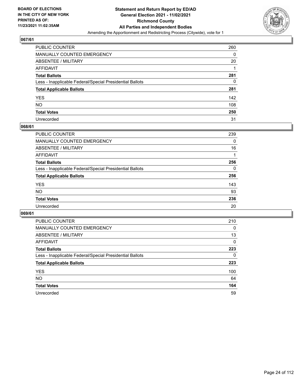

| PUBLIC COUNTER                                           | 260 |
|----------------------------------------------------------|-----|
| MANUALLY COUNTED EMERGENCY                               | 0   |
| ABSENTEE / MILITARY                                      | 20  |
| AFFIDAVIT                                                |     |
| Total Ballots                                            | 281 |
| Less - Inapplicable Federal/Special Presidential Ballots | 0   |
| <b>Total Applicable Ballots</b>                          | 281 |
| YES                                                      | 142 |
| NO.                                                      | 108 |
| <b>Total Votes</b>                                       | 250 |
| Unrecorded                                               | 31  |

# **068/61**

| <b>PUBLIC COUNTER</b>                                    | 239      |
|----------------------------------------------------------|----------|
| <b>MANUALLY COUNTED EMERGENCY</b>                        | 0        |
| ABSENTEE / MILITARY                                      | 16       |
| AFFIDAVIT                                                |          |
| <b>Total Ballots</b>                                     | 256      |
| Less - Inapplicable Federal/Special Presidential Ballots | $\Omega$ |
| <b>Total Applicable Ballots</b>                          | 256      |
| <b>YES</b>                                               | 143      |
| <b>NO</b>                                                | 93       |
| <b>Total Votes</b>                                       | 236      |
| Unrecorded                                               | 20       |

| <b>PUBLIC COUNTER</b>                                    | 210      |
|----------------------------------------------------------|----------|
| <b>MANUALLY COUNTED EMERGENCY</b>                        | 0        |
| ABSENTEE / MILITARY                                      | 13       |
| AFFIDAVIT                                                | $\Omega$ |
| <b>Total Ballots</b>                                     | 223      |
| Less - Inapplicable Federal/Special Presidential Ballots | $\Omega$ |
| <b>Total Applicable Ballots</b>                          | 223      |
| <b>YES</b>                                               | 100      |
| NO.                                                      | 64       |
| <b>Total Votes</b>                                       | 164      |
| Unrecorded                                               | 59       |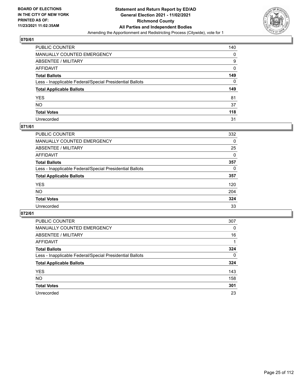

| PUBLIC COUNTER                                           | 140      |
|----------------------------------------------------------|----------|
| MANUALLY COUNTED EMERGENCY                               | 0        |
| ABSENTEE / MILITARY                                      | 9        |
| AFFIDAVIT                                                | 0        |
| Total Ballots                                            | 149      |
| Less - Inapplicable Federal/Special Presidential Ballots | $\Omega$ |
| <b>Total Applicable Ballots</b>                          | 149      |
| YES                                                      | 81       |
| NO.                                                      | 37       |
| <b>Total Votes</b>                                       | 118      |
| Unrecorded                                               | 31       |

# **071/61**

| <b>PUBLIC COUNTER</b>                                    | 332      |
|----------------------------------------------------------|----------|
| <b>MANUALLY COUNTED EMERGENCY</b>                        | 0        |
| ABSENTEE / MILITARY                                      | 25       |
| AFFIDAVIT                                                | $\Omega$ |
| <b>Total Ballots</b>                                     | 357      |
| Less - Inapplicable Federal/Special Presidential Ballots | $\Omega$ |
| <b>Total Applicable Ballots</b>                          | 357      |
| <b>YES</b>                                               | 120      |
| <b>NO</b>                                                | 204      |
| <b>Total Votes</b>                                       | 324      |
| Unrecorded                                               | 33       |

| <b>PUBLIC COUNTER</b>                                    | 307      |
|----------------------------------------------------------|----------|
| MANUALLY COUNTED EMERGENCY                               | $\Omega$ |
| ABSENTEE / MILITARY                                      | 16       |
| AFFIDAVIT                                                |          |
| <b>Total Ballots</b>                                     | 324      |
| Less - Inapplicable Federal/Special Presidential Ballots | 0        |
| <b>Total Applicable Ballots</b>                          | 324      |
| <b>YES</b>                                               | 143      |
| NO.                                                      | 158      |
| <b>Total Votes</b>                                       | 301      |
| Unrecorded                                               | 23       |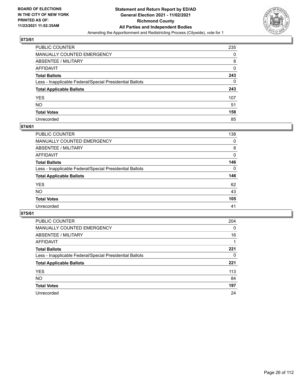

| PUBLIC COUNTER                                           | 235 |
|----------------------------------------------------------|-----|
| MANUALLY COUNTED EMERGENCY                               | 0   |
| ABSENTEE / MILITARY                                      | 8   |
| AFFIDAVIT                                                | 0   |
| Total Ballots                                            | 243 |
| Less - Inapplicable Federal/Special Presidential Ballots | 0   |
| <b>Total Applicable Ballots</b>                          | 243 |
| YES                                                      | 107 |
| NO.                                                      | 51  |
| <b>Total Votes</b>                                       | 158 |
| Unrecorded                                               | 85  |

# **074/61**

| PUBLIC COUNTER                                           | 138      |
|----------------------------------------------------------|----------|
| MANUALLY COUNTED EMERGENCY                               | 0        |
| ABSENTEE / MILITARY                                      | 8        |
| AFFIDAVIT                                                | $\Omega$ |
| <b>Total Ballots</b>                                     | 146      |
| Less - Inapplicable Federal/Special Presidential Ballots | $\Omega$ |
| <b>Total Applicable Ballots</b>                          | 146      |
| <b>YES</b>                                               | 62       |
| <b>NO</b>                                                | 43       |
| <b>Total Votes</b>                                       | 105      |
| Unrecorded                                               | 41       |

| <b>PUBLIC COUNTER</b>                                    | 204      |
|----------------------------------------------------------|----------|
| <b>MANUALLY COUNTED EMERGENCY</b>                        | $\Omega$ |
| ABSENTEE / MILITARY                                      | 16       |
| AFFIDAVIT                                                |          |
| <b>Total Ballots</b>                                     | 221      |
| Less - Inapplicable Federal/Special Presidential Ballots | 0        |
| <b>Total Applicable Ballots</b>                          | 221      |
| <b>YES</b>                                               | 113      |
| <b>NO</b>                                                | 84       |
| <b>Total Votes</b>                                       | 197      |
| Unrecorded                                               | 24       |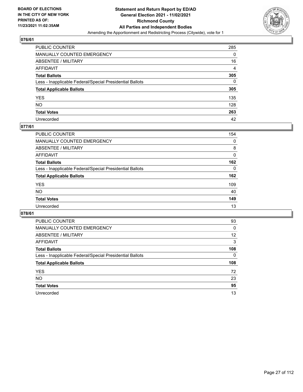

| PUBLIC COUNTER                                           | 285      |
|----------------------------------------------------------|----------|
| MANUALLY COUNTED EMERGENCY                               | 0        |
| ABSENTEE / MILITARY                                      | 16       |
| AFFIDAVIT                                                | 4        |
| Total Ballots                                            | 305      |
| Less - Inapplicable Federal/Special Presidential Ballots | $\Omega$ |
| <b>Total Applicable Ballots</b>                          | 305      |
| YES                                                      | 135      |
| NO.                                                      | 128      |
| <b>Total Votes</b>                                       | 263      |
| Unrecorded                                               | 42       |

# **077/61**

| <b>PUBLIC COUNTER</b>                                    | 154      |
|----------------------------------------------------------|----------|
| <b>MANUALLY COUNTED EMERGENCY</b>                        | 0        |
| ABSENTEE / MILITARY                                      | 8        |
| AFFIDAVIT                                                | $\Omega$ |
| <b>Total Ballots</b>                                     | 162      |
| Less - Inapplicable Federal/Special Presidential Ballots | $\Omega$ |
| <b>Total Applicable Ballots</b>                          | 162      |
| <b>YES</b>                                               | 109      |
| <b>NO</b>                                                | 40       |
| <b>Total Votes</b>                                       | 149      |
| Unrecorded                                               | 13       |

| <b>PUBLIC COUNTER</b>                                    | 93              |
|----------------------------------------------------------|-----------------|
| MANUALLY COUNTED EMERGENCY                               | $\Omega$        |
| ABSENTEE / MILITARY                                      | 12              |
| AFFIDAVIT                                                | 3               |
| <b>Total Ballots</b>                                     | 108             |
| Less - Inapplicable Federal/Special Presidential Ballots | 0               |
|                                                          |                 |
| <b>Total Applicable Ballots</b>                          |                 |
| <b>YES</b>                                               |                 |
| NO.                                                      | 108<br>72<br>23 |
| <b>Total Votes</b>                                       | 95              |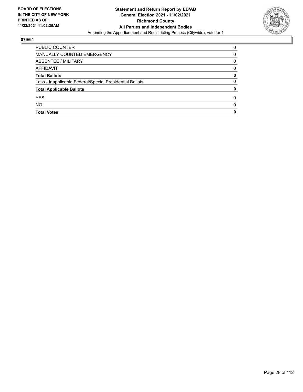

| <b>PUBLIC COUNTER</b>                                    | 0            |
|----------------------------------------------------------|--------------|
| MANUALLY COUNTED EMERGENCY                               | 0            |
| ABSENTEE / MILITARY                                      | 0            |
| AFFIDAVIT                                                | 0            |
| <b>Total Ballots</b>                                     | 0            |
| Less - Inapplicable Federal/Special Presidential Ballots | 0            |
| <b>Total Applicable Ballots</b>                          | 0            |
| <b>YES</b>                                               | 0            |
| <b>NO</b>                                                | <sup>0</sup> |
| <b>Total Votes</b>                                       | 0            |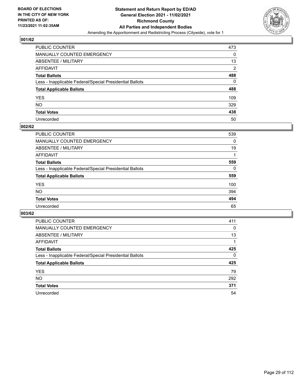

| PUBLIC COUNTER                                           | 473            |
|----------------------------------------------------------|----------------|
| MANUALLY COUNTED EMERGENCY                               | 0              |
| ABSENTEE / MILITARY                                      | 13             |
| AFFIDAVIT                                                | $\overline{2}$ |
| <b>Total Ballots</b>                                     | 488            |
| Less - Inapplicable Federal/Special Presidential Ballots | 0              |
| <b>Total Applicable Ballots</b>                          | 488            |
| YES                                                      | 109            |
| NO.                                                      | 329            |
| <b>Total Votes</b>                                       | 438            |
| Unrecorded                                               | 50             |

# **002/62**

| <b>PUBLIC COUNTER</b>                                    | 539      |
|----------------------------------------------------------|----------|
| <b>MANUALLY COUNTED EMERGENCY</b>                        | 0        |
| ABSENTEE / MILITARY                                      | 19       |
| AFFIDAVIT                                                |          |
| <b>Total Ballots</b>                                     | 559      |
| Less - Inapplicable Federal/Special Presidential Ballots | $\Omega$ |
| <b>Total Applicable Ballots</b>                          | 559      |
| <b>YES</b>                                               | 100      |
| <b>NO</b>                                                | 394      |
| <b>Total Votes</b>                                       | 494      |
| Unrecorded                                               | 65       |

| <b>PUBLIC COUNTER</b>                                    | 411      |
|----------------------------------------------------------|----------|
| <b>MANUALLY COUNTED EMERGENCY</b>                        | 0        |
| ABSENTEE / MILITARY                                      | 13       |
| AFFIDAVIT                                                |          |
| <b>Total Ballots</b>                                     | 425      |
| Less - Inapplicable Federal/Special Presidential Ballots | $\Omega$ |
| <b>Total Applicable Ballots</b>                          | 425      |
| <b>YES</b>                                               | 79       |
| <b>NO</b>                                                | 292      |
| <b>Total Votes</b>                                       | 371      |
| Unrecorded                                               | 54       |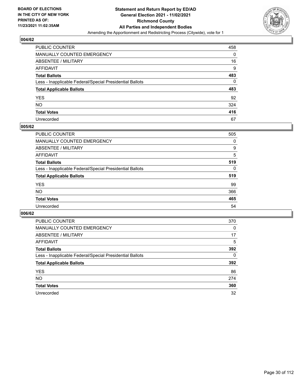

| PUBLIC COUNTER                                           | 458 |
|----------------------------------------------------------|-----|
| MANUALLY COUNTED EMERGENCY                               | 0   |
| <b>ABSENTEE / MILITARY</b>                               | 16  |
| AFFIDAVIT                                                | 9   |
| <b>Total Ballots</b>                                     | 483 |
| Less - Inapplicable Federal/Special Presidential Ballots | 0   |
| <b>Total Applicable Ballots</b>                          | 483 |
| YES                                                      | 92  |
| <b>NO</b>                                                | 324 |
| <b>Total Votes</b>                                       | 416 |
| Unrecorded                                               | 67  |

# **005/62**

| PUBLIC COUNTER                                           | 505      |
|----------------------------------------------------------|----------|
| MANUALLY COUNTED EMERGENCY                               | 0        |
| ABSENTEE / MILITARY                                      | 9        |
| AFFIDAVIT                                                | 5        |
| <b>Total Ballots</b>                                     | 519      |
| Less - Inapplicable Federal/Special Presidential Ballots | $\Omega$ |
| <b>Total Applicable Ballots</b>                          | 519      |
| <b>YES</b>                                               | 99       |
| <b>NO</b>                                                | 366      |
| <b>Total Votes</b>                                       | 465      |
| Unrecorded                                               | 54       |

| <b>PUBLIC COUNTER</b>                                    | 370 |
|----------------------------------------------------------|-----|
| <b>MANUALLY COUNTED EMERGENCY</b>                        | 0   |
| ABSENTEE / MILITARY                                      | 17  |
| AFFIDAVIT                                                | 5   |
| <b>Total Ballots</b>                                     | 392 |
| Less - Inapplicable Federal/Special Presidential Ballots | 0   |
| <b>Total Applicable Ballots</b>                          | 392 |
| <b>YES</b>                                               | 86  |
| NO.                                                      | 274 |
| <b>Total Votes</b>                                       | 360 |
| Unrecorded                                               | 32  |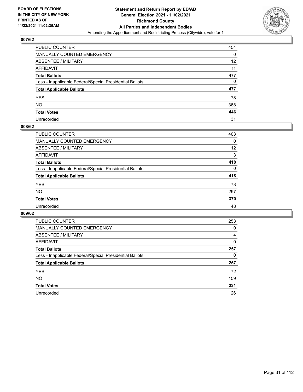

| PUBLIC COUNTER                                           | 454 |
|----------------------------------------------------------|-----|
| MANUALLY COUNTED EMERGENCY                               | 0   |
| <b>ABSENTEE / MILITARY</b>                               | 12  |
| AFFIDAVIT                                                | 11  |
| <b>Total Ballots</b>                                     | 477 |
| Less - Inapplicable Federal/Special Presidential Ballots | 0   |
| <b>Total Applicable Ballots</b>                          | 477 |
| YES                                                      | 78  |
| <b>NO</b>                                                | 368 |
| <b>Total Votes</b>                                       | 446 |
| Unrecorded                                               | 31  |

# **008/62**

| PUBLIC COUNTER                                           | 403      |
|----------------------------------------------------------|----------|
| <b>MANUALLY COUNTED EMERGENCY</b>                        | $\Omega$ |
| ABSENTEE / MILITARY                                      | 12       |
| AFFIDAVIT                                                | 3        |
| <b>Total Ballots</b>                                     | 418      |
| Less - Inapplicable Federal/Special Presidential Ballots | $\Omega$ |
| <b>Total Applicable Ballots</b>                          | 418      |
| <b>YES</b>                                               | 73       |
| <b>NO</b>                                                | 297      |
| <b>Total Votes</b>                                       | 370      |
| Unrecorded                                               | 48       |

| <b>PUBLIC COUNTER</b>                                    | 253 |
|----------------------------------------------------------|-----|
| <b>MANUALLY COUNTED EMERGENCY</b>                        | 0   |
| ABSENTEE / MILITARY                                      | 4   |
| AFFIDAVIT                                                | 0   |
| <b>Total Ballots</b>                                     | 257 |
| Less - Inapplicable Federal/Special Presidential Ballots | 0   |
| <b>Total Applicable Ballots</b>                          | 257 |
| <b>YES</b>                                               | 72  |
| NO.                                                      | 159 |
| <b>Total Votes</b>                                       | 231 |
| Unrecorded                                               | 26  |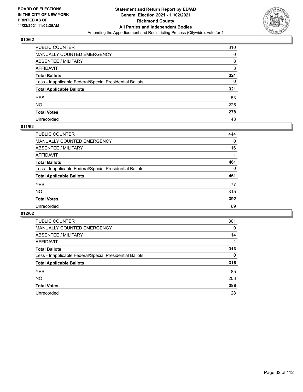

| PUBLIC COUNTER                                           | 310 |
|----------------------------------------------------------|-----|
| MANUALLY COUNTED EMERGENCY                               | 0   |
| ABSENTEE / MILITARY                                      | 8   |
| AFFIDAVIT                                                | 3   |
| <b>Total Ballots</b>                                     | 321 |
| Less - Inapplicable Federal/Special Presidential Ballots | 0   |
| <b>Total Applicable Ballots</b>                          | 321 |
| YES                                                      | 53  |
| NO.                                                      | 225 |
| <b>Total Votes</b>                                       | 278 |
| Unrecorded                                               | 43  |

# **011/62**

| <b>PUBLIC COUNTER</b>                                    | 444      |
|----------------------------------------------------------|----------|
| <b>MANUALLY COUNTED EMERGENCY</b>                        | 0        |
| ABSENTEE / MILITARY                                      | 16       |
| AFFIDAVIT                                                |          |
| <b>Total Ballots</b>                                     | 461      |
| Less - Inapplicable Federal/Special Presidential Ballots | $\Omega$ |
| <b>Total Applicable Ballots</b>                          | 461      |
| <b>YES</b>                                               | 77       |
| <b>NO</b>                                                | 315      |
| <b>Total Votes</b>                                       | 392      |
| Unrecorded                                               | 69       |

| PUBLIC COUNTER                                           | 301      |
|----------------------------------------------------------|----------|
| MANUALLY COUNTED EMERGENCY                               | 0        |
| ABSENTEE / MILITARY                                      | 14       |
| AFFIDAVIT                                                |          |
| <b>Total Ballots</b>                                     | 316      |
| Less - Inapplicable Federal/Special Presidential Ballots | $\Omega$ |
| <b>Total Applicable Ballots</b>                          | 316      |
| <b>YES</b>                                               | 85       |
| <b>NO</b>                                                | 203      |
| <b>Total Votes</b>                                       | 288      |
| Unrecorded                                               | 28       |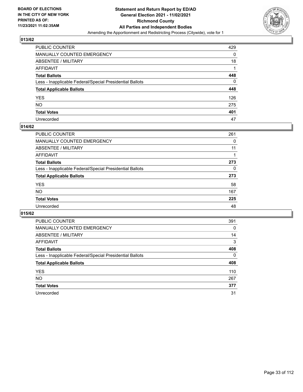

| PUBLIC COUNTER                                           | 429 |
|----------------------------------------------------------|-----|
| MANUALLY COUNTED EMERGENCY                               | 0   |
| ABSENTEE / MILITARY                                      | 18  |
| AFFIDAVIT                                                |     |
| <b>Total Ballots</b>                                     | 448 |
| Less - Inapplicable Federal/Special Presidential Ballots | 0   |
| <b>Total Applicable Ballots</b>                          | 448 |
| YES                                                      | 126 |
| NO.                                                      | 275 |
| <b>Total Votes</b>                                       | 401 |
| Unrecorded                                               | 47  |

# **014/62**

| <b>PUBLIC COUNTER</b>                                    | 261      |
|----------------------------------------------------------|----------|
| <b>MANUALLY COUNTED EMERGENCY</b>                        | 0        |
| ABSENTEE / MILITARY                                      | 11       |
| AFFIDAVIT                                                |          |
| <b>Total Ballots</b>                                     | 273      |
| Less - Inapplicable Federal/Special Presidential Ballots | $\Omega$ |
| <b>Total Applicable Ballots</b>                          | 273      |
| <b>YES</b>                                               | 58       |
| <b>NO</b>                                                | 167      |
| <b>Total Votes</b>                                       | 225      |
| Unrecorded                                               | 48       |

| <b>PUBLIC COUNTER</b>                                    | 391      |
|----------------------------------------------------------|----------|
| MANUALLY COUNTED EMERGENCY                               | 0        |
| ABSENTEE / MILITARY                                      | 14       |
| AFFIDAVIT                                                | 3        |
| <b>Total Ballots</b>                                     | 408      |
| Less - Inapplicable Federal/Special Presidential Ballots | $\Omega$ |
| <b>Total Applicable Ballots</b>                          | 408      |
| <b>YES</b>                                               | 110      |
| <b>NO</b>                                                | 267      |
| <b>Total Votes</b>                                       | 377      |
| Unrecorded                                               | 31       |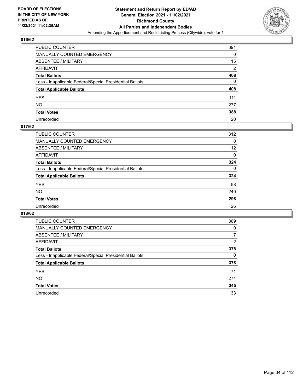

| PUBLIC COUNTER                                           | 391            |
|----------------------------------------------------------|----------------|
| MANUALLY COUNTED EMERGENCY                               | 0              |
| <b>ABSENTEE / MILITARY</b>                               | 15             |
| AFFIDAVIT                                                | $\overline{2}$ |
| <b>Total Ballots</b>                                     | 408            |
| Less - Inapplicable Federal/Special Presidential Ballots | 0              |
| <b>Total Applicable Ballots</b>                          | 408            |
| YES                                                      | 111            |
| <b>NO</b>                                                | 277            |
| <b>Total Votes</b>                                       | 388            |
| Unrecorded                                               | 20             |

# **017/62**

| <b>PUBLIC COUNTER</b>                                    | 312      |
|----------------------------------------------------------|----------|
| <b>MANUALLY COUNTED EMERGENCY</b>                        | $\Omega$ |
| ABSENTEE / MILITARY                                      | 12       |
| AFFIDAVIT                                                | 0        |
| <b>Total Ballots</b>                                     | 324      |
| Less - Inapplicable Federal/Special Presidential Ballots | $\Omega$ |
| <b>Total Applicable Ballots</b>                          | 324      |
| <b>YES</b>                                               | 58       |
| <b>NO</b>                                                | 240      |
| <b>Total Votes</b>                                       | 298      |
| Unrecorded                                               | 26       |

| <b>PUBLIC COUNTER</b>                                    | 369            |
|----------------------------------------------------------|----------------|
| MANUALLY COUNTED EMERGENCY                               | $\Omega$       |
| ABSENTEE / MILITARY                                      | 7              |
| AFFIDAVIT                                                | $\overline{2}$ |
| <b>Total Ballots</b>                                     | 378            |
| Less - Inapplicable Federal/Special Presidential Ballots | 0              |
| <b>Total Applicable Ballots</b>                          | 378            |
| <b>YES</b>                                               | 71             |
| NO.                                                      | 274            |
| <b>Total Votes</b>                                       | 345            |
| Unrecorded                                               | 33             |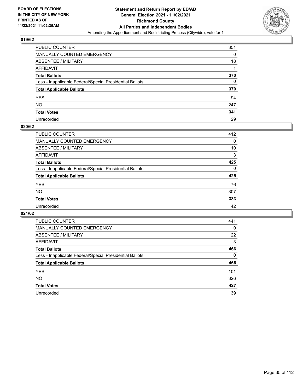

| PUBLIC COUNTER                                           | 351 |
|----------------------------------------------------------|-----|
| MANUALLY COUNTED EMERGENCY                               | 0   |
| ABSENTEE / MILITARY                                      | 18  |
| AFFIDAVIT                                                |     |
| <b>Total Ballots</b>                                     | 370 |
| Less - Inapplicable Federal/Special Presidential Ballots | 0   |
| <b>Total Applicable Ballots</b>                          | 370 |
| YES                                                      | 94  |
| NO.                                                      | 247 |
| <b>Total Votes</b>                                       | 341 |
| Unrecorded                                               | 29  |

# **020/62**

| <b>PUBLIC COUNTER</b>                                    | 412      |
|----------------------------------------------------------|----------|
| <b>MANUALLY COUNTED EMERGENCY</b>                        | $\Omega$ |
| ABSENTEE / MILITARY                                      | 10       |
| AFFIDAVIT                                                | 3        |
| <b>Total Ballots</b>                                     | 425      |
| Less - Inapplicable Federal/Special Presidential Ballots | $\Omega$ |
| <b>Total Applicable Ballots</b>                          | 425      |
| <b>YES</b>                                               | 76       |
| <b>NO</b>                                                | 307      |
| <b>Total Votes</b>                                       | 383      |
| Unrecorded                                               | 42       |

| <b>PUBLIC COUNTER</b>                                    | 441      |
|----------------------------------------------------------|----------|
| MANUALLY COUNTED EMERGENCY                               | $\Omega$ |
| ABSENTEE / MILITARY                                      | 22       |
| AFFIDAVIT                                                | 3        |
| <b>Total Ballots</b>                                     | 466      |
| Less - Inapplicable Federal/Special Presidential Ballots | $\Omega$ |
| <b>Total Applicable Ballots</b>                          | 466      |
| <b>YES</b>                                               | 101      |
| NO.                                                      | 326      |
| <b>Total Votes</b>                                       | 427      |
| Unrecorded                                               | 39       |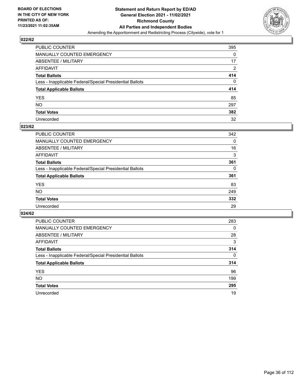

| PUBLIC COUNTER                                           | 395            |
|----------------------------------------------------------|----------------|
| MANUALLY COUNTED EMERGENCY                               | 0              |
| ABSENTEE / MILITARY                                      | 17             |
| AFFIDAVIT                                                | $\overline{2}$ |
| Total Ballots                                            | 414            |
| Less - Inapplicable Federal/Special Presidential Ballots | 0              |
| <b>Total Applicable Ballots</b>                          | 414            |
| YES                                                      | 85             |
| NO.                                                      | 297            |
| <b>Total Votes</b>                                       | 382            |
| Unrecorded                                               | 32             |

# **023/62**

| <b>PUBLIC COUNTER</b>                                    | 342      |
|----------------------------------------------------------|----------|
| <b>MANUALLY COUNTED EMERGENCY</b>                        | 0        |
| ABSENTEE / MILITARY                                      | 16       |
| AFFIDAVIT                                                | 3        |
| <b>Total Ballots</b>                                     | 361      |
| Less - Inapplicable Federal/Special Presidential Ballots | $\Omega$ |
| <b>Total Applicable Ballots</b>                          | 361      |
| <b>YES</b>                                               | 83       |
| <b>NO</b>                                                | 249      |
| <b>Total Votes</b>                                       | 332      |
| Unrecorded                                               | 29       |

| <b>PUBLIC COUNTER</b>                                    | 283      |
|----------------------------------------------------------|----------|
| <b>MANUALLY COUNTED EMERGENCY</b>                        | $\Omega$ |
| ABSENTEE / MILITARY                                      | 28       |
| AFFIDAVIT                                                | 3        |
| <b>Total Ballots</b>                                     | 314      |
| Less - Inapplicable Federal/Special Presidential Ballots | $\Omega$ |
| <b>Total Applicable Ballots</b>                          | 314      |
| <b>YES</b>                                               | 96       |
| NO.                                                      | 199      |
| <b>Total Votes</b>                                       | 295      |
| Unrecorded                                               | 19       |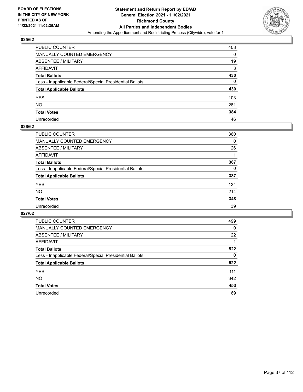

| PUBLIC COUNTER                                           | 408 |
|----------------------------------------------------------|-----|
| MANUALLY COUNTED EMERGENCY                               | 0   |
| ABSENTEE / MILITARY                                      | 19  |
| AFFIDAVIT                                                | 3   |
| Total Ballots                                            | 430 |
| Less - Inapplicable Federal/Special Presidential Ballots | 0   |
| <b>Total Applicable Ballots</b>                          | 430 |
| YES                                                      | 103 |
| NO.                                                      | 281 |
| <b>Total Votes</b>                                       | 384 |
| Unrecorded                                               | 46  |

#### **026/62**

| PUBLIC COUNTER                                           | 360 |
|----------------------------------------------------------|-----|
| <b>MANUALLY COUNTED EMERGENCY</b>                        | 0   |
| ABSENTEE / MILITARY                                      | 26  |
| AFFIDAVIT                                                |     |
| <b>Total Ballots</b>                                     | 387 |
| Less - Inapplicable Federal/Special Presidential Ballots | 0   |
| <b>Total Applicable Ballots</b>                          | 387 |
| <b>YES</b>                                               | 134 |
| <b>NO</b>                                                | 214 |
| <b>Total Votes</b>                                       | 348 |
| Unrecorded                                               | 39  |

| PUBLIC COUNTER                                           | 499      |
|----------------------------------------------------------|----------|
| MANUALLY COUNTED EMERGENCY                               | $\Omega$ |
| ABSENTEE / MILITARY                                      | 22       |
| AFFIDAVIT                                                |          |
| <b>Total Ballots</b>                                     | 522      |
| Less - Inapplicable Federal/Special Presidential Ballots | 0        |
| <b>Total Applicable Ballots</b>                          | 522      |
| <b>YES</b>                                               | 111      |
| NO.                                                      | 342      |
| <b>Total Votes</b>                                       | 453      |
| Unrecorded                                               | 69       |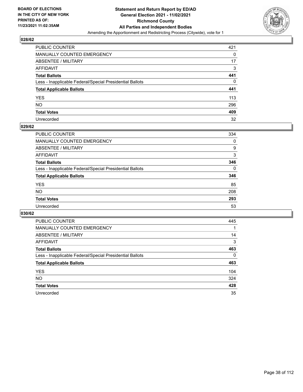

| PUBLIC COUNTER                                           | 421 |
|----------------------------------------------------------|-----|
| MANUALLY COUNTED EMERGENCY                               | 0   |
| ABSENTEE / MILITARY                                      | 17  |
| AFFIDAVIT                                                | 3   |
| Total Ballots                                            | 441 |
| Less - Inapplicable Federal/Special Presidential Ballots | 0   |
| <b>Total Applicable Ballots</b>                          | 441 |
| YES                                                      | 113 |
| NO.                                                      | 296 |
| <b>Total Votes</b>                                       | 409 |
| Unrecorded                                               | 32  |

#### **029/62**

| <b>PUBLIC COUNTER</b>                                    | 334      |
|----------------------------------------------------------|----------|
| MANUALLY COUNTED EMERGENCY                               | 0        |
| ABSENTEE / MILITARY                                      | 9        |
| AFFIDAVIT                                                | 3        |
| <b>Total Ballots</b>                                     | 346      |
| Less - Inapplicable Federal/Special Presidential Ballots | $\Omega$ |
| <b>Total Applicable Ballots</b>                          | 346      |
| <b>YES</b>                                               | 85       |
| <b>NO</b>                                                | 208      |
| <b>Total Votes</b>                                       | 293      |
| Unrecorded                                               | 53       |

| PUBLIC COUNTER                                           | 445      |
|----------------------------------------------------------|----------|
| <b>MANUALLY COUNTED EMERGENCY</b>                        |          |
| ABSENTEE / MILITARY                                      | 14       |
| AFFIDAVIT                                                | 3        |
| <b>Total Ballots</b>                                     | 463      |
| Less - Inapplicable Federal/Special Presidential Ballots | $\Omega$ |
| <b>Total Applicable Ballots</b>                          | 463      |
| <b>YES</b>                                               | 104      |
| NO.                                                      | 324      |
| <b>Total Votes</b>                                       | 428      |
| Unrecorded                                               | 35       |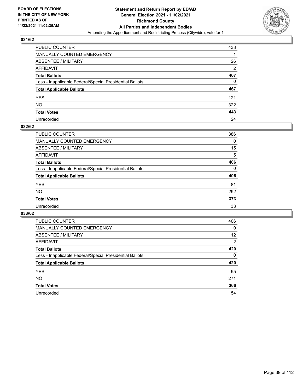

| PUBLIC COUNTER                                           | 438 |
|----------------------------------------------------------|-----|
| MANUALLY COUNTED EMERGENCY                               |     |
| <b>ABSENTEE / MILITARY</b>                               | 26  |
| AFFIDAVIT                                                | 2   |
| <b>Total Ballots</b>                                     | 467 |
| Less - Inapplicable Federal/Special Presidential Ballots | 0   |
| <b>Total Applicable Ballots</b>                          | 467 |
| YES                                                      | 121 |
| <b>NO</b>                                                | 322 |
| <b>Total Votes</b>                                       | 443 |
| Unrecorded                                               | 24  |

#### **032/62**

| <b>PUBLIC COUNTER</b>                                    | 386      |
|----------------------------------------------------------|----------|
| MANUALLY COUNTED EMERGENCY                               | 0        |
| ABSENTEE / MILITARY                                      | 15       |
| AFFIDAVIT                                                | 5        |
| <b>Total Ballots</b>                                     | 406      |
| Less - Inapplicable Federal/Special Presidential Ballots | $\Omega$ |
| <b>Total Applicable Ballots</b>                          | 406      |
| <b>YES</b>                                               | 81       |
| <b>NO</b>                                                | 292      |
| <b>Total Votes</b>                                       | 373      |
| Unrecorded                                               | 33       |

| PUBLIC COUNTER                                           | 406      |
|----------------------------------------------------------|----------|
| MANUALLY COUNTED EMERGENCY                               | 0        |
| ABSENTEE / MILITARY                                      | 12       |
| AFFIDAVIT                                                | 2        |
| <b>Total Ballots</b>                                     | 420      |
| Less - Inapplicable Federal/Special Presidential Ballots | $\Omega$ |
| <b>Total Applicable Ballots</b>                          | 420      |
| <b>YES</b>                                               | 95       |
| <b>NO</b>                                                | 271      |
| <b>Total Votes</b>                                       | 366      |
| Unrecorded                                               | 54       |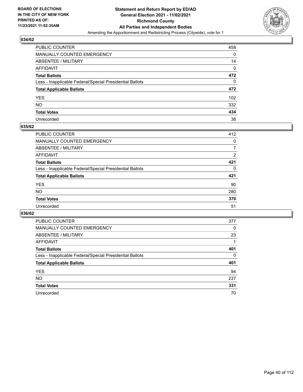

| PUBLIC COUNTER                                           | 458 |
|----------------------------------------------------------|-----|
| MANUALLY COUNTED EMERGENCY                               | 0   |
| ABSENTEE / MILITARY                                      | 14  |
| AFFIDAVIT                                                | 0   |
| <b>Total Ballots</b>                                     | 472 |
| Less - Inapplicable Federal/Special Presidential Ballots | 0   |
| <b>Total Applicable Ballots</b>                          | 472 |
| YES                                                      | 102 |
| NO.                                                      | 332 |
| <b>Total Votes</b>                                       | 434 |
| Unrecorded                                               | 38  |

#### **035/62**

| <b>PUBLIC COUNTER</b>                                    | 412      |
|----------------------------------------------------------|----------|
| MANUALLY COUNTED EMERGENCY                               | 0        |
| ABSENTEE / MILITARY                                      | 7        |
| AFFIDAVIT                                                | 2        |
| <b>Total Ballots</b>                                     | 421      |
| Less - Inapplicable Federal/Special Presidential Ballots | $\Omega$ |
| <b>Total Applicable Ballots</b>                          | 421      |
| <b>YES</b>                                               | 90       |
| <b>NO</b>                                                | 280      |
| <b>Total Votes</b>                                       | 370      |
| Unrecorded                                               | 51       |

| PUBLIC COUNTER                                           | 377      |
|----------------------------------------------------------|----------|
| MANUALLY COUNTED EMERGENCY                               | $\Omega$ |
| ABSENTEE / MILITARY                                      | 23       |
| AFFIDAVIT                                                |          |
| <b>Total Ballots</b>                                     | 401      |
| Less - Inapplicable Federal/Special Presidential Ballots | $\Omega$ |
| <b>Total Applicable Ballots</b>                          | 401      |
| <b>YES</b>                                               | 94       |
| NO.                                                      | 237      |
| <b>Total Votes</b>                                       | 331      |
| Unrecorded                                               | 70       |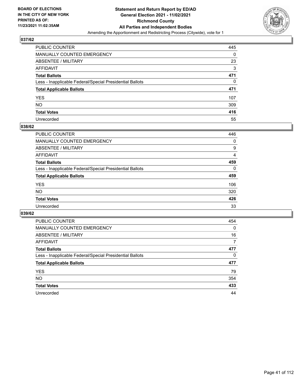

| PUBLIC COUNTER                                           | 445      |
|----------------------------------------------------------|----------|
| MANUALLY COUNTED EMERGENCY                               | 0        |
| <b>ABSENTEE / MILITARY</b>                               | 23       |
| AFFIDAVIT                                                | 3        |
| <b>Total Ballots</b>                                     | 471      |
| Less - Inapplicable Federal/Special Presidential Ballots | $\Omega$ |
| <b>Total Applicable Ballots</b>                          | 471      |
| YES                                                      | 107      |
| NO.                                                      | 309      |
| <b>Total Votes</b>                                       | 416      |
| Unrecorded                                               | 55       |

#### **038/62**

| <b>PUBLIC COUNTER</b>                                    | 446      |
|----------------------------------------------------------|----------|
| MANUALLY COUNTED EMERGENCY                               | 0        |
| ABSENTEE / MILITARY                                      | 9        |
| AFFIDAVIT                                                | 4        |
| <b>Total Ballots</b>                                     | 459      |
| Less - Inapplicable Federal/Special Presidential Ballots | $\Omega$ |
| <b>Total Applicable Ballots</b>                          | 459      |
| <b>YES</b>                                               | 106      |
| <b>NO</b>                                                | 320      |
| <b>Total Votes</b>                                       | 426      |
| Unrecorded                                               | 33       |

| PUBLIC COUNTER                                           | 454 |
|----------------------------------------------------------|-----|
| MANUALLY COUNTED EMERGENCY                               | 0   |
| ABSENTEE / MILITARY                                      | 16  |
| AFFIDAVIT                                                | 7   |
| <b>Total Ballots</b>                                     | 477 |
| Less - Inapplicable Federal/Special Presidential Ballots | 0   |
| <b>Total Applicable Ballots</b>                          | 477 |
| <b>YES</b>                                               | 79  |
| <b>NO</b>                                                | 354 |
| <b>Total Votes</b>                                       | 433 |
| Unrecorded                                               | 44  |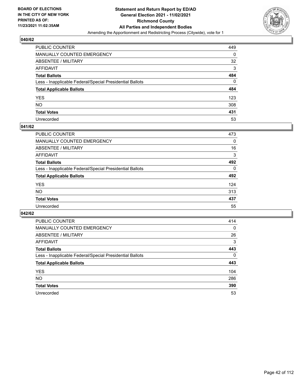

| PUBLIC COUNTER                                           | 449 |
|----------------------------------------------------------|-----|
| MANUALLY COUNTED EMERGENCY                               | 0   |
| <b>ABSENTEE / MILITARY</b>                               | 32  |
| <b>AFFIDAVIT</b>                                         | 3   |
| <b>Total Ballots</b>                                     | 484 |
| Less - Inapplicable Federal/Special Presidential Ballots | 0   |
| <b>Total Applicable Ballots</b>                          | 484 |
| YES                                                      | 123 |
| <b>NO</b>                                                | 308 |
| <b>Total Votes</b>                                       | 431 |
| Unrecorded                                               | 53  |

#### **041/62**

| <b>PUBLIC COUNTER</b>                                    | 473      |
|----------------------------------------------------------|----------|
| <b>MANUALLY COUNTED EMERGENCY</b>                        | 0        |
| ABSENTEE / MILITARY                                      | 16       |
| AFFIDAVIT                                                | 3        |
| <b>Total Ballots</b>                                     | 492      |
| Less - Inapplicable Federal/Special Presidential Ballots | $\Omega$ |
| <b>Total Applicable Ballots</b>                          | 492      |
| <b>YES</b>                                               | 124      |
| <b>NO</b>                                                | 313      |
| <b>Total Votes</b>                                       | 437      |
| Unrecorded                                               | 55       |

| PUBLIC COUNTER                                           | 414      |
|----------------------------------------------------------|----------|
| MANUALLY COUNTED EMERGENCY                               | $\Omega$ |
| ABSENTEE / MILITARY                                      | 26       |
| AFFIDAVIT                                                | 3        |
| <b>Total Ballots</b>                                     | 443      |
| Less - Inapplicable Federal/Special Presidential Ballots | $\Omega$ |
| <b>Total Applicable Ballots</b>                          | 443      |
| <b>YES</b>                                               | 104      |
| NO.                                                      | 286      |
| <b>Total Votes</b>                                       | 390      |
| Unrecorded                                               | 53       |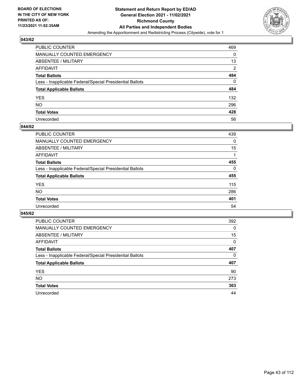

| PUBLIC COUNTER                                           | 469            |
|----------------------------------------------------------|----------------|
| MANUALLY COUNTED EMERGENCY                               | 0              |
| <b>ABSENTEE / MILITARY</b>                               | 13             |
| AFFIDAVIT                                                | $\overline{2}$ |
| <b>Total Ballots</b>                                     | 484            |
| Less - Inapplicable Federal/Special Presidential Ballots | $\Omega$       |
| <b>Total Applicable Ballots</b>                          | 484            |
| YES                                                      | 132            |
| NO.                                                      | 296            |
| <b>Total Votes</b>                                       | 428            |
| Unrecorded                                               | 56             |

#### **044/62**

| <b>PUBLIC COUNTER</b>                                    | 439      |
|----------------------------------------------------------|----------|
| MANUALLY COUNTED EMERGENCY                               | 0        |
| ABSENTEE / MILITARY                                      | 15       |
| AFFIDAVIT                                                |          |
| <b>Total Ballots</b>                                     | 455      |
| Less - Inapplicable Federal/Special Presidential Ballots | $\Omega$ |
| <b>Total Applicable Ballots</b>                          | 455      |
| <b>YES</b>                                               | 115      |
| <b>NO</b>                                                | 286      |
| <b>Total Votes</b>                                       | 401      |
| Unrecorded                                               | 54       |

| PUBLIC COUNTER                                           | 392      |
|----------------------------------------------------------|----------|
| <b>MANUALLY COUNTED EMERGENCY</b>                        | 0        |
| ABSENTEE / MILITARY                                      | 15       |
| AFFIDAVIT                                                | $\Omega$ |
| <b>Total Ballots</b>                                     | 407      |
| Less - Inapplicable Federal/Special Presidential Ballots | $\Omega$ |
| <b>Total Applicable Ballots</b>                          | 407      |
| <b>YES</b>                                               | 90       |
| <b>NO</b>                                                | 273      |
| <b>Total Votes</b>                                       | 363      |
| Unrecorded                                               | 44       |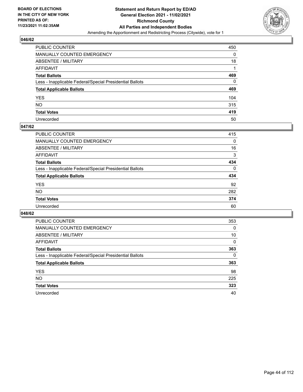

| PUBLIC COUNTER                                           | 450      |
|----------------------------------------------------------|----------|
| MANUALLY COUNTED EMERGENCY                               | 0        |
| <b>ABSENTEE / MILITARY</b>                               | 18       |
| AFFIDAVIT                                                |          |
| <b>Total Ballots</b>                                     | 469      |
| Less - Inapplicable Federal/Special Presidential Ballots | $\Omega$ |
| <b>Total Applicable Ballots</b>                          | 469      |
| YES                                                      | 104      |
| NO.                                                      | 315      |
| <b>Total Votes</b>                                       | 419      |
| Unrecorded                                               | 50       |

#### **047/62**

| <b>PUBLIC COUNTER</b>                                    | 415      |
|----------------------------------------------------------|----------|
| <b>MANUALLY COUNTED EMERGENCY</b>                        | $\Omega$ |
| ABSENTEE / MILITARY                                      | 16       |
| AFFIDAVIT                                                | 3        |
| <b>Total Ballots</b>                                     | 434      |
| Less - Inapplicable Federal/Special Presidential Ballots | $\Omega$ |
| <b>Total Applicable Ballots</b>                          | 434      |
| <b>YES</b>                                               | 92       |
| <b>NO</b>                                                | 282      |
| <b>Total Votes</b>                                       | 374      |
| Unrecorded                                               | 60       |

| PUBLIC COUNTER                                           | 353      |
|----------------------------------------------------------|----------|
| <b>MANUALLY COUNTED EMERGENCY</b>                        | 0        |
| ABSENTEE / MILITARY                                      | 10       |
| AFFIDAVIT                                                | $\Omega$ |
| <b>Total Ballots</b>                                     | 363      |
| Less - Inapplicable Federal/Special Presidential Ballots | $\Omega$ |
| <b>Total Applicable Ballots</b>                          | 363      |
| <b>YES</b>                                               | 98       |
| <b>NO</b>                                                | 225      |
| <b>Total Votes</b>                                       | 323      |
| Unrecorded                                               | 40       |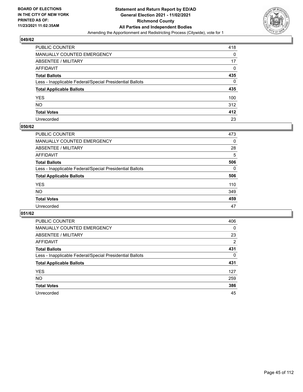

| PUBLIC COUNTER                                           | 418 |
|----------------------------------------------------------|-----|
| MANUALLY COUNTED EMERGENCY                               | 0   |
| ABSENTEE / MILITARY                                      | 17  |
| AFFIDAVIT                                                | 0   |
| <b>Total Ballots</b>                                     | 435 |
| Less - Inapplicable Federal/Special Presidential Ballots | 0   |
| <b>Total Applicable Ballots</b>                          | 435 |
| YES                                                      | 100 |
| NO.                                                      | 312 |
| <b>Total Votes</b>                                       | 412 |
| Unrecorded                                               | 23  |

#### **050/62**

| <b>PUBLIC COUNTER</b>                                    | 473      |
|----------------------------------------------------------|----------|
| <b>MANUALLY COUNTED EMERGENCY</b>                        | $\Omega$ |
| ABSENTEE / MILITARY                                      | 28       |
| AFFIDAVIT                                                | 5        |
| <b>Total Ballots</b>                                     | 506      |
| Less - Inapplicable Federal/Special Presidential Ballots | $\Omega$ |
| <b>Total Applicable Ballots</b>                          | 506      |
| <b>YES</b>                                               | 110      |
| <b>NO</b>                                                | 349      |
| <b>Total Votes</b>                                       | 459      |
| Unrecorded                                               | 47       |

| PUBLIC COUNTER                                           | 406            |
|----------------------------------------------------------|----------------|
| <b>MANUALLY COUNTED EMERGENCY</b>                        | $\Omega$       |
| ABSENTEE / MILITARY                                      | 23             |
| AFFIDAVIT                                                | $\overline{2}$ |
| <b>Total Ballots</b>                                     | 431            |
| Less - Inapplicable Federal/Special Presidential Ballots | $\Omega$       |
| <b>Total Applicable Ballots</b>                          | 431            |
| <b>YES</b>                                               | 127            |
| <b>NO</b>                                                | 259            |
| <b>Total Votes</b>                                       | 386            |
| Unrecorded                                               | 45             |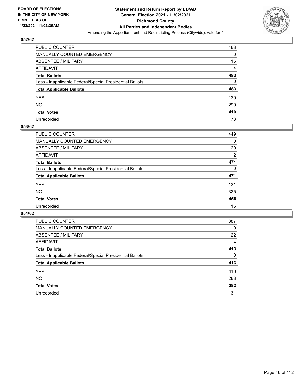

| PUBLIC COUNTER                                           | 463            |
|----------------------------------------------------------|----------------|
| MANUALLY COUNTED EMERGENCY                               | 0              |
| ABSENTEE / MILITARY                                      | 16             |
| AFFIDAVIT                                                | $\overline{4}$ |
| <b>Total Ballots</b>                                     | 483            |
| Less - Inapplicable Federal/Special Presidential Ballots | 0              |
| <b>Total Applicable Ballots</b>                          | 483            |
| YES                                                      | 120            |
| NO.                                                      | 290            |
| <b>Total Votes</b>                                       | 410            |
| Unrecorded                                               | 73             |

#### **053/62**

| <b>PUBLIC COUNTER</b>                                    | 449      |
|----------------------------------------------------------|----------|
| <b>MANUALLY COUNTED EMERGENCY</b>                        | 0        |
| ABSENTEE / MILITARY                                      | 20       |
| AFFIDAVIT                                                | 2        |
| <b>Total Ballots</b>                                     | 471      |
| Less - Inapplicable Federal/Special Presidential Ballots | $\Omega$ |
| <b>Total Applicable Ballots</b>                          | 471      |
| <b>YES</b>                                               | 131      |
| <b>NO</b>                                                | 325      |
| <b>Total Votes</b>                                       | 456      |
| Unrecorded                                               | 15       |

| PUBLIC COUNTER                                           | 387      |
|----------------------------------------------------------|----------|
| MANUALLY COUNTED EMERGENCY                               | 0        |
| ABSENTEE / MILITARY                                      | 22       |
| AFFIDAVIT                                                | 4        |
| <b>Total Ballots</b>                                     | 413      |
| Less - Inapplicable Federal/Special Presidential Ballots | $\Omega$ |
| <b>Total Applicable Ballots</b>                          | 413      |
| <b>YES</b>                                               | 119      |
| <b>NO</b>                                                | 263      |
| <b>Total Votes</b>                                       | 382      |
| Unrecorded                                               | 31       |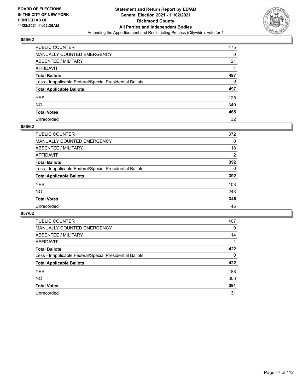

| PUBLIC COUNTER                                           | 475 |
|----------------------------------------------------------|-----|
| MANUALLY COUNTED EMERGENCY                               | 0   |
| ABSENTEE / MILITARY                                      | 21  |
| AFFIDAVIT                                                |     |
| <b>Total Ballots</b>                                     | 497 |
| Less - Inapplicable Federal/Special Presidential Ballots | 0   |
| <b>Total Applicable Ballots</b>                          | 497 |
| YES                                                      | 125 |
| NO.                                                      | 340 |
| <b>Total Votes</b>                                       | 465 |
| Unrecorded                                               | 32  |

#### **056/62**

| <b>PUBLIC COUNTER</b>                                    | 372      |
|----------------------------------------------------------|----------|
| <b>MANUALLY COUNTED EMERGENCY</b>                        | 0        |
| ABSENTEE / MILITARY                                      | 18       |
| AFFIDAVIT                                                | 2        |
| <b>Total Ballots</b>                                     | 392      |
| Less - Inapplicable Federal/Special Presidential Ballots | $\Omega$ |
| <b>Total Applicable Ballots</b>                          | 392      |
| <b>YES</b>                                               | 103      |
| <b>NO</b>                                                | 243      |
| <b>Total Votes</b>                                       | 346      |
| Unrecorded                                               | 46       |

| PUBLIC COUNTER                                           | 407      |
|----------------------------------------------------------|----------|
| <b>MANUALLY COUNTED EMERGENCY</b>                        | 0        |
| ABSENTEE / MILITARY                                      | 14       |
| AFFIDAVIT                                                |          |
| <b>Total Ballots</b>                                     | 422      |
| Less - Inapplicable Federal/Special Presidential Ballots | $\Omega$ |
| <b>Total Applicable Ballots</b>                          | 422      |
| <b>YES</b>                                               | 88       |
| NO.                                                      | 303      |
| <b>Total Votes</b>                                       | 391      |
| Unrecorded                                               | 31       |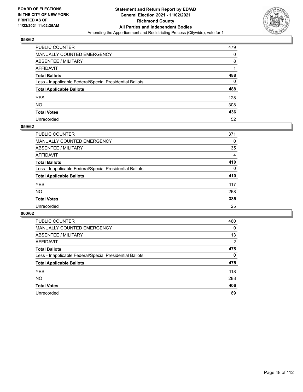

| PUBLIC COUNTER                                           | 479 |
|----------------------------------------------------------|-----|
| MANUALLY COUNTED EMERGENCY                               | 0   |
| <b>ABSENTEE / MILITARY</b>                               | 8   |
| <b>AFFIDAVIT</b>                                         |     |
| <b>Total Ballots</b>                                     | 488 |
| Less - Inapplicable Federal/Special Presidential Ballots | 0   |
| <b>Total Applicable Ballots</b>                          | 488 |
| YES                                                      | 128 |
| <b>NO</b>                                                | 308 |
| <b>Total Votes</b>                                       | 436 |
| Unrecorded                                               | 52  |

#### **059/62**

| <b>PUBLIC COUNTER</b>                                    | 371      |
|----------------------------------------------------------|----------|
| <b>MANUALLY COUNTED EMERGENCY</b>                        | 0        |
| ABSENTEE / MILITARY                                      | 35       |
| AFFIDAVIT                                                | 4        |
| <b>Total Ballots</b>                                     | 410      |
| Less - Inapplicable Federal/Special Presidential Ballots | $\Omega$ |
| <b>Total Applicable Ballots</b>                          | 410      |
| <b>YES</b>                                               | 117      |
| <b>NO</b>                                                | 268      |
| <b>Total Votes</b>                                       | 385      |
| Unrecorded                                               | 25       |

| PUBLIC COUNTER                                           | 460      |
|----------------------------------------------------------|----------|
| <b>MANUALLY COUNTED EMERGENCY</b>                        | 0        |
| ABSENTEE / MILITARY                                      | 13       |
| AFFIDAVIT                                                | 2        |
| <b>Total Ballots</b>                                     | 475      |
| Less - Inapplicable Federal/Special Presidential Ballots | $\Omega$ |
| <b>Total Applicable Ballots</b>                          | 475      |
| <b>YES</b>                                               | 118      |
| <b>NO</b>                                                | 288      |
| <b>Total Votes</b>                                       | 406      |
|                                                          |          |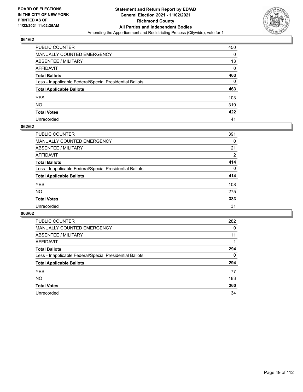

| PUBLIC COUNTER                                           | 450 |
|----------------------------------------------------------|-----|
| MANUALLY COUNTED EMERGENCY                               | 0   |
| ABSENTEE / MILITARY                                      | 13  |
| AFFIDAVIT                                                | 0   |
| Total Ballots                                            | 463 |
| Less - Inapplicable Federal/Special Presidential Ballots | 0   |
| <b>Total Applicable Ballots</b>                          | 463 |
| YES                                                      | 103 |
| NO.                                                      | 319 |
| <b>Total Votes</b>                                       | 422 |
| Unrecorded                                               | 41  |

#### **062/62**

| PUBLIC COUNTER                                           | 391      |
|----------------------------------------------------------|----------|
| <b>MANUALLY COUNTED EMERGENCY</b>                        | 0        |
| ABSENTEE / MILITARY                                      | 21       |
| AFFIDAVIT                                                | 2        |
| <b>Total Ballots</b>                                     | 414      |
| Less - Inapplicable Federal/Special Presidential Ballots | $\Omega$ |
| <b>Total Applicable Ballots</b>                          | 414      |
| <b>YES</b>                                               | 108      |
| <b>NO</b>                                                | 275      |
| <b>Total Votes</b>                                       | 383      |
| Unrecorded                                               | 31       |

| PUBLIC COUNTER                                           | 282      |
|----------------------------------------------------------|----------|
| MANUALLY COUNTED EMERGENCY                               | 0        |
| ABSENTEE / MILITARY                                      | 11       |
| AFFIDAVIT                                                |          |
| <b>Total Ballots</b>                                     | 294      |
| Less - Inapplicable Federal/Special Presidential Ballots | $\Omega$ |
| <b>Total Applicable Ballots</b>                          | 294      |
| <b>YES</b>                                               | 77       |
| <b>NO</b>                                                | 183      |
| <b>Total Votes</b>                                       | 260      |
| Unrecorded                                               | 34       |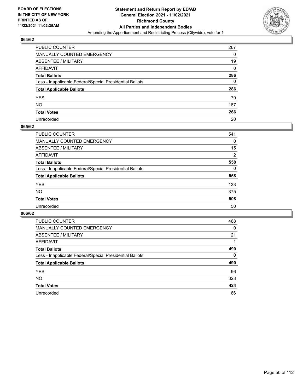

| PUBLIC COUNTER                                           | 267 |
|----------------------------------------------------------|-----|
| MANUALLY COUNTED EMERGENCY                               | 0   |
| ABSENTEE / MILITARY                                      | 19  |
| AFFIDAVIT                                                | 0   |
| <b>Total Ballots</b>                                     | 286 |
| Less - Inapplicable Federal/Special Presidential Ballots | 0   |
| <b>Total Applicable Ballots</b>                          | 286 |
| YES                                                      | 79  |
| NO.                                                      | 187 |
| <b>Total Votes</b>                                       | 266 |
| Unrecorded                                               | 20  |

#### **065/62**

| <b>PUBLIC COUNTER</b>                                    | 541            |
|----------------------------------------------------------|----------------|
| <b>MANUALLY COUNTED EMERGENCY</b>                        | 0              |
| ABSENTEE / MILITARY                                      | 15             |
| AFFIDAVIT                                                | $\overline{2}$ |
| <b>Total Ballots</b>                                     | 558            |
| Less - Inapplicable Federal/Special Presidential Ballots | $\Omega$       |
| <b>Total Applicable Ballots</b>                          | 558            |
| <b>YES</b>                                               | 133            |
| <b>NO</b>                                                | 375            |
| <b>Total Votes</b>                                       | 508            |
| Unrecorded                                               | 50             |

| PUBLIC COUNTER                                           | 468      |
|----------------------------------------------------------|----------|
| <b>MANUALLY COUNTED EMERGENCY</b>                        | 0        |
| ABSENTEE / MILITARY                                      | 21       |
| AFFIDAVIT                                                |          |
| <b>Total Ballots</b>                                     | 490      |
| Less - Inapplicable Federal/Special Presidential Ballots | $\Omega$ |
| <b>Total Applicable Ballots</b>                          | 490      |
| <b>YES</b>                                               | 96       |
| <b>NO</b>                                                | 328      |
| <b>Total Votes</b>                                       | 424      |
|                                                          |          |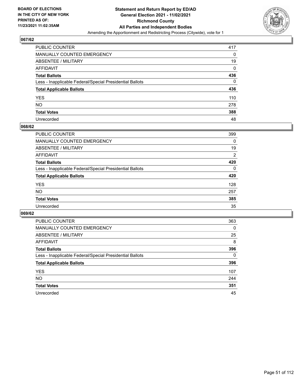

| PUBLIC COUNTER                                           | 417 |
|----------------------------------------------------------|-----|
| MANUALLY COUNTED EMERGENCY                               | 0   |
| ABSENTEE / MILITARY                                      | 19  |
| AFFIDAVIT                                                | 0   |
| <b>Total Ballots</b>                                     | 436 |
| Less - Inapplicable Federal/Special Presidential Ballots | 0   |
| <b>Total Applicable Ballots</b>                          | 436 |
| YES                                                      | 110 |
| NΟ                                                       | 278 |
| <b>Total Votes</b>                                       | 388 |
| Unrecorded                                               | 48  |

#### **068/62**

| <b>PUBLIC COUNTER</b>                                    | 399      |
|----------------------------------------------------------|----------|
| <b>MANUALLY COUNTED EMERGENCY</b>                        | 0        |
| ABSENTEE / MILITARY                                      | 19       |
| AFFIDAVIT                                                | 2        |
| <b>Total Ballots</b>                                     | 420      |
| Less - Inapplicable Federal/Special Presidential Ballots | $\Omega$ |
| <b>Total Applicable Ballots</b>                          | 420      |
| <b>YES</b>                                               | 128      |
| <b>NO</b>                                                | 257      |
| <b>Total Votes</b>                                       | 385      |
| Unrecorded                                               | 35       |

| PUBLIC COUNTER                                           | 363      |
|----------------------------------------------------------|----------|
| <b>MANUALLY COUNTED EMERGENCY</b>                        | 0        |
| ABSENTEE / MILITARY                                      | 25       |
| AFFIDAVIT                                                | 8        |
| <b>Total Ballots</b>                                     | 396      |
| Less - Inapplicable Federal/Special Presidential Ballots | $\Omega$ |
| <b>Total Applicable Ballots</b>                          | 396      |
| <b>YES</b>                                               | 107      |
| <b>NO</b>                                                | 244      |
| <b>Total Votes</b>                                       | 351      |
| Unrecorded                                               | 45       |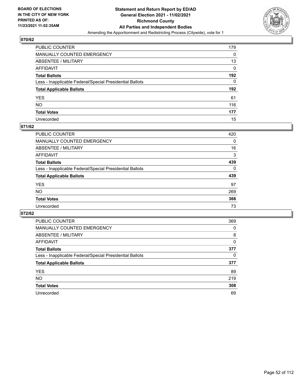

| PUBLIC COUNTER                                           | 179 |
|----------------------------------------------------------|-----|
| MANUALLY COUNTED EMERGENCY                               | 0   |
| <b>ABSENTEE / MILITARY</b>                               | 13  |
| <b>AFFIDAVIT</b>                                         | 0   |
| <b>Total Ballots</b>                                     | 192 |
| Less - Inapplicable Federal/Special Presidential Ballots | 0   |
| <b>Total Applicable Ballots</b>                          | 192 |
| YES                                                      | 61  |
| <b>NO</b>                                                | 116 |
| <b>Total Votes</b>                                       | 177 |
| Unrecorded                                               | 15  |

#### **071/62**

| <b>PUBLIC COUNTER</b>                                    | 420      |
|----------------------------------------------------------|----------|
| <b>MANUALLY COUNTED EMERGENCY</b>                        | 0        |
| ABSENTEE / MILITARY                                      | 16       |
| AFFIDAVIT                                                | 3        |
| <b>Total Ballots</b>                                     | 439      |
| Less - Inapplicable Federal/Special Presidential Ballots | $\Omega$ |
| <b>Total Applicable Ballots</b>                          | 439      |
| <b>YES</b>                                               | 97       |
| <b>NO</b>                                                | 269      |
| <b>Total Votes</b>                                       | 366      |
| Unrecorded                                               | 73       |

| PUBLIC COUNTER                                           | 369 |
|----------------------------------------------------------|-----|
| MANUALLY COUNTED EMERGENCY                               | 0   |
| ABSENTEE / MILITARY                                      | 8   |
| AFFIDAVIT                                                | 0   |
| <b>Total Ballots</b>                                     | 377 |
| Less - Inapplicable Federal/Special Presidential Ballots | 0   |
| <b>Total Applicable Ballots</b>                          | 377 |
| <b>YES</b>                                               | 89  |
| NO.                                                      | 219 |
| <b>Total Votes</b>                                       | 308 |
| Unrecorded                                               | 69  |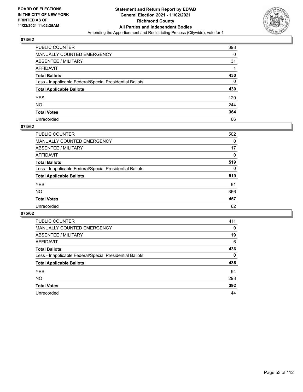

| PUBLIC COUNTER                                           | 398 |
|----------------------------------------------------------|-----|
| MANUALLY COUNTED EMERGENCY                               | 0   |
| ABSENTEE / MILITARY                                      | 31  |
| AFFIDAVIT                                                |     |
| <b>Total Ballots</b>                                     | 430 |
| Less - Inapplicable Federal/Special Presidential Ballots | 0   |
| <b>Total Applicable Ballots</b>                          | 430 |
| YES                                                      | 120 |
| NO.                                                      | 244 |
| <b>Total Votes</b>                                       | 364 |
| Unrecorded                                               | 66  |

#### **074/62**

| <b>PUBLIC COUNTER</b>                                    | 502      |
|----------------------------------------------------------|----------|
| MANUALLY COUNTED EMERGENCY                               | 0        |
| ABSENTEE / MILITARY                                      | 17       |
| AFFIDAVIT                                                | $\Omega$ |
| <b>Total Ballots</b>                                     | 519      |
| Less - Inapplicable Federal/Special Presidential Ballots | $\Omega$ |
| <b>Total Applicable Ballots</b>                          | 519      |
| <b>YES</b>                                               | 91       |
| <b>NO</b>                                                | 366      |
| <b>Total Votes</b>                                       | 457      |
| Unrecorded                                               | 62       |

| PUBLIC COUNTER                                           | 411      |
|----------------------------------------------------------|----------|
| <b>MANUALLY COUNTED EMERGENCY</b>                        | $\Omega$ |
| ABSENTEE / MILITARY                                      | 19       |
| AFFIDAVIT                                                | 6        |
| <b>Total Ballots</b>                                     | 436      |
| Less - Inapplicable Federal/Special Presidential Ballots | $\Omega$ |
| <b>Total Applicable Ballots</b>                          | 436      |
| <b>YES</b>                                               | 94       |
| <b>NO</b>                                                | 298      |
| <b>Total Votes</b>                                       | 392      |
| Unrecorded                                               | 44       |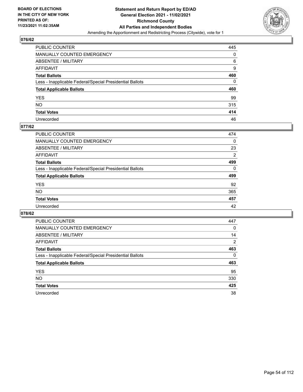

| PUBLIC COUNTER                                           | 445 |
|----------------------------------------------------------|-----|
| MANUALLY COUNTED EMERGENCY                               | 0   |
| ABSENTEE / MILITARY                                      | 6   |
| AFFIDAVIT                                                | 9   |
| <b>Total Ballots</b>                                     | 460 |
| Less - Inapplicable Federal/Special Presidential Ballots | 0   |
| <b>Total Applicable Ballots</b>                          | 460 |
| YES                                                      | 99  |
| NO.                                                      | 315 |
| <b>Total Votes</b>                                       | 414 |
| Unrecorded                                               | 46  |

#### **077/62**

| <b>PUBLIC COUNTER</b>                                    | 474            |
|----------------------------------------------------------|----------------|
| <b>MANUALLY COUNTED EMERGENCY</b>                        | 0              |
| ABSENTEE / MILITARY                                      | 23             |
| AFFIDAVIT                                                | $\overline{2}$ |
| <b>Total Ballots</b>                                     | 499            |
| Less - Inapplicable Federal/Special Presidential Ballots | $\Omega$       |
| <b>Total Applicable Ballots</b>                          | 499            |
| <b>YES</b>                                               | 92             |
| <b>NO</b>                                                | 365            |
| <b>Total Votes</b>                                       | 457            |
| Unrecorded                                               | 42             |

| PUBLIC COUNTER                                           | 447            |
|----------------------------------------------------------|----------------|
| <b>MANUALLY COUNTED EMERGENCY</b>                        | 0              |
| ABSENTEE / MILITARY                                      | 14             |
| AFFIDAVIT                                                | $\overline{2}$ |
| <b>Total Ballots</b>                                     | 463            |
| Less - Inapplicable Federal/Special Presidential Ballots | $\Omega$       |
| <b>Total Applicable Ballots</b>                          | 463            |
| <b>YES</b>                                               | 95             |
| NO.                                                      | 330            |
| <b>Total Votes</b>                                       | 425            |
| Unrecorded                                               | 38             |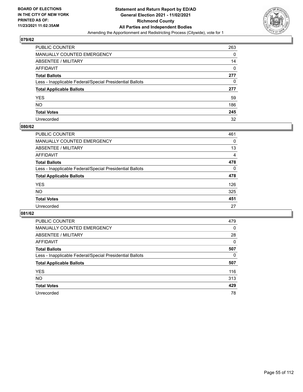

| PUBLIC COUNTER                                           | 263 |
|----------------------------------------------------------|-----|
| MANUALLY COUNTED EMERGENCY                               | 0   |
| ABSENTEE / MILITARY                                      | 14  |
| AFFIDAVIT                                                | 0   |
| <b>Total Ballots</b>                                     | 277 |
| Less - Inapplicable Federal/Special Presidential Ballots | 0   |
| <b>Total Applicable Ballots</b>                          | 277 |
| YES                                                      | 59  |
| NO.                                                      | 186 |
| <b>Total Votes</b>                                       | 245 |
| Unrecorded                                               | 32  |

#### **080/62**

| <b>PUBLIC COUNTER</b>                                    | 461            |
|----------------------------------------------------------|----------------|
| <b>MANUALLY COUNTED EMERGENCY</b>                        | 0              |
| ABSENTEE / MILITARY                                      | 13             |
| AFFIDAVIT                                                | $\overline{4}$ |
| <b>Total Ballots</b>                                     | 478            |
| Less - Inapplicable Federal/Special Presidential Ballots | $\Omega$       |
| <b>Total Applicable Ballots</b>                          | 478            |
| <b>YES</b>                                               | 126            |
| <b>NO</b>                                                | 325            |
| <b>Total Votes</b>                                       | 451            |
| Unrecorded                                               | 27             |

| PUBLIC COUNTER                                           | 479      |
|----------------------------------------------------------|----------|
| MANUALLY COUNTED EMERGENCY                               | 0        |
| ABSENTEE / MILITARY                                      | 28       |
| AFFIDAVIT                                                | $\Omega$ |
| <b>Total Ballots</b>                                     | 507      |
| Less - Inapplicable Federal/Special Presidential Ballots | 0        |
| <b>Total Applicable Ballots</b>                          | 507      |
| <b>YES</b>                                               | 116      |
| <b>NO</b>                                                | 313      |
| <b>Total Votes</b>                                       | 429      |
|                                                          |          |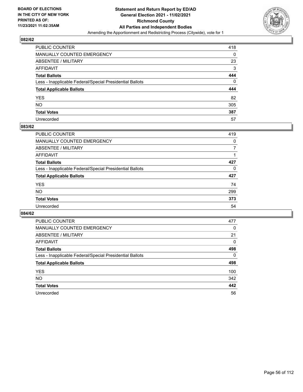

| PUBLIC COUNTER                                           | 418 |
|----------------------------------------------------------|-----|
| MANUALLY COUNTED EMERGENCY                               | 0   |
| ABSENTEE / MILITARY                                      | 23  |
| AFFIDAVIT                                                | 3   |
| <b>Total Ballots</b>                                     | 444 |
| Less - Inapplicable Federal/Special Presidential Ballots | 0   |
| <b>Total Applicable Ballots</b>                          | 444 |
| YES                                                      | 82  |
| NO.                                                      | 305 |
| <b>Total Votes</b>                                       | 387 |
| Unrecorded                                               | 57  |

#### **083/62**

| <b>PUBLIC COUNTER</b>                                    | 419      |
|----------------------------------------------------------|----------|
| <b>MANUALLY COUNTED EMERGENCY</b>                        | $\Omega$ |
| ABSENTEE / MILITARY                                      |          |
| AFFIDAVIT                                                |          |
| <b>Total Ballots</b>                                     | 427      |
| Less - Inapplicable Federal/Special Presidential Ballots | $\Omega$ |
| <b>Total Applicable Ballots</b>                          | 427      |
| <b>YES</b>                                               | 74       |
| <b>NO</b>                                                | 299      |
| <b>Total Votes</b>                                       | 373      |
| Unrecorded                                               | 54       |

| PUBLIC COUNTER                                           | 477      |
|----------------------------------------------------------|----------|
| <b>MANUALLY COUNTED EMERGENCY</b>                        | $\Omega$ |
| ABSENTEE / MILITARY                                      | 21       |
| AFFIDAVIT                                                | 0        |
| <b>Total Ballots</b>                                     | 498      |
| Less - Inapplicable Federal/Special Presidential Ballots | 0        |
| <b>Total Applicable Ballots</b>                          | 498      |
| <b>YES</b>                                               | 100      |
| NO.                                                      | 342      |
| <b>Total Votes</b>                                       | 442      |
| Unrecorded                                               | 56       |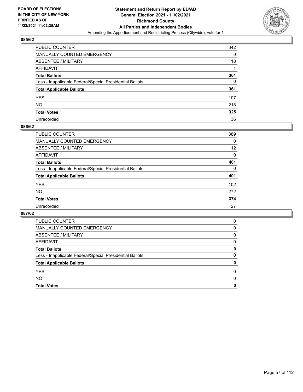

| PUBLIC COUNTER                                           | 342 |
|----------------------------------------------------------|-----|
| MANUALLY COUNTED EMERGENCY                               | 0   |
| <b>ABSENTEE / MILITARY</b>                               | 18  |
| <b>AFFIDAVIT</b>                                         |     |
| <b>Total Ballots</b>                                     | 361 |
| Less - Inapplicable Federal/Special Presidential Ballots | 0   |
| <b>Total Applicable Ballots</b>                          | 361 |
| <b>YES</b>                                               | 107 |
| <b>NO</b>                                                | 218 |
| <b>Total Votes</b>                                       | 325 |
| Unrecorded                                               | 36  |

#### **086/62**

| PUBLIC COUNTER                                           | 389      |
|----------------------------------------------------------|----------|
| <b>MANUALLY COUNTED EMERGENCY</b>                        | $\Omega$ |
| <b>ABSENTEE / MILITARY</b>                               | 12       |
| <b>AFFIDAVIT</b>                                         | $\Omega$ |
| <b>Total Ballots</b>                                     | 401      |
| Less - Inapplicable Federal/Special Presidential Ballots | 0        |
| <b>Total Applicable Ballots</b>                          | 401      |
| <b>YES</b>                                               | 102      |
| <b>NO</b>                                                | 272      |
| <b>Total Votes</b>                                       | 374      |
| Unrecorded                                               | 27       |

| <b>Total Votes</b>                                       | 0        |
|----------------------------------------------------------|----------|
| <b>NO</b>                                                | 0        |
| <b>YES</b>                                               | 0        |
| <b>Total Applicable Ballots</b>                          | 0        |
| Less - Inapplicable Federal/Special Presidential Ballots | 0        |
| <b>Total Ballots</b>                                     | 0        |
| AFFIDAVIT                                                | 0        |
| ABSENTEE / MILITARY                                      | $\Omega$ |
| <b>MANUALLY COUNTED EMERGENCY</b>                        | 0        |
| PUBLIC COUNTER                                           | 0        |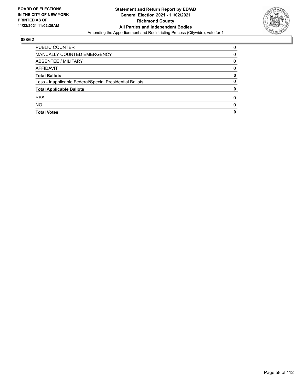

| <b>PUBLIC COUNTER</b>                                    | 0            |
|----------------------------------------------------------|--------------|
| MANUALLY COUNTED EMERGENCY                               | 0            |
| ABSENTEE / MILITARY                                      | 0            |
| AFFIDAVIT                                                | 0            |
| <b>Total Ballots</b>                                     | 0            |
| Less - Inapplicable Federal/Special Presidential Ballots | 0            |
| <b>Total Applicable Ballots</b>                          | 0            |
| <b>YES</b>                                               | 0            |
| <b>NO</b>                                                | <sup>0</sup> |
| <b>Total Votes</b>                                       | 0            |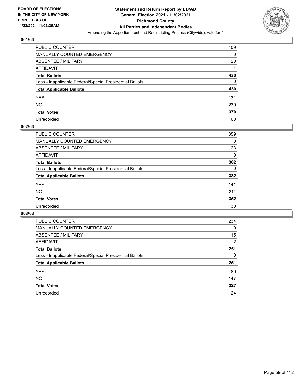

| PUBLIC COUNTER                                           | 409 |
|----------------------------------------------------------|-----|
| <b>MANUALLY COUNTED EMERGENCY</b>                        | 0   |
| ABSENTEE / MILITARY                                      | 20  |
| AFFIDAVIT                                                |     |
| <b>Total Ballots</b>                                     | 430 |
| Less - Inapplicable Federal/Special Presidential Ballots | 0   |
| <b>Total Applicable Ballots</b>                          | 430 |
| YES                                                      | 131 |
| NO.                                                      | 239 |
| <b>Total Votes</b>                                       | 370 |
| Unrecorded                                               | 60  |

#### **002/63**

| <b>PUBLIC COUNTER</b>                                    | 359      |
|----------------------------------------------------------|----------|
| <b>MANUALLY COUNTED EMERGENCY</b>                        | 0        |
| ABSENTEE / MILITARY                                      | 23       |
| AFFIDAVIT                                                | 0        |
| <b>Total Ballots</b>                                     | 382      |
| Less - Inapplicable Federal/Special Presidential Ballots | $\Omega$ |
| <b>Total Applicable Ballots</b>                          | 382      |
| <b>YES</b>                                               | 141      |
| <b>NO</b>                                                | 211      |
| <b>Total Votes</b>                                       | 352      |
| Unrecorded                                               | 30       |

| PUBLIC COUNTER                                           | 234            |
|----------------------------------------------------------|----------------|
| <b>MANUALLY COUNTED EMERGENCY</b>                        | $\Omega$       |
| ABSENTEE / MILITARY                                      | 15             |
| AFFIDAVIT                                                | $\overline{2}$ |
| <b>Total Ballots</b>                                     | 251            |
| Less - Inapplicable Federal/Special Presidential Ballots | 0              |
| <b>Total Applicable Ballots</b>                          | 251            |
| <b>YES</b>                                               | 80             |
| <b>NO</b>                                                | 147            |
| <b>Total Votes</b>                                       | 227            |
| Unrecorded                                               | 24             |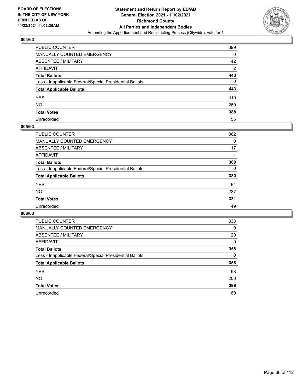

| PUBLIC COUNTER                                           | 399            |
|----------------------------------------------------------|----------------|
| MANUALLY COUNTED EMERGENCY                               | 0              |
| <b>ABSENTEE / MILITARY</b>                               | 42             |
| <b>AFFIDAVIT</b>                                         | $\overline{2}$ |
| <b>Total Ballots</b>                                     | 443            |
| Less - Inapplicable Federal/Special Presidential Ballots | $\Omega$       |
| <b>Total Applicable Ballots</b>                          | 443            |
| <b>YES</b>                                               | 119            |
| NO.                                                      | 269            |
| <b>Total Votes</b>                                       | 388            |
| Unrecorded                                               | 55             |

#### **005/63**

| <b>PUBLIC COUNTER</b>                                    | 362      |
|----------------------------------------------------------|----------|
| MANUALLY COUNTED EMERGENCY                               | 0        |
| ABSENTEE / MILITARY                                      | 17       |
| AFFIDAVIT                                                |          |
| <b>Total Ballots</b>                                     | 380      |
| Less - Inapplicable Federal/Special Presidential Ballots | $\Omega$ |
| <b>Total Applicable Ballots</b>                          | 380      |
| <b>YES</b>                                               | 94       |
| <b>NO</b>                                                | 237      |
| <b>Total Votes</b>                                       | 331      |
| Unrecorded                                               | 49       |

| PUBLIC COUNTER                                           | 338 |
|----------------------------------------------------------|-----|
| <b>MANUALLY COUNTED EMERGENCY</b>                        | 0   |
| ABSENTEE / MILITARY                                      | 20  |
| AFFIDAVIT                                                | 0   |
| <b>Total Ballots</b>                                     | 358 |
| Less - Inapplicable Federal/Special Presidential Ballots | 0   |
| <b>Total Applicable Ballots</b>                          | 358 |
| <b>YES</b>                                               | 98  |
| NO.                                                      | 200 |
| <b>Total Votes</b>                                       | 298 |
| Unrecorded                                               | 60  |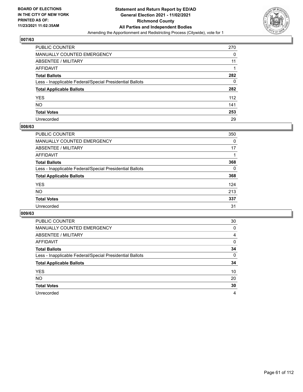

| PUBLIC COUNTER                                           | 270 |
|----------------------------------------------------------|-----|
| MANUALLY COUNTED EMERGENCY                               | 0   |
| ABSENTEE / MILITARY                                      | 11  |
| AFFIDAVIT                                                |     |
| <b>Total Ballots</b>                                     | 282 |
| Less - Inapplicable Federal/Special Presidential Ballots | 0   |
| <b>Total Applicable Ballots</b>                          | 282 |
| YES                                                      | 112 |
| NΟ                                                       | 141 |
| <b>Total Votes</b>                                       | 253 |
| Unrecorded                                               | 29  |

#### **008/63**

| <b>PUBLIC COUNTER</b>                                    | 350      |
|----------------------------------------------------------|----------|
| <b>MANUALLY COUNTED EMERGENCY</b>                        | 0        |
| ABSENTEE / MILITARY                                      | 17       |
| AFFIDAVIT                                                |          |
| <b>Total Ballots</b>                                     | 368      |
| Less - Inapplicable Federal/Special Presidential Ballots | $\Omega$ |
| <b>Total Applicable Ballots</b>                          | 368      |
| <b>YES</b>                                               | 124      |
| <b>NO</b>                                                | 213      |
| <b>Total Votes</b>                                       | 337      |
| Unrecorded                                               | 31       |

| PUBLIC COUNTER                                           | 30       |
|----------------------------------------------------------|----------|
| <b>MANUALLY COUNTED EMERGENCY</b>                        | 0        |
| ABSENTEE / MILITARY                                      | 4        |
| AFFIDAVIT                                                | $\Omega$ |
| <b>Total Ballots</b>                                     | 34       |
| Less - Inapplicable Federal/Special Presidential Ballots | $\Omega$ |
| <b>Total Applicable Ballots</b>                          | 34       |
| <b>YES</b>                                               | 10       |
| <b>NO</b>                                                | 20       |
| <b>Total Votes</b>                                       | 30       |
| Unrecorded                                               | 4        |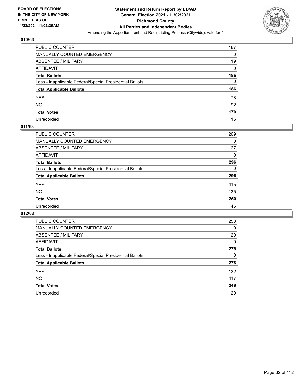

| PUBLIC COUNTER                                           | 167 |
|----------------------------------------------------------|-----|
| MANUALLY COUNTED EMERGENCY                               | 0   |
| ABSENTEE / MILITARY                                      | 19  |
| AFFIDAVIT                                                | 0   |
| <b>Total Ballots</b>                                     | 186 |
| Less - Inapplicable Federal/Special Presidential Ballots | 0   |
| <b>Total Applicable Ballots</b>                          | 186 |
| YES                                                      | 78  |
| NO.                                                      | 92  |
| <b>Total Votes</b>                                       | 170 |
| Unrecorded                                               | 16  |

#### **011/63**

| <b>PUBLIC COUNTER</b>                                    | 269      |
|----------------------------------------------------------|----------|
| MANUALLY COUNTED EMERGENCY                               | 0        |
| ABSENTEE / MILITARY                                      | 27       |
| AFFIDAVIT                                                | $\Omega$ |
| <b>Total Ballots</b>                                     | 296      |
| Less - Inapplicable Federal/Special Presidential Ballots | $\Omega$ |
| <b>Total Applicable Ballots</b>                          | 296      |
| <b>YES</b>                                               | 115      |
| <b>NO</b>                                                | 135      |
| <b>Total Votes</b>                                       | 250      |
| Unrecorded                                               | 46       |

| PUBLIC COUNTER                                           | 258      |
|----------------------------------------------------------|----------|
| MANUALLY COUNTED EMERGENCY                               | $\Omega$ |
| ABSENTEE / MILITARY                                      | 20       |
| AFFIDAVIT                                                | $\Omega$ |
| <b>Total Ballots</b>                                     | 278      |
| Less - Inapplicable Federal/Special Presidential Ballots | 0        |
| <b>Total Applicable Ballots</b>                          | 278      |
| <b>YES</b>                                               | 132      |
| NO.                                                      | 117      |
| <b>Total Votes</b>                                       | 249      |
| Unrecorded                                               | 29       |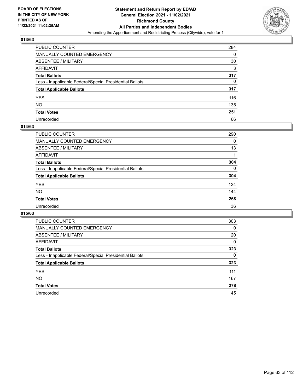

| PUBLIC COUNTER                                           | 284 |
|----------------------------------------------------------|-----|
| MANUALLY COUNTED EMERGENCY                               | 0   |
| <b>ABSENTEE / MILITARY</b>                               | 30  |
| <b>AFFIDAVIT</b>                                         | 3   |
| <b>Total Ballots</b>                                     | 317 |
| Less - Inapplicable Federal/Special Presidential Ballots | 0   |
| <b>Total Applicable Ballots</b>                          | 317 |
| YES                                                      | 116 |
| NO                                                       | 135 |
| <b>Total Votes</b>                                       | 251 |
| Unrecorded                                               | 66  |

#### **014/63**

| <b>PUBLIC COUNTER</b>                                    | 290      |
|----------------------------------------------------------|----------|
| <b>MANUALLY COUNTED EMERGENCY</b>                        | 0        |
| <b>ABSENTEE / MILITARY</b>                               | 13       |
| AFFIDAVIT                                                |          |
| <b>Total Ballots</b>                                     | 304      |
| Less - Inapplicable Federal/Special Presidential Ballots | $\Omega$ |
| <b>Total Applicable Ballots</b>                          | 304      |
| <b>YES</b>                                               | 124      |
| <b>NO</b>                                                | 144      |
| <b>Total Votes</b>                                       | 268      |
| Unrecorded                                               | 36       |

| PUBLIC COUNTER                                           | 303      |
|----------------------------------------------------------|----------|
| MANUALLY COUNTED EMERGENCY                               | 0        |
| ABSENTEE / MILITARY                                      | 20       |
| AFFIDAVIT                                                | $\Omega$ |
| <b>Total Ballots</b>                                     | 323      |
| Less - Inapplicable Federal/Special Presidential Ballots | $\Omega$ |
| <b>Total Applicable Ballots</b>                          | 323      |
| <b>YES</b>                                               | 111      |
| <b>NO</b>                                                | 167      |
| <b>Total Votes</b>                                       | 278      |
| Unrecorded                                               | 45       |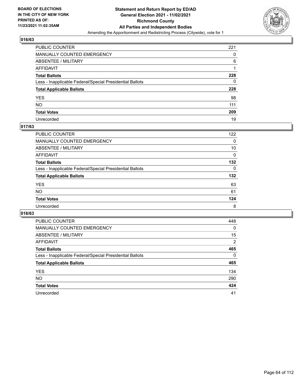

| PUBLIC COUNTER                                           | 221 |
|----------------------------------------------------------|-----|
| MANUALLY COUNTED EMERGENCY                               | 0   |
| ABSENTEE / MILITARY                                      | 6   |
| AFFIDAVIT                                                |     |
| <b>Total Ballots</b>                                     | 228 |
| Less - Inapplicable Federal/Special Presidential Ballots | 0   |
| <b>Total Applicable Ballots</b>                          | 228 |
| YES                                                      | 98  |
| NO.                                                      | 111 |
| <b>Total Votes</b>                                       | 209 |
| Unrecorded                                               | 19  |

### **017/63**

| <b>PUBLIC COUNTER</b>                                    | 122 |
|----------------------------------------------------------|-----|
| MANUALLY COUNTED EMERGENCY                               | 0   |
| ABSENTEE / MILITARY                                      | 10  |
| AFFIDAVIT                                                | 0   |
| <b>Total Ballots</b>                                     | 132 |
| Less - Inapplicable Federal/Special Presidential Ballots | 0   |
| <b>Total Applicable Ballots</b>                          | 132 |
| <b>YES</b>                                               | 63  |
| <b>NO</b>                                                | 61  |
| <b>Total Votes</b>                                       | 124 |
| Unrecorded                                               | 8   |

| PUBLIC COUNTER                                           | 448            |
|----------------------------------------------------------|----------------|
| <b>MANUALLY COUNTED EMERGENCY</b>                        | $\Omega$       |
| ABSENTEE / MILITARY                                      | 15             |
| AFFIDAVIT                                                | $\overline{2}$ |
| <b>Total Ballots</b>                                     | 465            |
| Less - Inapplicable Federal/Special Presidential Ballots | $\Omega$       |
| <b>Total Applicable Ballots</b>                          | 465            |
| <b>YES</b>                                               | 134            |
| <b>NO</b>                                                | 290            |
| <b>Total Votes</b>                                       | 424            |
| Unrecorded                                               | 41             |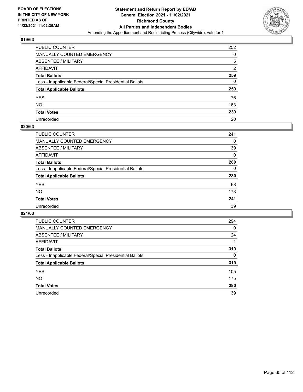

| PUBLIC COUNTER                                           | 252            |
|----------------------------------------------------------|----------------|
| MANUALLY COUNTED EMERGENCY                               | 0              |
| ABSENTEE / MILITARY                                      | 5              |
| AFFIDAVIT                                                | $\overline{2}$ |
| <b>Total Ballots</b>                                     | 259            |
| Less - Inapplicable Federal/Special Presidential Ballots | 0              |
| <b>Total Applicable Ballots</b>                          | 259            |
| YES                                                      | 76             |
| NO.                                                      | 163            |
| <b>Total Votes</b>                                       | 239            |
| Unrecorded                                               | 20             |

#### **020/63**

| <b>PUBLIC COUNTER</b>                                    | 241      |
|----------------------------------------------------------|----------|
| MANUALLY COUNTED EMERGENCY                               | 0        |
| ABSENTEE / MILITARY                                      | 39       |
| AFFIDAVIT                                                | $\Omega$ |
| <b>Total Ballots</b>                                     | 280      |
| Less - Inapplicable Federal/Special Presidential Ballots | $\Omega$ |
| <b>Total Applicable Ballots</b>                          | 280      |
| <b>YES</b>                                               | 68       |
| <b>NO</b>                                                | 173      |
| <b>Total Votes</b>                                       | 241      |
| Unrecorded                                               | 39       |

| PUBLIC COUNTER                                           | 294      |
|----------------------------------------------------------|----------|
| MANUALLY COUNTED EMERGENCY                               | 0        |
| ABSENTEE / MILITARY                                      | 24       |
| AFFIDAVIT                                                |          |
| <b>Total Ballots</b>                                     | 319      |
| Less - Inapplicable Federal/Special Presidential Ballots | $\Omega$ |
| <b>Total Applicable Ballots</b>                          | 319      |
| <b>YES</b>                                               | 105      |
| <b>NO</b>                                                | 175      |
| <b>Total Votes</b>                                       | 280      |
| Unrecorded                                               | 39       |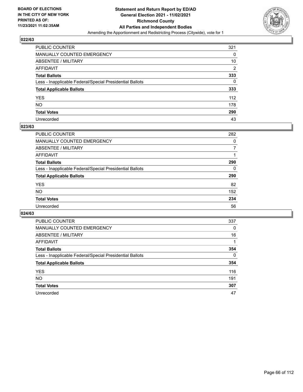

| PUBLIC COUNTER                                           | 321            |
|----------------------------------------------------------|----------------|
| MANUALLY COUNTED EMERGENCY                               | 0              |
| ABSENTEE / MILITARY                                      | 10             |
| AFFIDAVIT                                                | $\overline{2}$ |
| Total Ballots                                            | 333            |
| Less - Inapplicable Federal/Special Presidential Ballots | 0              |
| <b>Total Applicable Ballots</b>                          | 333            |
| YES                                                      | 112            |
| NO.                                                      | 178            |
| <b>Total Votes</b>                                       | 290            |
| Unrecorded                                               | 43             |

#### **023/63**

| <b>PUBLIC COUNTER</b>                                    | 282      |
|----------------------------------------------------------|----------|
| MANUALLY COUNTED EMERGENCY                               | 0        |
| ABSENTEE / MILITARY                                      |          |
| AFFIDAVIT                                                |          |
| <b>Total Ballots</b>                                     | 290      |
| Less - Inapplicable Federal/Special Presidential Ballots | $\Omega$ |
| <b>Total Applicable Ballots</b>                          | 290      |
| <b>YES</b>                                               | 82       |
| <b>NO</b>                                                | 152      |
| <b>Total Votes</b>                                       | 234      |
| Unrecorded                                               | 56       |

| PUBLIC COUNTER                                           | 337      |
|----------------------------------------------------------|----------|
| <b>MANUALLY COUNTED EMERGENCY</b>                        | $\Omega$ |
| ABSENTEE / MILITARY                                      | 16       |
| AFFIDAVIT                                                |          |
| <b>Total Ballots</b>                                     | 354      |
| Less - Inapplicable Federal/Special Presidential Ballots | $\Omega$ |
| <b>Total Applicable Ballots</b>                          | 354      |
| <b>YES</b>                                               | 116      |
| <b>NO</b>                                                | 191      |
| <b>Total Votes</b>                                       | 307      |
| Unrecorded                                               | 47       |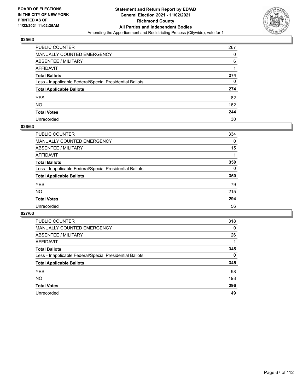

| PUBLIC COUNTER                                           | 267 |
|----------------------------------------------------------|-----|
| MANUALLY COUNTED EMERGENCY                               | 0   |
| ABSENTEE / MILITARY                                      | 6   |
| AFFIDAVIT                                                |     |
| Total Ballots                                            | 274 |
| Less - Inapplicable Federal/Special Presidential Ballots | 0   |
| <b>Total Applicable Ballots</b>                          | 274 |
| YES                                                      | 82  |
| NO.                                                      | 162 |
| <b>Total Votes</b>                                       | 244 |
| Unrecorded                                               | 30  |

#### **026/63**

| <b>PUBLIC COUNTER</b>                                    | 334      |
|----------------------------------------------------------|----------|
| <b>MANUALLY COUNTED EMERGENCY</b>                        | $\Omega$ |
| <b>ABSENTEE / MILITARY</b>                               | 15       |
| AFFIDAVIT                                                |          |
| <b>Total Ballots</b>                                     | 350      |
| Less - Inapplicable Federal/Special Presidential Ballots | $\Omega$ |
| <b>Total Applicable Ballots</b>                          | 350      |
| <b>YES</b>                                               | 79       |
| <b>NO</b>                                                | 215      |
| <b>Total Votes</b>                                       | 294      |
| Unrecorded                                               | 56       |

| PUBLIC COUNTER                                           | 318      |
|----------------------------------------------------------|----------|
| <b>MANUALLY COUNTED EMERGENCY</b>                        | $\Omega$ |
| ABSENTEE / MILITARY                                      | 26       |
| AFFIDAVIT                                                |          |
| <b>Total Ballots</b>                                     | 345      |
| Less - Inapplicable Federal/Special Presidential Ballots | $\Omega$ |
| <b>Total Applicable Ballots</b>                          | 345      |
| <b>YES</b>                                               | 98       |
| NO.                                                      | 198      |
| <b>Total Votes</b>                                       | 296      |
| Unrecorded                                               | 49       |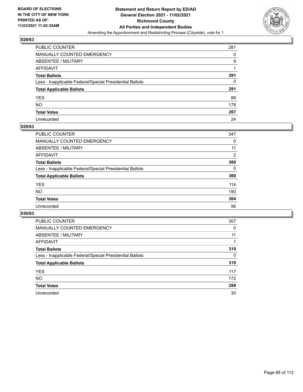

| PUBLIC COUNTER                                           | 281 |
|----------------------------------------------------------|-----|
| MANUALLY COUNTED EMERGENCY                               | 0   |
| <b>ABSENTEE / MILITARY</b>                               | 9   |
| <b>AFFIDAVIT</b>                                         |     |
| <b>Total Ballots</b>                                     | 291 |
| Less - Inapplicable Federal/Special Presidential Ballots | 0   |
| <b>Total Applicable Ballots</b>                          | 291 |
| YES                                                      | 89  |
| NO.                                                      | 178 |
| <b>Total Votes</b>                                       | 267 |
| Unrecorded                                               | 24  |

#### **029/63**

| PUBLIC COUNTER                                           | 347            |
|----------------------------------------------------------|----------------|
| <b>MANUALLY COUNTED EMERGENCY</b>                        | 0              |
| ABSENTEE / MILITARY                                      | 11             |
| <b>AFFIDAVIT</b>                                         | $\overline{2}$ |
| <b>Total Ballots</b>                                     | 360            |
| Less - Inapplicable Federal/Special Presidential Ballots | $\Omega$       |
| <b>Total Applicable Ballots</b>                          | 360            |
| <b>YES</b>                                               | 114            |
| <b>NO</b>                                                | 190            |
| <b>Total Votes</b>                                       | 304            |
| Unrecorded                                               | 56             |

| PUBLIC COUNTER                                           | 307      |
|----------------------------------------------------------|----------|
| <b>MANUALLY COUNTED EMERGENCY</b>                        | 0        |
| ABSENTEE / MILITARY                                      | 11       |
| AFFIDAVIT                                                |          |
| <b>Total Ballots</b>                                     | 319      |
| Less - Inapplicable Federal/Special Presidential Ballots | $\Omega$ |
| <b>Total Applicable Ballots</b>                          | 319      |
| <b>YES</b>                                               | 117      |
| <b>NO</b>                                                | 172      |
| <b>Total Votes</b>                                       | 289      |
| Unrecorded                                               | 30       |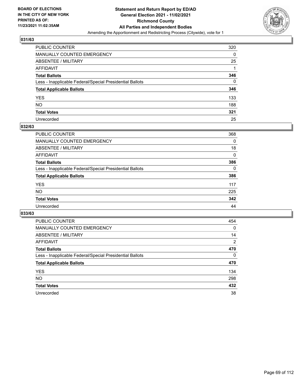

| PUBLIC COUNTER                                           | 320 |
|----------------------------------------------------------|-----|
| MANUALLY COUNTED EMERGENCY                               | 0   |
| ABSENTEE / MILITARY                                      | 25  |
| AFFIDAVIT                                                |     |
| <b>Total Ballots</b>                                     | 346 |
| Less - Inapplicable Federal/Special Presidential Ballots | 0   |
| <b>Total Applicable Ballots</b>                          | 346 |
| YES                                                      | 133 |
| NO.                                                      | 188 |
| <b>Total Votes</b>                                       | 321 |
| Unrecorded                                               | 25  |

#### **032/63**

| <b>PUBLIC COUNTER</b>                                    | 368      |
|----------------------------------------------------------|----------|
| MANUALLY COUNTED EMERGENCY                               | 0        |
| ABSENTEE / MILITARY                                      | 18       |
| AFFIDAVIT                                                | 0        |
| <b>Total Ballots</b>                                     | 386      |
| Less - Inapplicable Federal/Special Presidential Ballots | $\Omega$ |
| <b>Total Applicable Ballots</b>                          | 386      |
| <b>YES</b>                                               | 117      |
| <b>NO</b>                                                | 225      |
| <b>Total Votes</b>                                       | 342      |
| Unrecorded                                               | 44       |

| PUBLIC COUNTER                                           | 454      |
|----------------------------------------------------------|----------|
| MANUALLY COUNTED EMERGENCY                               | 0        |
| ABSENTEE / MILITARY                                      | 14       |
| AFFIDAVIT                                                | 2        |
| <b>Total Ballots</b>                                     | 470      |
| Less - Inapplicable Federal/Special Presidential Ballots | $\Omega$ |
| <b>Total Applicable Ballots</b>                          | 470      |
| <b>YES</b>                                               | 134      |
| <b>NO</b>                                                | 298      |
| <b>Total Votes</b>                                       | 432      |
| Unrecorded                                               | 38       |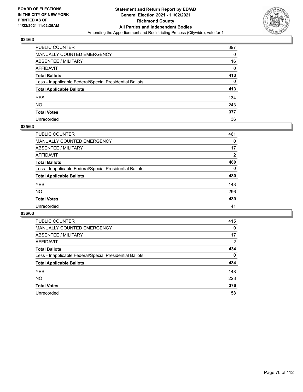

| PUBLIC COUNTER                                           | 397 |
|----------------------------------------------------------|-----|
| MANUALLY COUNTED EMERGENCY                               | 0   |
| ABSENTEE / MILITARY                                      | 16  |
| AFFIDAVIT                                                | 0   |
| <b>Total Ballots</b>                                     | 413 |
| Less - Inapplicable Federal/Special Presidential Ballots | 0   |
| <b>Total Applicable Ballots</b>                          | 413 |
| YES                                                      | 134 |
| NO.                                                      | 243 |
| <b>Total Votes</b>                                       | 377 |
| Unrecorded                                               | 36  |

#### **035/63**

| <b>PUBLIC COUNTER</b>                                    | 461      |
|----------------------------------------------------------|----------|
| MANUALLY COUNTED EMERGENCY                               | 0        |
| ABSENTEE / MILITARY                                      | 17       |
| AFFIDAVIT                                                | 2        |
| <b>Total Ballots</b>                                     | 480      |
| Less - Inapplicable Federal/Special Presidential Ballots | $\Omega$ |
| <b>Total Applicable Ballots</b>                          | 480      |
| <b>YES</b>                                               | 143      |
| <b>NO</b>                                                | 296      |
| <b>Total Votes</b>                                       | 439      |
| Unrecorded                                               | 41       |

| PUBLIC COUNTER                                           | 415            |
|----------------------------------------------------------|----------------|
| <b>MANUALLY COUNTED EMERGENCY</b>                        | 0              |
| ABSENTEE / MILITARY                                      | 17             |
| AFFIDAVIT                                                | $\overline{2}$ |
| <b>Total Ballots</b>                                     | 434            |
| Less - Inapplicable Federal/Special Presidential Ballots | $\Omega$       |
| <b>Total Applicable Ballots</b>                          | 434            |
| <b>YES</b>                                               | 148            |
| NO.                                                      | 228            |
| <b>Total Votes</b>                                       | 376            |
| Unrecorded                                               | 58             |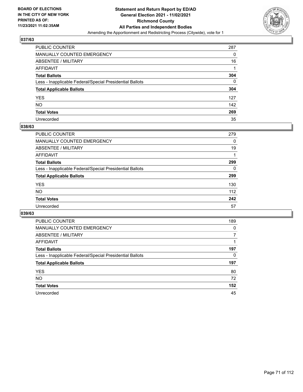

| PUBLIC COUNTER                                           | 287 |
|----------------------------------------------------------|-----|
| <b>MANUALLY COUNTED EMERGENCY</b>                        | 0   |
| <b>ABSENTEE / MILITARY</b>                               | 16  |
| AFFIDAVIT                                                |     |
| <b>Total Ballots</b>                                     | 304 |
| Less - Inapplicable Federal/Special Presidential Ballots | 0   |
| <b>Total Applicable Ballots</b>                          | 304 |
| YES                                                      | 127 |
| NO.                                                      | 142 |
| <b>Total Votes</b>                                       | 269 |
| Unrecorded                                               | 35  |

#### **038/63**

| <b>PUBLIC COUNTER</b>                                    | 279      |
|----------------------------------------------------------|----------|
| <b>MANUALLY COUNTED EMERGENCY</b>                        | $\Omega$ |
| ABSENTEE / MILITARY                                      | 19       |
| AFFIDAVIT                                                |          |
| <b>Total Ballots</b>                                     | 299      |
| Less - Inapplicable Federal/Special Presidential Ballots | 0        |
| <b>Total Applicable Ballots</b>                          | 299      |
| <b>YES</b>                                               | 130      |
| <b>NO</b>                                                | 112      |
| <b>Total Votes</b>                                       | 242      |
| Unrecorded                                               | 57       |

| PUBLIC COUNTER                                           | 189 |
|----------------------------------------------------------|-----|
| <b>MANUALLY COUNTED EMERGENCY</b>                        | 0   |
| ABSENTEE / MILITARY                                      | 7   |
| AFFIDAVIT                                                |     |
| <b>Total Ballots</b>                                     | 197 |
| Less - Inapplicable Federal/Special Presidential Ballots | 0   |
| <b>Total Applicable Ballots</b>                          | 197 |
| <b>YES</b>                                               | 80  |
| <b>NO</b>                                                | 72  |
| <b>Total Votes</b>                                       | 152 |
| Unrecorded                                               | 45  |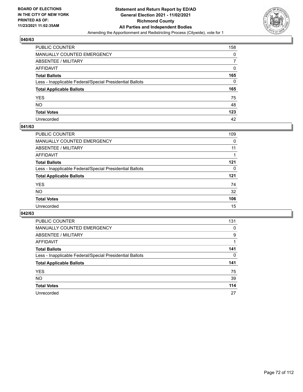

| PUBLIC COUNTER                                           | 158      |
|----------------------------------------------------------|----------|
| MANUALLY COUNTED EMERGENCY                               | 0        |
| <b>ABSENTEE / MILITARY</b>                               |          |
| AFFIDAVIT                                                | $\Omega$ |
| <b>Total Ballots</b>                                     | 165      |
| Less - Inapplicable Federal/Special Presidential Ballots | $\Omega$ |
| <b>Total Applicable Ballots</b>                          | 165      |
| YES                                                      | 75       |
| NO.                                                      | 48       |
| <b>Total Votes</b>                                       | 123      |
| Unrecorded                                               | 42       |

#### **041/63**

| <b>PUBLIC COUNTER</b>                                    | 109      |
|----------------------------------------------------------|----------|
| <b>MANUALLY COUNTED EMERGENCY</b>                        | 0        |
| ABSENTEE / MILITARY                                      | 11       |
| AFFIDAVIT                                                |          |
| <b>Total Ballots</b>                                     | 121      |
| Less - Inapplicable Federal/Special Presidential Ballots | $\Omega$ |
| <b>Total Applicable Ballots</b>                          | 121      |
| <b>YES</b>                                               | 74       |
| <b>NO</b>                                                | 32       |
| <b>Total Votes</b>                                       | 106      |
| Unrecorded                                               | 15       |

| PUBLIC COUNTER                                           | 131 |
|----------------------------------------------------------|-----|
| MANUALLY COUNTED EMERGENCY                               | 0   |
| ABSENTEE / MILITARY                                      | 9   |
| AFFIDAVIT                                                |     |
| <b>Total Ballots</b>                                     | 141 |
| Less - Inapplicable Federal/Special Presidential Ballots | 0   |
| <b>Total Applicable Ballots</b>                          | 141 |
| <b>YES</b>                                               | 75  |
| NO.                                                      | 39  |
| <b>Total Votes</b>                                       | 114 |
| Unrecorded                                               | 27  |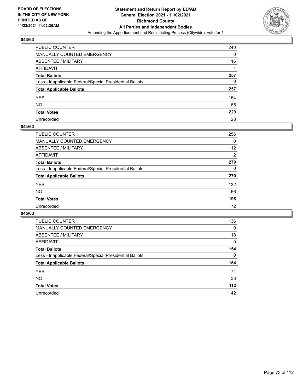

| PUBLIC COUNTER                                           | 240 |
|----------------------------------------------------------|-----|
| <b>MANUALLY COUNTED EMERGENCY</b>                        | 0   |
| <b>ABSENTEE / MILITARY</b>                               | 16  |
| <b>AFFIDAVIT</b>                                         |     |
| <b>Total Ballots</b>                                     | 257 |
| Less - Inapplicable Federal/Special Presidential Ballots | 0   |
| <b>Total Applicable Ballots</b>                          | 257 |
| <b>YES</b>                                               | 164 |
| <b>NO</b>                                                | 65  |
| <b>Total Votes</b>                                       | 229 |
| Unrecorded                                               | 28  |

#### **044/63**

| PUBLIC COUNTER                                           | 256      |
|----------------------------------------------------------|----------|
| MANUALLY COUNTED EMERGENCY                               | 0        |
| ABSENTEE / MILITARY                                      | 12       |
| AFFIDAVIT                                                | 2        |
| <b>Total Ballots</b>                                     | 270      |
| Less - Inapplicable Federal/Special Presidential Ballots | $\Omega$ |
| <b>Total Applicable Ballots</b>                          | 270      |
| <b>YES</b>                                               | 132      |
| <b>NO</b>                                                | 66       |
| <b>Total Votes</b>                                       | 198      |
| Unrecorded                                               | 72       |

| <b>PUBLIC COUNTER</b>                                    | 136      |
|----------------------------------------------------------|----------|
| <b>MANUALLY COUNTED EMERGENCY</b>                        | $\Omega$ |
| ABSENTEE / MILITARY                                      | 18       |
| AFFIDAVIT                                                | 0        |
| <b>Total Ballots</b>                                     | 154      |
| Less - Inapplicable Federal/Special Presidential Ballots | $\Omega$ |
| <b>Total Applicable Ballots</b>                          | 154      |
| <b>YES</b>                                               | 74       |
| NO.                                                      | 38       |
| <b>Total Votes</b>                                       | 112      |
| Unrecorded                                               | 42       |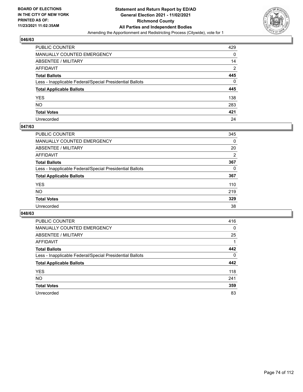

| PUBLIC COUNTER                                           | 429            |
|----------------------------------------------------------|----------------|
| MANUALLY COUNTED EMERGENCY                               | 0              |
| <b>ABSENTEE / MILITARY</b>                               | 14             |
| AFFIDAVIT                                                | $\overline{2}$ |
| <b>Total Ballots</b>                                     | 445            |
| Less - Inapplicable Federal/Special Presidential Ballots | $\Omega$       |
| <b>Total Applicable Ballots</b>                          | 445            |
| YES                                                      | 138            |
| NO.                                                      | 283            |
| <b>Total Votes</b>                                       | 421            |
| Unrecorded                                               | 24             |

#### **047/63**

| PUBLIC COUNTER                                           | 345      |
|----------------------------------------------------------|----------|
| <b>MANUALLY COUNTED EMERGENCY</b>                        | 0        |
| <b>ABSENTEE / MILITARY</b>                               | 20       |
| AFFIDAVIT                                                | 2        |
| <b>Total Ballots</b>                                     | 367      |
| Less - Inapplicable Federal/Special Presidential Ballots | $\Omega$ |
| <b>Total Applicable Ballots</b>                          | 367      |
| <b>YES</b>                                               | 110      |
| <b>NO</b>                                                | 219      |
| <b>Total Votes</b>                                       | 329      |
| Unrecorded                                               | 38       |

| <b>PUBLIC COUNTER</b>                                    | 416      |
|----------------------------------------------------------|----------|
| <b>MANUALLY COUNTED EMERGENCY</b>                        | 0        |
| ABSENTEE / MILITARY                                      | 25       |
| AFFIDAVIT                                                |          |
| <b>Total Ballots</b>                                     | 442      |
| Less - Inapplicable Federal/Special Presidential Ballots | $\Omega$ |
| <b>Total Applicable Ballots</b>                          | 442      |
| <b>YES</b>                                               | 118      |
| NO.                                                      | 241      |
| <b>Total Votes</b>                                       | 359      |
| Unrecorded                                               | 83       |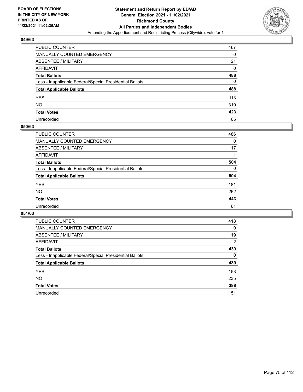

| PUBLIC COUNTER                                           | 467 |
|----------------------------------------------------------|-----|
| MANUALLY COUNTED EMERGENCY                               | 0   |
| ABSENTEE / MILITARY                                      | 21  |
| AFFIDAVIT                                                | 0   |
| <b>Total Ballots</b>                                     | 488 |
| Less - Inapplicable Federal/Special Presidential Ballots | 0   |
| <b>Total Applicable Ballots</b>                          | 488 |
| YES                                                      | 113 |
| NΟ                                                       | 310 |
| <b>Total Votes</b>                                       | 423 |
| Unrecorded                                               | 65  |

#### **050/63**

| <b>PUBLIC COUNTER</b>                                    | 486      |
|----------------------------------------------------------|----------|
| MANUALLY COUNTED EMERGENCY                               | 0        |
| ABSENTEE / MILITARY                                      | 17       |
| AFFIDAVIT                                                |          |
| <b>Total Ballots</b>                                     | 504      |
| Less - Inapplicable Federal/Special Presidential Ballots | $\Omega$ |
| <b>Total Applicable Ballots</b>                          | 504      |
| <b>YES</b>                                               | 181      |
| <b>NO</b>                                                | 262      |
| <b>Total Votes</b>                                       | 443      |
| Unrecorded                                               | 61       |

| <b>PUBLIC COUNTER</b>                                    | 418            |
|----------------------------------------------------------|----------------|
| <b>MANUALLY COUNTED EMERGENCY</b>                        | $\Omega$       |
| ABSENTEE / MILITARY                                      | 19             |
| AFFIDAVIT                                                | $\overline{2}$ |
| <b>Total Ballots</b>                                     | 439            |
| Less - Inapplicable Federal/Special Presidential Ballots | $\Omega$       |
| <b>Total Applicable Ballots</b>                          | 439            |
| <b>YES</b>                                               | 153            |
| <b>NO</b>                                                | 235            |
| <b>Total Votes</b>                                       | 388            |
| Unrecorded                                               | 51             |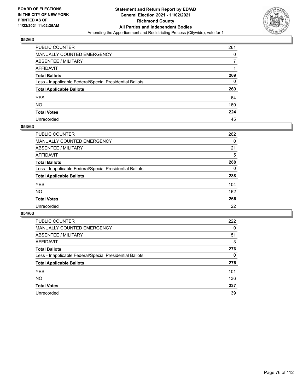

| PUBLIC COUNTER                                           | 261 |
|----------------------------------------------------------|-----|
| MANUALLY COUNTED EMERGENCY                               | 0   |
| ABSENTEE / MILITARY                                      |     |
| AFFIDAVIT                                                |     |
| <b>Total Ballots</b>                                     | 269 |
| Less - Inapplicable Federal/Special Presidential Ballots | 0   |
| <b>Total Applicable Ballots</b>                          | 269 |
| YES                                                      | 64  |
| NO.                                                      | 160 |
| <b>Total Votes</b>                                       | 224 |
| Unrecorded                                               | 45  |

#### **053/63**

| <b>PUBLIC COUNTER</b>                                    | 262      |
|----------------------------------------------------------|----------|
| <b>MANUALLY COUNTED EMERGENCY</b>                        | 0        |
| <b>ABSENTEE / MILITARY</b>                               | 21       |
| AFFIDAVIT                                                | 5        |
| <b>Total Ballots</b>                                     | 288      |
| Less - Inapplicable Federal/Special Presidential Ballots | $\Omega$ |
| <b>Total Applicable Ballots</b>                          | 288      |
| <b>YES</b>                                               | 104      |
| NO                                                       | 162      |
| <b>Total Votes</b>                                       | 266      |
| Unrecorded                                               | 22       |

| <b>PUBLIC COUNTER</b>                                    | 222      |
|----------------------------------------------------------|----------|
| <b>MANUALLY COUNTED EMERGENCY</b>                        | $\Omega$ |
| ABSENTEE / MILITARY                                      | 51       |
| AFFIDAVIT                                                | 3        |
| <b>Total Ballots</b>                                     | 276      |
| Less - Inapplicable Federal/Special Presidential Ballots | 0        |
| <b>Total Applicable Ballots</b>                          | 276      |
| <b>YES</b>                                               | 101      |
| NO.                                                      | 136      |
| <b>Total Votes</b>                                       | 237      |
| Unrecorded                                               | 39       |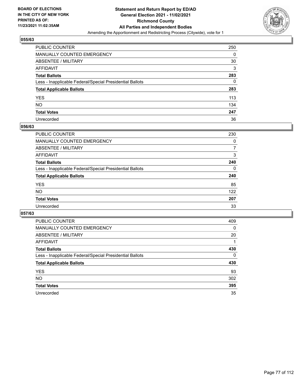

| PUBLIC COUNTER                                           | 250 |
|----------------------------------------------------------|-----|
| MANUALLY COUNTED EMERGENCY                               | 0   |
| <b>ABSENTEE / MILITARY</b>                               | 30  |
| <b>AFFIDAVIT</b>                                         | 3   |
| <b>Total Ballots</b>                                     | 283 |
| Less - Inapplicable Federal/Special Presidential Ballots | 0   |
| <b>Total Applicable Ballots</b>                          | 283 |
| <b>YES</b>                                               | 113 |
| NO.                                                      | 134 |
| <b>Total Votes</b>                                       | 247 |
| Unrecorded                                               | 36  |

#### **056/63**

| PUBLIC COUNTER                                           | 230      |
|----------------------------------------------------------|----------|
| MANUALLY COUNTED EMERGENCY                               | 0        |
| ABSENTEE / MILITARY                                      | 7        |
| AFFIDAVIT                                                | 3        |
| <b>Total Ballots</b>                                     | 240      |
| Less - Inapplicable Federal/Special Presidential Ballots | $\Omega$ |
| <b>Total Applicable Ballots</b>                          | 240      |
| <b>YES</b>                                               | 85       |
| <b>NO</b>                                                | 122      |
| <b>Total Votes</b>                                       | 207      |
| Unrecorded                                               | 33       |

| <b>PUBLIC COUNTER</b>                                    | 409      |
|----------------------------------------------------------|----------|
| <b>MANUALLY COUNTED EMERGENCY</b>                        | $\Omega$ |
| ABSENTEE / MILITARY                                      | 20       |
| AFFIDAVIT                                                |          |
| <b>Total Ballots</b>                                     | 430      |
| Less - Inapplicable Federal/Special Presidential Ballots | $\Omega$ |
| <b>Total Applicable Ballots</b>                          | 430      |
| <b>YES</b>                                               | 93       |
| NO.                                                      | 302      |
| <b>Total Votes</b>                                       | 395      |
| Unrecorded                                               | 35       |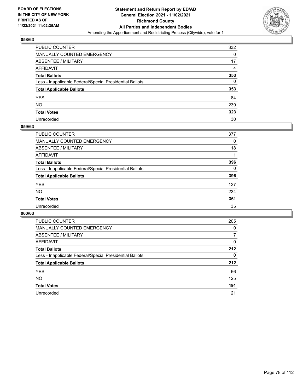

| PUBLIC COUNTER                                           | 332 |
|----------------------------------------------------------|-----|
| MANUALLY COUNTED EMERGENCY                               | 0   |
| <b>ABSENTEE / MILITARY</b>                               | 17  |
| AFFIDAVIT                                                | 4   |
| <b>Total Ballots</b>                                     | 353 |
| Less - Inapplicable Federal/Special Presidential Ballots | 0   |
| <b>Total Applicable Ballots</b>                          | 353 |
| YES                                                      | 84  |
| <b>NO</b>                                                | 239 |
| <b>Total Votes</b>                                       | 323 |
| Unrecorded                                               | 30  |

#### **059/63**

| <b>PUBLIC COUNTER</b>                                    | 377      |
|----------------------------------------------------------|----------|
| <b>MANUALLY COUNTED EMERGENCY</b>                        | 0        |
| ABSENTEE / MILITARY                                      | 18       |
| AFFIDAVIT                                                |          |
| <b>Total Ballots</b>                                     | 396      |
| Less - Inapplicable Federal/Special Presidential Ballots | $\Omega$ |
| <b>Total Applicable Ballots</b>                          | 396      |
| <b>YES</b>                                               | 127      |
| <b>NO</b>                                                | 234      |
| <b>Total Votes</b>                                       | 361      |
| Unrecorded                                               | 35       |

| <b>PUBLIC COUNTER</b>                                    | 205      |
|----------------------------------------------------------|----------|
| MANUALLY COUNTED EMERGENCY                               | 0        |
| ABSENTEE / MILITARY                                      | 7        |
| AFFIDAVIT                                                | $\Omega$ |
| <b>Total Ballots</b>                                     | 212      |
| Less - Inapplicable Federal/Special Presidential Ballots | $\Omega$ |
| <b>Total Applicable Ballots</b>                          | 212      |
| <b>YES</b>                                               | 66       |
| <b>NO</b>                                                | 125      |
| <b>Total Votes</b>                                       | 191      |
| Unrecorded                                               | 21       |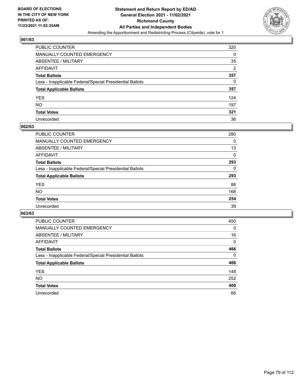

| PUBLIC COUNTER                                           | 320            |
|----------------------------------------------------------|----------------|
| MANUALLY COUNTED EMERGENCY                               | 0              |
| <b>ABSENTEE / MILITARY</b>                               | 35             |
| AFFIDAVIT                                                | $\overline{2}$ |
| <b>Total Ballots</b>                                     | 357            |
| Less - Inapplicable Federal/Special Presidential Ballots | 0              |
| <b>Total Applicable Ballots</b>                          | 357            |
| YES                                                      | 124            |
| <b>NO</b>                                                | 197            |
| <b>Total Votes</b>                                       | 321            |
| Unrecorded                                               | 36             |

#### **062/63**

| <b>PUBLIC COUNTER</b>                                    | 280      |
|----------------------------------------------------------|----------|
| MANUALLY COUNTED EMERGENCY                               | 0        |
| ABSENTEE / MILITARY                                      | 13       |
| AFFIDAVIT                                                | $\Omega$ |
| <b>Total Ballots</b>                                     | 293      |
| Less - Inapplicable Federal/Special Presidential Ballots | $\Omega$ |
| <b>Total Applicable Ballots</b>                          | 293      |
| <b>YES</b>                                               | 86       |
| <b>NO</b>                                                | 168      |
| <b>Total Votes</b>                                       | 254      |
| Unrecorded                                               | 39       |

| <b>PUBLIC COUNTER</b>                                    | 450      |
|----------------------------------------------------------|----------|
| <b>MANUALLY COUNTED EMERGENCY</b>                        | 0        |
| ABSENTEE / MILITARY                                      | 16       |
| AFFIDAVIT                                                | $\Omega$ |
| <b>Total Ballots</b>                                     | 466      |
| Less - Inapplicable Federal/Special Presidential Ballots | $\Omega$ |
| <b>Total Applicable Ballots</b>                          | 466      |
| <b>YES</b>                                               | 148      |
| <b>NO</b>                                                | 252      |
| <b>Total Votes</b>                                       | 400      |
| Unrecorded                                               | 66       |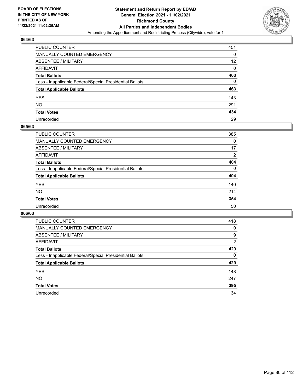

| PUBLIC COUNTER                                           | 451 |
|----------------------------------------------------------|-----|
| MANUALLY COUNTED EMERGENCY                               | 0   |
| ABSENTEE / MILITARY                                      | 12  |
| AFFIDAVIT                                                | 0   |
| <b>Total Ballots</b>                                     | 463 |
| Less - Inapplicable Federal/Special Presidential Ballots | 0   |
| <b>Total Applicable Ballots</b>                          | 463 |
| YES                                                      | 143 |
| NO.                                                      | 291 |
| <b>Total Votes</b>                                       | 434 |
| Unrecorded                                               | 29  |

#### **065/63**

| <b>PUBLIC COUNTER</b>                                    | 385          |
|----------------------------------------------------------|--------------|
| <b>MANUALLY COUNTED EMERGENCY</b>                        | 0            |
| ABSENTEE / MILITARY                                      | 17           |
| AFFIDAVIT                                                | 2            |
| <b>Total Ballots</b>                                     | 404          |
| Less - Inapplicable Federal/Special Presidential Ballots | $\mathbf{0}$ |
| <b>Total Applicable Ballots</b>                          | 404          |
| <b>YES</b>                                               | 140          |
| <b>NO</b>                                                | 214          |
| <b>Total Votes</b>                                       | 354          |
| Unrecorded                                               | 50           |

| <b>PUBLIC COUNTER</b>                                    | 418      |
|----------------------------------------------------------|----------|
| <b>MANUALLY COUNTED EMERGENCY</b>                        | 0        |
| ABSENTEE / MILITARY                                      | 9        |
| AFFIDAVIT                                                | 2        |
| <b>Total Ballots</b>                                     | 429      |
| Less - Inapplicable Federal/Special Presidential Ballots | $\Omega$ |
| <b>Total Applicable Ballots</b>                          | 429      |
| <b>YES</b>                                               | 148      |
| <b>NO</b>                                                | 247      |
| <b>Total Votes</b>                                       | 395      |
|                                                          |          |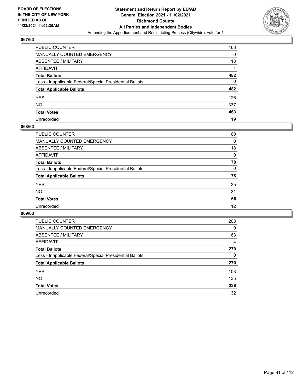

| PUBLIC COUNTER                                           | 468 |
|----------------------------------------------------------|-----|
| MANUALLY COUNTED EMERGENCY                               | 0   |
| ABSENTEE / MILITARY                                      | 13  |
| AFFIDAVIT                                                |     |
| <b>Total Ballots</b>                                     | 482 |
| Less - Inapplicable Federal/Special Presidential Ballots | 0   |
| <b>Total Applicable Ballots</b>                          | 482 |
| YES                                                      | 126 |
| NO.                                                      | 337 |
| <b>Total Votes</b>                                       | 463 |
| Unrecorded                                               | 19  |

#### **068/63**

| 60       |
|----------|
| 0        |
| 18       |
| $\Omega$ |
| 78       |
| $\Omega$ |
| 78       |
| 35       |
| 31       |
| 66       |
| 12       |
|          |

| <b>PUBLIC COUNTER</b>                                    | 203      |
|----------------------------------------------------------|----------|
| MANUALLY COUNTED EMERGENCY                               | $\Omega$ |
| ABSENTEE / MILITARY                                      | 63       |
| AFFIDAVIT                                                | 4        |
| <b>Total Ballots</b>                                     | 270      |
| Less - Inapplicable Federal/Special Presidential Ballots | 0        |
| <b>Total Applicable Ballots</b>                          | 270      |
| <b>YES</b>                                               | 103      |
| NO.                                                      | 135      |
| <b>Total Votes</b>                                       | 238      |
| Unrecorded                                               | 32       |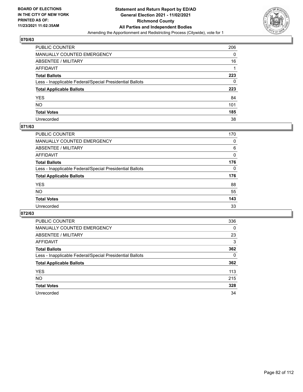

| PUBLIC COUNTER                                           | 206 |
|----------------------------------------------------------|-----|
| MANUALLY COUNTED EMERGENCY                               | 0   |
| ABSENTEE / MILITARY                                      | 16  |
| AFFIDAVIT                                                |     |
| <b>Total Ballots</b>                                     | 223 |
| Less - Inapplicable Federal/Special Presidential Ballots | 0   |
| <b>Total Applicable Ballots</b>                          | 223 |
| YES                                                      | 84  |
| NO.                                                      | 101 |
| <b>Total Votes</b>                                       | 185 |
| Unrecorded                                               | 38  |

## **071/63**

| <b>PUBLIC COUNTER</b>                                    | 170      |
|----------------------------------------------------------|----------|
| MANUALLY COUNTED EMERGENCY                               | 0        |
| ABSENTEE / MILITARY                                      | 6        |
| AFFIDAVIT                                                | 0        |
| <b>Total Ballots</b>                                     | 176      |
| Less - Inapplicable Federal/Special Presidential Ballots | $\Omega$ |
| <b>Total Applicable Ballots</b>                          | 176      |
| <b>YES</b>                                               | 88       |
| <b>NO</b>                                                | 55       |
| <b>Total Votes</b>                                       | 143      |
| Unrecorded                                               | 33       |

| <b>PUBLIC COUNTER</b>                                    | 336      |
|----------------------------------------------------------|----------|
| <b>MANUALLY COUNTED EMERGENCY</b>                        | $\Omega$ |
| ABSENTEE / MILITARY                                      | 23       |
| AFFIDAVIT                                                | 3        |
| <b>Total Ballots</b>                                     | 362      |
| Less - Inapplicable Federal/Special Presidential Ballots | 0        |
| <b>Total Applicable Ballots</b>                          | 362      |
| <b>YES</b>                                               | 113      |
| NO.                                                      | 215      |
| <b>Total Votes</b>                                       | 328      |
| Unrecorded                                               | 34       |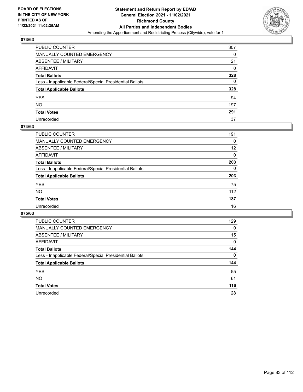

| PUBLIC COUNTER                                           | 307 |
|----------------------------------------------------------|-----|
| MANUALLY COUNTED EMERGENCY                               | 0   |
| ABSENTEE / MILITARY                                      | 21  |
| AFFIDAVIT                                                | 0   |
| <b>Total Ballots</b>                                     | 328 |
| Less - Inapplicable Federal/Special Presidential Ballots | 0   |
| <b>Total Applicable Ballots</b>                          | 328 |
| YES                                                      | 94  |
| NO.                                                      | 197 |
| <b>Total Votes</b>                                       | 291 |
| Unrecorded                                               | 37  |

#### **074/63**

| <b>PUBLIC COUNTER</b>                                    | 191      |
|----------------------------------------------------------|----------|
| <b>MANUALLY COUNTED EMERGENCY</b>                        | 0        |
| ABSENTEE / MILITARY                                      | 12       |
| AFFIDAVIT                                                | 0        |
| <b>Total Ballots</b>                                     | 203      |
| Less - Inapplicable Federal/Special Presidential Ballots | $\Omega$ |
| <b>Total Applicable Ballots</b>                          | 203      |
| <b>YES</b>                                               | 75       |
| <b>NO</b>                                                | 112      |
| <b>Total Votes</b>                                       | 187      |
| Unrecorded                                               | 16       |

| <b>PUBLIC COUNTER</b>                                    | 129      |
|----------------------------------------------------------|----------|
| <b>MANUALLY COUNTED EMERGENCY</b>                        | $\Omega$ |
| ABSENTEE / MILITARY                                      | 15       |
| AFFIDAVIT                                                | 0        |
| <b>Total Ballots</b>                                     | 144      |
| Less - Inapplicable Federal/Special Presidential Ballots | $\Omega$ |
| <b>Total Applicable Ballots</b>                          | 144      |
| <b>YES</b>                                               | 55       |
| NO.                                                      | 61       |
| <b>Total Votes</b>                                       | 116      |
|                                                          |          |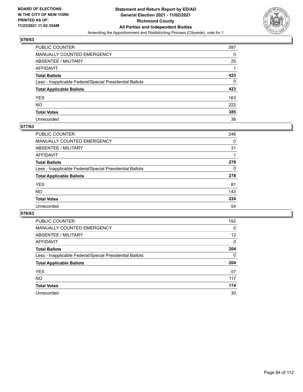

| PUBLIC COUNTER                                           | 397 |
|----------------------------------------------------------|-----|
| MANUALLY COUNTED EMERGENCY                               | 0   |
| ABSENTEE / MILITARY                                      | 25  |
| AFFIDAVIT                                                |     |
| Total Ballots                                            | 423 |
| Less - Inapplicable Federal/Special Presidential Ballots | 0   |
| <b>Total Applicable Ballots</b>                          | 423 |
| YES                                                      | 163 |
| NO.                                                      | 222 |
| <b>Total Votes</b>                                       | 385 |
| Unrecorded                                               | 38  |

#### **077/63**

| <b>PUBLIC COUNTER</b>                                    | 246      |
|----------------------------------------------------------|----------|
| <b>MANUALLY COUNTED EMERGENCY</b>                        | 0        |
| <b>ABSENTEE / MILITARY</b>                               | 31       |
| AFFIDAVIT                                                |          |
| <b>Total Ballots</b>                                     | 278      |
| Less - Inapplicable Federal/Special Presidential Ballots | $\Omega$ |
| <b>Total Applicable Ballots</b>                          | 278      |
| <b>YES</b>                                               | 81       |
| <b>NO</b>                                                | 143      |
| <b>Total Votes</b>                                       | 224      |
| Unrecorded                                               | 54       |

| <b>PUBLIC COUNTER</b>                                    | 192      |
|----------------------------------------------------------|----------|
| <b>MANUALLY COUNTED EMERGENCY</b>                        | 0        |
| ABSENTEE / MILITARY                                      | 12       |
| AFFIDAVIT                                                | $\Omega$ |
| <b>Total Ballots</b>                                     | 204      |
| Less - Inapplicable Federal/Special Presidential Ballots | $\Omega$ |
| <b>Total Applicable Ballots</b>                          | 204      |
| <b>YES</b>                                               | 57       |
| <b>NO</b>                                                | 117      |
| <b>Total Votes</b>                                       | 174      |
|                                                          |          |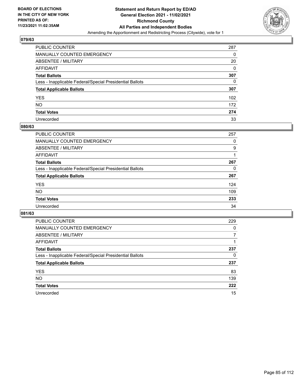

| PUBLIC COUNTER                                           | 287 |
|----------------------------------------------------------|-----|
| MANUALLY COUNTED EMERGENCY                               | 0   |
| ABSENTEE / MILITARY                                      | 20  |
| AFFIDAVIT                                                | 0   |
| <b>Total Ballots</b>                                     | 307 |
| Less - Inapplicable Federal/Special Presidential Ballots | 0   |
| <b>Total Applicable Ballots</b>                          | 307 |
| YES                                                      | 102 |
| NO.                                                      | 172 |
| <b>Total Votes</b>                                       | 274 |
| Unrecorded                                               | 33  |

#### **080/63**

| PUBLIC COUNTER                                           | 257 |
|----------------------------------------------------------|-----|
| MANUALLY COUNTED EMERGENCY                               | 0   |
| ABSENTEE / MILITARY                                      | 9   |
| AFFIDAVIT                                                |     |
| <b>Total Ballots</b>                                     | 267 |
| Less - Inapplicable Federal/Special Presidential Ballots | 0   |
| <b>Total Applicable Ballots</b>                          | 267 |
| <b>YES</b>                                               | 124 |
| <b>NO</b>                                                | 109 |
| <b>Total Votes</b>                                       | 233 |
| Unrecorded                                               | 34  |

| <b>PUBLIC COUNTER</b>                                    | 229      |
|----------------------------------------------------------|----------|
| <b>MANUALLY COUNTED EMERGENCY</b>                        | $\Omega$ |
| ABSENTEE / MILITARY                                      |          |
| AFFIDAVIT                                                |          |
| <b>Total Ballots</b>                                     | 237      |
| Less - Inapplicable Federal/Special Presidential Ballots | 0        |
| <b>Total Applicable Ballots</b>                          | 237      |
| <b>YES</b>                                               | 83       |
| <b>NO</b>                                                | 139      |
| <b>Total Votes</b>                                       | 222      |
| Unrecorded                                               | 15       |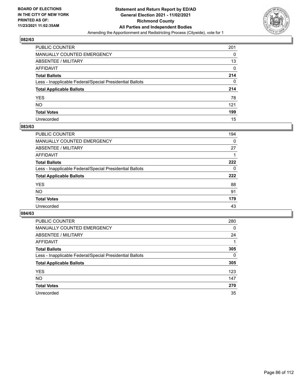

| PUBLIC COUNTER                                           | 201 |
|----------------------------------------------------------|-----|
| MANUALLY COUNTED EMERGENCY                               | 0   |
| <b>ABSENTEE / MILITARY</b>                               | 13  |
| <b>AFFIDAVIT</b>                                         | 0   |
| <b>Total Ballots</b>                                     | 214 |
| Less - Inapplicable Federal/Special Presidential Ballots | 0   |
| <b>Total Applicable Ballots</b>                          | 214 |
| <b>YES</b>                                               | 78  |
| <b>NO</b>                                                | 121 |
| <b>Total Votes</b>                                       | 199 |
| Unrecorded                                               | 15  |

#### **083/63**

| <b>PUBLIC COUNTER</b>                                    | 194      |
|----------------------------------------------------------|----------|
| <b>MANUALLY COUNTED EMERGENCY</b>                        | 0        |
| ABSENTEE / MILITARY                                      | 27       |
| AFFIDAVIT                                                |          |
| <b>Total Ballots</b>                                     | 222      |
| Less - Inapplicable Federal/Special Presidential Ballots | $\Omega$ |
| <b>Total Applicable Ballots</b>                          | 222      |
| <b>YES</b>                                               | 88       |
| <b>NO</b>                                                | 91       |
| <b>Total Votes</b>                                       | 179      |
| Unrecorded                                               | 43       |

| <b>PUBLIC COUNTER</b>                                    | 280      |
|----------------------------------------------------------|----------|
| MANUALLY COUNTED EMERGENCY                               | 0        |
| ABSENTEE / MILITARY                                      | 24       |
| AFFIDAVIT                                                |          |
| <b>Total Ballots</b>                                     | 305      |
| Less - Inapplicable Federal/Special Presidential Ballots | $\Omega$ |
| <b>Total Applicable Ballots</b>                          | 305      |
| <b>YES</b>                                               | 123      |
| <b>NO</b>                                                | 147      |
| <b>Total Votes</b>                                       | 270      |
| Unrecorded                                               | 35       |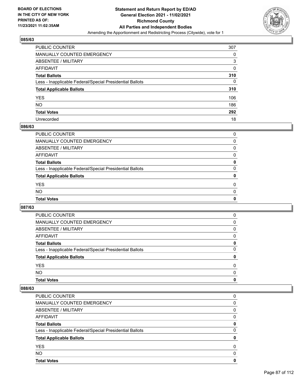

| PUBLIC COUNTER                                           | 307 |
|----------------------------------------------------------|-----|
| <b>MANUALLY COUNTED EMERGENCY</b>                        | 0   |
| <b>ABSENTEE / MILITARY</b>                               | 3   |
| <b>AFFIDAVIT</b>                                         | 0   |
| <b>Total Ballots</b>                                     | 310 |
| Less - Inapplicable Federal/Special Presidential Ballots | 0   |
| <b>Total Applicable Ballots</b>                          | 310 |
| <b>YES</b>                                               | 106 |
| <b>NO</b>                                                | 186 |
| <b>Total Votes</b>                                       | 292 |
| Unrecorded                                               | 18  |

#### **086/63**

| <b>Total Votes</b>                                       | 0        |
|----------------------------------------------------------|----------|
| <b>NO</b>                                                | $\Omega$ |
| <b>YES</b>                                               | 0        |
| <b>Total Applicable Ballots</b>                          | 0        |
| Less - Inapplicable Federal/Special Presidential Ballots | 0        |
| <b>Total Ballots</b>                                     | 0        |
| AFFIDAVIT                                                | 0        |
| <b>ABSENTEE / MILITARY</b>                               | 0        |
| MANUALLY COUNTED EMERGENCY                               | 0        |
| PUBLIC COUNTER                                           | 0        |

## **087/63**

| <b>PUBLIC COUNTER</b>                                    | $\Omega$     |
|----------------------------------------------------------|--------------|
| <b>MANUALLY COUNTED EMERGENCY</b>                        | 0            |
| ABSENTEE / MILITARY                                      | 0            |
| AFFIDAVIT                                                | 0            |
| <b>Total Ballots</b>                                     | 0            |
| Less - Inapplicable Federal/Special Presidential Ballots | 0            |
| <b>Total Applicable Ballots</b>                          | 0            |
| <b>YES</b>                                               | 0            |
| <b>NO</b>                                                | <sup>0</sup> |
| <b>Total Votes</b>                                       | 0            |

| <b>Total Votes</b>                                       | 0 |
|----------------------------------------------------------|---|
| <b>NO</b>                                                | 0 |
| <b>YES</b>                                               | 0 |
| <b>Total Applicable Ballots</b>                          | 0 |
| Less - Inapplicable Federal/Special Presidential Ballots | 0 |
| <b>Total Ballots</b>                                     | 0 |
| AFFIDAVIT                                                | 0 |
| ABSENTEE / MILITARY                                      | 0 |
| MANUALLY COUNTED EMERGENCY                               | 0 |
| PUBLIC COUNTER                                           | 0 |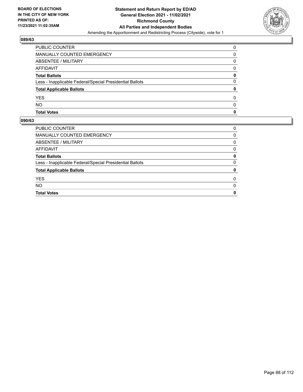

| PUBLIC COUNTER                                           | 0 |
|----------------------------------------------------------|---|
| MANUALLY COUNTED EMERGENCY                               | 0 |
| ABSENTEE / MILITARY                                      | 0 |
| AFFIDAVIT                                                | 0 |
| <b>Total Ballots</b>                                     | 0 |
| Less - Inapplicable Federal/Special Presidential Ballots | 0 |
| <b>Total Applicable Ballots</b>                          | 0 |
| <b>YES</b>                                               | 0 |
| <b>NO</b>                                                | 0 |
| <b>Total Votes</b>                                       | 0 |

| <b>PUBLIC COUNTER</b>                                    | 0 |
|----------------------------------------------------------|---|
| MANUALLY COUNTED EMERGENCY                               | 0 |
| ABSENTEE / MILITARY                                      | 0 |
| AFFIDAVIT                                                | 0 |
| <b>Total Ballots</b>                                     | 0 |
| Less - Inapplicable Federal/Special Presidential Ballots | 0 |
| <b>Total Applicable Ballots</b>                          | 0 |
| <b>YES</b>                                               | 0 |
| <b>NO</b>                                                | 0 |
| <b>Total Votes</b>                                       | 0 |
|                                                          |   |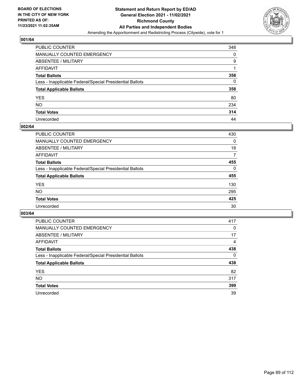

| PUBLIC COUNTER                                           | 348      |
|----------------------------------------------------------|----------|
| MANUALLY COUNTED EMERGENCY                               | 0        |
| <b>ABSENTEE / MILITARY</b>                               | 9        |
| AFFIDAVIT                                                |          |
| <b>Total Ballots</b>                                     | 358      |
| Less - Inapplicable Federal/Special Presidential Ballots | $\Omega$ |
| <b>Total Applicable Ballots</b>                          | 358      |
| YES                                                      | 80       |
| NO.                                                      | 234      |
| <b>Total Votes</b>                                       | 314      |
| Unrecorded                                               | 44       |

#### **002/64**

| <b>PUBLIC COUNTER</b>                                    | 430      |
|----------------------------------------------------------|----------|
| <b>MANUALLY COUNTED EMERGENCY</b>                        | 0        |
| ABSENTEE / MILITARY                                      | 18       |
| AFFIDAVIT                                                | 7        |
| <b>Total Ballots</b>                                     | 455      |
| Less - Inapplicable Federal/Special Presidential Ballots | $\Omega$ |
| <b>Total Applicable Ballots</b>                          | 455      |
| <b>YES</b>                                               | 130      |
| <b>NO</b>                                                | 295      |
| <b>Total Votes</b>                                       | 425      |
| Unrecorded                                               | 30       |

| <b>PUBLIC COUNTER</b>                                    | 417 |
|----------------------------------------------------------|-----|
| MANUALLY COUNTED EMERGENCY                               | 0   |
| ABSENTEE / MILITARY                                      | 17  |
| AFFIDAVIT                                                | 4   |
| <b>Total Ballots</b>                                     | 438 |
| Less - Inapplicable Federal/Special Presidential Ballots | 0   |
| <b>Total Applicable Ballots</b>                          | 438 |
| <b>YES</b>                                               | 82  |
| NO.                                                      | 317 |
| <b>Total Votes</b>                                       | 399 |
| Unrecorded                                               | 39  |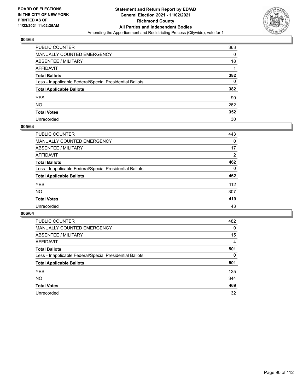

| PUBLIC COUNTER                                           | 363      |
|----------------------------------------------------------|----------|
| MANUALLY COUNTED EMERGENCY                               | 0        |
| <b>ABSENTEE / MILITARY</b>                               | 18       |
| AFFIDAVIT                                                |          |
| <b>Total Ballots</b>                                     | 382      |
| Less - Inapplicable Federal/Special Presidential Ballots | $\Omega$ |
| <b>Total Applicable Ballots</b>                          | 382      |
| YES                                                      | 90       |
| NO.                                                      | 262      |
| <b>Total Votes</b>                                       | 352      |
| Unrecorded                                               | 30       |

#### **005/64**

| PUBLIC COUNTER                                           | 443            |
|----------------------------------------------------------|----------------|
| <b>MANUALLY COUNTED EMERGENCY</b>                        | $\Omega$       |
| ABSENTEE / MILITARY                                      | 17             |
| AFFIDAVIT                                                | $\overline{2}$ |
| <b>Total Ballots</b>                                     | 462            |
| Less - Inapplicable Federal/Special Presidential Ballots | $\Omega$       |
| <b>Total Applicable Ballots</b>                          | 462            |
| <b>YES</b>                                               | 112            |
| <b>NO</b>                                                | 307            |
| <b>Total Votes</b>                                       | 419            |
| Unrecorded                                               | 43             |

| <b>PUBLIC COUNTER</b>                                    | 482      |
|----------------------------------------------------------|----------|
| MANUALLY COUNTED EMERGENCY                               | $\Omega$ |
| ABSENTEE / MILITARY                                      | 15       |
| AFFIDAVIT                                                | 4        |
| <b>Total Ballots</b>                                     | 501      |
| Less - Inapplicable Federal/Special Presidential Ballots | 0        |
| <b>Total Applicable Ballots</b>                          | 501      |
| <b>YES</b>                                               | 125      |
| NO.                                                      | 344      |
| <b>Total Votes</b>                                       | 469      |
| Unrecorded                                               | 32       |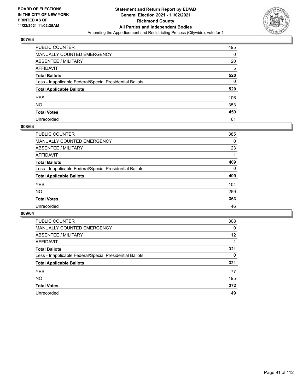

| PUBLIC COUNTER                                           | 495 |
|----------------------------------------------------------|-----|
| MANUALLY COUNTED EMERGENCY                               | 0   |
| ABSENTEE / MILITARY                                      | 20  |
| AFFIDAVIT                                                | 5   |
| <b>Total Ballots</b>                                     | 520 |
| Less - Inapplicable Federal/Special Presidential Ballots | 0   |
| <b>Total Applicable Ballots</b>                          | 520 |
| YES                                                      | 106 |
| NO.                                                      | 353 |
| <b>Total Votes</b>                                       | 459 |
| Unrecorded                                               | 61  |

#### **008/64**

| PUBLIC COUNTER                                           | 385      |
|----------------------------------------------------------|----------|
| <b>MANUALLY COUNTED EMERGENCY</b>                        | 0        |
| ABSENTEE / MILITARY                                      | 23       |
| AFFIDAVIT                                                |          |
| <b>Total Ballots</b>                                     | 409      |
| Less - Inapplicable Federal/Special Presidential Ballots | $\Omega$ |
| <b>Total Applicable Ballots</b>                          | 409      |
| <b>YES</b>                                               | 104      |
| <b>NO</b>                                                | 259      |
| <b>Total Votes</b>                                       | 363      |
| Unrecorded                                               | 46       |

| <b>PUBLIC COUNTER</b>                                    | 308 |
|----------------------------------------------------------|-----|
| MANUALLY COUNTED EMERGENCY                               | 0   |
| ABSENTEE / MILITARY                                      | 12  |
| AFFIDAVIT                                                |     |
| <b>Total Ballots</b>                                     | 321 |
| Less - Inapplicable Federal/Special Presidential Ballots | 0   |
| <b>Total Applicable Ballots</b>                          | 321 |
| <b>YES</b>                                               | 77  |
| <b>NO</b>                                                | 195 |
| <b>Total Votes</b>                                       | 272 |
| Unrecorded                                               | 49  |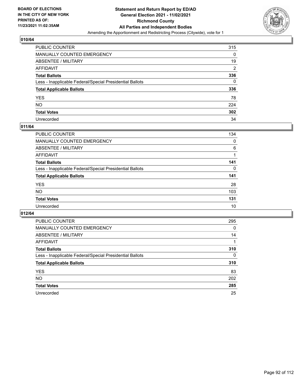

| PUBLIC COUNTER                                           | 315            |
|----------------------------------------------------------|----------------|
| MANUALLY COUNTED EMERGENCY                               | 0              |
| <b>ABSENTEE / MILITARY</b>                               | 19             |
| AFFIDAVIT                                                | $\overline{2}$ |
| <b>Total Ballots</b>                                     | 336            |
| Less - Inapplicable Federal/Special Presidential Ballots | 0              |
| <b>Total Applicable Ballots</b>                          | 336            |
| YES                                                      | 78             |
| <b>NO</b>                                                | 224            |
| <b>Total Votes</b>                                       | 302            |
| Unrecorded                                               | 34             |

#### **011/64**

| <b>PUBLIC COUNTER</b>                                    | 134      |
|----------------------------------------------------------|----------|
| MANUALLY COUNTED EMERGENCY                               | 0        |
| ABSENTEE / MILITARY                                      | 6        |
| AFFIDAVIT                                                |          |
| <b>Total Ballots</b>                                     | 141      |
| Less - Inapplicable Federal/Special Presidential Ballots | $\Omega$ |
| <b>Total Applicable Ballots</b>                          | 141      |
| <b>YES</b>                                               | 28       |
| <b>NO</b>                                                | 103      |
| <b>Total Votes</b>                                       | 131      |
| Unrecorded                                               | 10       |

| <b>PUBLIC COUNTER</b>                                    | 295      |
|----------------------------------------------------------|----------|
| <b>MANUALLY COUNTED EMERGENCY</b>                        | 0        |
| ABSENTEE / MILITARY                                      | 14       |
| AFFIDAVIT                                                |          |
| <b>Total Ballots</b>                                     | 310      |
| Less - Inapplicable Federal/Special Presidential Ballots | $\Omega$ |
| <b>Total Applicable Ballots</b>                          | 310      |
| <b>YES</b>                                               | 83       |
| NO.                                                      | 202      |
| <b>Total Votes</b>                                       | 285      |
| Unrecorded                                               | 25       |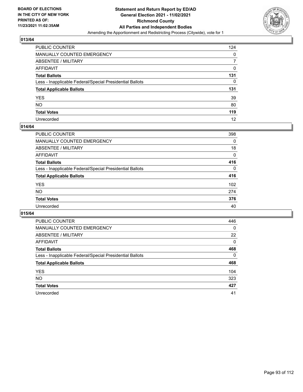

| PUBLIC COUNTER                                           | 124 |
|----------------------------------------------------------|-----|
| MANUALLY COUNTED EMERGENCY                               | 0   |
| ABSENTEE / MILITARY                                      | 7   |
| AFFIDAVIT                                                | 0   |
| Total Ballots                                            | 131 |
| Less - Inapplicable Federal/Special Presidential Ballots | 0   |
| <b>Total Applicable Ballots</b>                          | 131 |
| YES                                                      | 39  |
| NO.                                                      | 80  |
| <b>Total Votes</b>                                       | 119 |
| Unrecorded                                               | 12  |

#### **014/64**

| <b>PUBLIC COUNTER</b>                                    | 398      |
|----------------------------------------------------------|----------|
| <b>MANUALLY COUNTED EMERGENCY</b>                        | 0        |
| <b>ABSENTEE / MILITARY</b>                               | 18       |
| AFFIDAVIT                                                | $\Omega$ |
| <b>Total Ballots</b>                                     | 416      |
| Less - Inapplicable Federal/Special Presidential Ballots | $\Omega$ |
| <b>Total Applicable Ballots</b>                          | 416      |
| <b>YES</b>                                               | 102      |
| <b>NO</b>                                                | 274      |
| <b>Total Votes</b>                                       | 376      |
| Unrecorded                                               | 40       |

| <b>PUBLIC COUNTER</b>                                    | 446      |
|----------------------------------------------------------|----------|
| MANUALLY COUNTED EMERGENCY                               | 0        |
| ABSENTEE / MILITARY                                      | 22       |
| AFFIDAVIT                                                | $\Omega$ |
| <b>Total Ballots</b>                                     | 468      |
| Less - Inapplicable Federal/Special Presidential Ballots | $\Omega$ |
| <b>Total Applicable Ballots</b>                          | 468      |
| <b>YES</b>                                               | 104      |
| <b>NO</b>                                                | 323      |
| <b>Total Votes</b>                                       | 427      |
| Unrecorded                                               | 41       |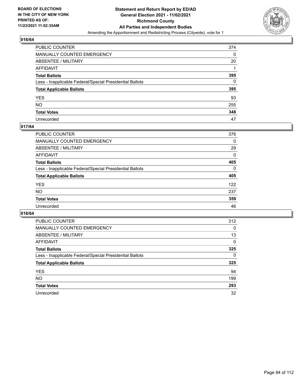

| PUBLIC COUNTER                                           | 374 |
|----------------------------------------------------------|-----|
| MANUALLY COUNTED EMERGENCY                               | 0   |
| ABSENTEE / MILITARY                                      | 20  |
| AFFIDAVIT                                                |     |
| <b>Total Ballots</b>                                     | 395 |
| Less - Inapplicable Federal/Special Presidential Ballots | 0   |
| <b>Total Applicable Ballots</b>                          | 395 |
| YES                                                      | 93  |
| NO.                                                      | 255 |
| <b>Total Votes</b>                                       | 348 |
| Unrecorded                                               | 47  |

#### **017/64**

| <b>PUBLIC COUNTER</b>                                    | 376      |
|----------------------------------------------------------|----------|
| <b>MANUALLY COUNTED EMERGENCY</b>                        | 0        |
| ABSENTEE / MILITARY                                      | 29       |
| AFFIDAVIT                                                | 0        |
| <b>Total Ballots</b>                                     | 405      |
| Less - Inapplicable Federal/Special Presidential Ballots | $\Omega$ |
| <b>Total Applicable Ballots</b>                          | 405      |
| <b>YES</b>                                               | 122      |
| <b>NO</b>                                                | 237      |
| <b>Total Votes</b>                                       | 359      |
| Unrecorded                                               | 46       |

| <b>PUBLIC COUNTER</b>                                    | 312 |
|----------------------------------------------------------|-----|
| <b>MANUALLY COUNTED EMERGENCY</b>                        | 0   |
| ABSENTEE / MILITARY                                      | 13  |
| AFFIDAVIT                                                | 0   |
| <b>Total Ballots</b>                                     | 325 |
| Less - Inapplicable Federal/Special Presidential Ballots | 0   |
| <b>Total Applicable Ballots</b>                          | 325 |
| <b>YES</b>                                               | 94  |
| NO.                                                      | 199 |
| <b>Total Votes</b>                                       | 293 |
| Unrecorded                                               | 32  |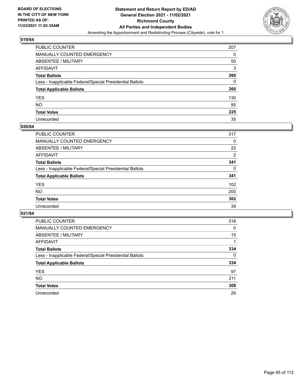

| PUBLIC COUNTER                                           | 207 |
|----------------------------------------------------------|-----|
| MANUALLY COUNTED EMERGENCY                               | 0   |
| ABSENTEE / MILITARY                                      | 50  |
| AFFIDAVIT                                                | 3   |
| <b>Total Ballots</b>                                     | 260 |
| Less - Inapplicable Federal/Special Presidential Ballots | 0   |
| <b>Total Applicable Ballots</b>                          | 260 |
| YES                                                      | 130 |
| NO.                                                      | 95  |
| <b>Total Votes</b>                                       | 225 |
| Unrecorded                                               | 35  |

#### **020/64**

| <b>PUBLIC COUNTER</b>                                    | 317      |
|----------------------------------------------------------|----------|
| <b>MANUALLY COUNTED EMERGENCY</b>                        | 0        |
| ABSENTEE / MILITARY                                      | 22       |
| AFFIDAVIT                                                | 2        |
| <b>Total Ballots</b>                                     | 341      |
| Less - Inapplicable Federal/Special Presidential Ballots | $\Omega$ |
| <b>Total Applicable Ballots</b>                          | 341      |
| <b>YES</b>                                               | 102      |
| <b>NO</b>                                                | 200      |
| <b>Total Votes</b>                                       | 302      |
| Unrecorded                                               | 39       |

| <b>PUBLIC COUNTER</b>                                    | 318      |
|----------------------------------------------------------|----------|
| <b>MANUALLY COUNTED EMERGENCY</b>                        | 0        |
| ABSENTEE / MILITARY                                      | 15       |
| AFFIDAVIT                                                |          |
| <b>Total Ballots</b>                                     | 334      |
| Less - Inapplicable Federal/Special Presidential Ballots | $\Omega$ |
| <b>Total Applicable Ballots</b>                          | 334      |
| <b>YES</b>                                               | 97       |
| NO.                                                      | 211      |
| <b>Total Votes</b>                                       | 308      |
| Unrecorded                                               | 26       |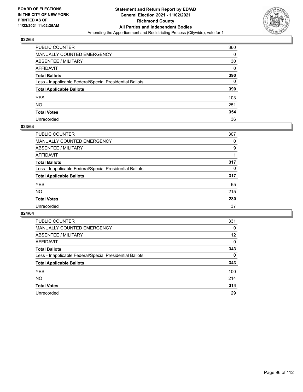

| PUBLIC COUNTER                                           | 360 |
|----------------------------------------------------------|-----|
| MANUALLY COUNTED EMERGENCY                               | 0   |
| ABSENTEE / MILITARY                                      | 30  |
| AFFIDAVIT                                                | 0   |
| Total Ballots                                            | 390 |
| Less - Inapplicable Federal/Special Presidential Ballots | 0   |
| <b>Total Applicable Ballots</b>                          | 390 |
| YES                                                      | 103 |
| NO.                                                      | 251 |
| <b>Total Votes</b>                                       | 354 |
| Unrecorded                                               | 36  |

#### **023/64**

| PUBLIC COUNTER                                           | 307      |
|----------------------------------------------------------|----------|
| MANUALLY COUNTED EMERGENCY                               | 0        |
| ABSENTEE / MILITARY                                      | 9        |
| AFFIDAVIT                                                |          |
| <b>Total Ballots</b>                                     | 317      |
| Less - Inapplicable Federal/Special Presidential Ballots | $\Omega$ |
| <b>Total Applicable Ballots</b>                          | 317      |
| <b>YES</b>                                               | 65       |
| <b>NO</b>                                                | 215      |
| <b>Total Votes</b>                                       | 280      |
| Unrecorded                                               | 37       |

| <b>PUBLIC COUNTER</b>                                    | 331      |
|----------------------------------------------------------|----------|
| <b>MANUALLY COUNTED EMERGENCY</b>                        | 0        |
| ABSENTEE / MILITARY                                      | 12       |
| AFFIDAVIT                                                | 0        |
| <b>Total Ballots</b>                                     | 343      |
| Less - Inapplicable Federal/Special Presidential Ballots | $\Omega$ |
| <b>Total Applicable Ballots</b>                          | 343      |
| <b>YES</b>                                               | 100      |
| NO.                                                      | 214      |
| <b>Total Votes</b>                                       | 314      |
| Unrecorded                                               | 29       |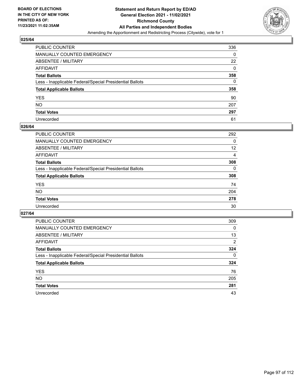

| PUBLIC COUNTER                                           | 336               |
|----------------------------------------------------------|-------------------|
| MANUALLY COUNTED EMERGENCY                               | 0                 |
| ABSENTEE / MILITARY                                      | $22 \overline{ }$ |
| AFFIDAVIT                                                | 0                 |
| Total Ballots                                            | 358               |
| Less - Inapplicable Federal/Special Presidential Ballots | $\Omega$          |
| <b>Total Applicable Ballots</b>                          | 358               |
| YES                                                      | 90                |
| NO.                                                      | 207               |
| <b>Total Votes</b>                                       | 297               |
| Unrecorded                                               | 61                |

#### **026/64**

| <b>PUBLIC COUNTER</b>                                    | 292      |
|----------------------------------------------------------|----------|
| <b>MANUALLY COUNTED EMERGENCY</b>                        | $\Omega$ |
| <b>ABSENTEE / MILITARY</b>                               | 12       |
| AFFIDAVIT                                                | 4        |
| <b>Total Ballots</b>                                     | 308      |
| Less - Inapplicable Federal/Special Presidential Ballots | $\Omega$ |
| <b>Total Applicable Ballots</b>                          | 308      |
| <b>YES</b>                                               | 74       |
| NO                                                       | 204      |
| <b>Total Votes</b>                                       | 278      |
| Unrecorded                                               | 30       |

| <b>PUBLIC COUNTER</b>                                    | 309      |
|----------------------------------------------------------|----------|
| MANUALLY COUNTED EMERGENCY                               | 0        |
| ABSENTEE / MILITARY                                      | 13       |
| AFFIDAVIT                                                | 2        |
| <b>Total Ballots</b>                                     | 324      |
| Less - Inapplicable Federal/Special Presidential Ballots | $\Omega$ |
| <b>Total Applicable Ballots</b>                          | 324      |
| <b>YES</b>                                               | 76       |
| <b>NO</b>                                                | 205      |
| <b>Total Votes</b>                                       | 281      |
| Unrecorded                                               | 43       |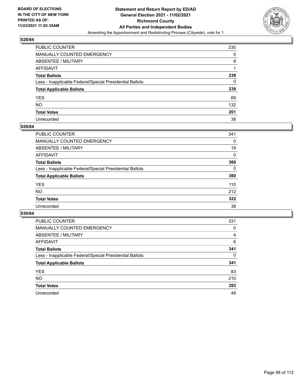

| PUBLIC COUNTER                                           | 230 |
|----------------------------------------------------------|-----|
| MANUALLY COUNTED EMERGENCY                               | 0   |
| ABSENTEE / MILITARY                                      | 8   |
| AFFIDAVIT                                                |     |
| Total Ballots                                            | 239 |
| Less - Inapplicable Federal/Special Presidential Ballots | 0   |
| <b>Total Applicable Ballots</b>                          | 239 |
| YES                                                      | 69  |
| NO.                                                      | 132 |
| <b>Total Votes</b>                                       | 201 |
| Unrecorded                                               | 38  |

#### **029/64**

| <b>PUBLIC COUNTER</b>                                    | 341      |
|----------------------------------------------------------|----------|
| <b>MANUALLY COUNTED EMERGENCY</b>                        | 0        |
| ABSENTEE / MILITARY                                      | 19       |
| AFFIDAVIT                                                | 0        |
| <b>Total Ballots</b>                                     | 360      |
| Less - Inapplicable Federal/Special Presidential Ballots | $\Omega$ |
| <b>Total Applicable Ballots</b>                          | 360      |
| <b>YES</b>                                               | 110      |
| <b>NO</b>                                                | 212      |
| <b>Total Votes</b>                                       | 322      |
| Unrecorded                                               | 38       |

| <b>PUBLIC COUNTER</b>                                    | 331      |
|----------------------------------------------------------|----------|
| MANUALLY COUNTED EMERGENCY                               | 0        |
| ABSENTEE / MILITARY                                      | 4        |
| AFFIDAVIT                                                | 6        |
| <b>Total Ballots</b>                                     | 341      |
| Less - Inapplicable Federal/Special Presidential Ballots | $\Omega$ |
| <b>Total Applicable Ballots</b>                          | 341      |
| <b>YES</b>                                               | 83       |
| NO.                                                      | 210      |
| <b>Total Votes</b>                                       | 293      |
| Unrecorded                                               | 48       |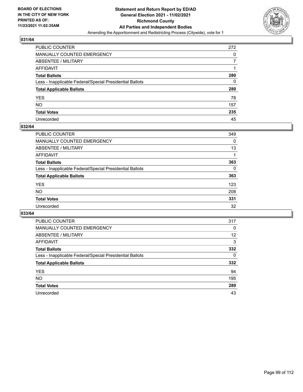

| PUBLIC COUNTER                                           | 272 |
|----------------------------------------------------------|-----|
| <b>MANUALLY COUNTED EMERGENCY</b>                        | 0   |
| <b>ABSENTEE / MILITARY</b>                               |     |
| AFFIDAVIT                                                |     |
| <b>Total Ballots</b>                                     | 280 |
| Less - Inapplicable Federal/Special Presidential Ballots | 0   |
| <b>Total Applicable Ballots</b>                          | 280 |
| YES.                                                     | 78  |
| NO.                                                      | 157 |
| <b>Total Votes</b>                                       | 235 |
| Unrecorded                                               | 45  |

#### **032/64**

| PUBLIC COUNTER                                           | 349 |
|----------------------------------------------------------|-----|
| <b>MANUALLY COUNTED EMERGENCY</b>                        | 0   |
| ABSENTEE / MILITARY                                      | 13  |
| AFFIDAVIT                                                |     |
| <b>Total Ballots</b>                                     | 363 |
| Less - Inapplicable Federal/Special Presidential Ballots | 0   |
| <b>Total Applicable Ballots</b>                          | 363 |
| <b>YES</b>                                               | 123 |
| <b>NO</b>                                                | 208 |
| <b>Total Votes</b>                                       | 331 |
| Unrecorded                                               | 32  |

| <b>PUBLIC COUNTER</b>                                    | 317 |
|----------------------------------------------------------|-----|
| <b>MANUALLY COUNTED EMERGENCY</b>                        | 0   |
| ABSENTEE / MILITARY                                      | 12  |
| AFFIDAVIT                                                | 3   |
| <b>Total Ballots</b>                                     | 332 |
| Less - Inapplicable Federal/Special Presidential Ballots | 0   |
| <b>Total Applicable Ballots</b>                          | 332 |
| <b>YES</b>                                               | 94  |
| NO.                                                      | 195 |
| <b>Total Votes</b>                                       | 289 |
| Unrecorded                                               | 43  |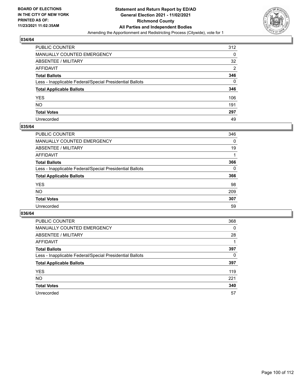

| PUBLIC COUNTER                                           | 312            |
|----------------------------------------------------------|----------------|
| MANUALLY COUNTED EMERGENCY                               | 0              |
| <b>ABSENTEE / MILITARY</b>                               | 32             |
| AFFIDAVIT                                                | $\overline{2}$ |
| <b>Total Ballots</b>                                     | 346            |
| Less - Inapplicable Federal/Special Presidential Ballots | $\Omega$       |
| <b>Total Applicable Ballots</b>                          | 346            |
| YES                                                      | 106            |
| NO.                                                      | 191            |
| <b>Total Votes</b>                                       | 297            |
| Unrecorded                                               | 49             |

#### **035/64**

| <b>PUBLIC COUNTER</b>                                    | 346      |
|----------------------------------------------------------|----------|
| <b>MANUALLY COUNTED EMERGENCY</b>                        | $\Omega$ |
| ABSENTEE / MILITARY                                      | 19       |
| AFFIDAVIT                                                |          |
| <b>Total Ballots</b>                                     | 366      |
| Less - Inapplicable Federal/Special Presidential Ballots | $\Omega$ |
| <b>Total Applicable Ballots</b>                          | 366      |
| <b>YES</b>                                               | 98       |
| <b>NO</b>                                                | 209      |
| <b>Total Votes</b>                                       | 307      |
| Unrecorded                                               | 59       |

| <b>PUBLIC COUNTER</b>                                    | 368 |
|----------------------------------------------------------|-----|
| MANUALLY COUNTED EMERGENCY                               | 0   |
| ABSENTEE / MILITARY                                      | 28  |
| AFFIDAVIT                                                |     |
| <b>Total Ballots</b>                                     | 397 |
| Less - Inapplicable Federal/Special Presidential Ballots | 0   |
| <b>Total Applicable Ballots</b>                          | 397 |
| <b>YES</b>                                               | 119 |
| <b>NO</b>                                                | 221 |
| <b>Total Votes</b>                                       | 340 |
| Unrecorded                                               | 57  |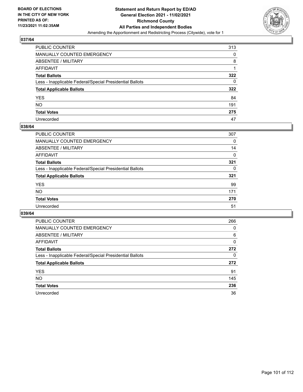

| PUBLIC COUNTER                                           | 313 |
|----------------------------------------------------------|-----|
| MANUALLY COUNTED EMERGENCY                               | 0   |
| <b>ABSENTEE / MILITARY</b>                               | 8   |
| AFFIDAVIT                                                |     |
| <b>Total Ballots</b>                                     | 322 |
| Less - Inapplicable Federal/Special Presidential Ballots | 0   |
| <b>Total Applicable Ballots</b>                          | 322 |
| YES.                                                     | 84  |
| NO.                                                      | 191 |
| <b>Total Votes</b>                                       | 275 |
| Unrecorded                                               | 47  |

#### **038/64**

| <b>PUBLIC COUNTER</b>                                    | 307      |
|----------------------------------------------------------|----------|
| <b>MANUALLY COUNTED EMERGENCY</b>                        | 0        |
| ABSENTEE / MILITARY                                      | 14       |
| AFFIDAVIT                                                | 0        |
| <b>Total Ballots</b>                                     | 321      |
| Less - Inapplicable Federal/Special Presidential Ballots | $\Omega$ |
| <b>Total Applicable Ballots</b>                          | 321      |
| <b>YES</b>                                               | 99       |
| <b>NO</b>                                                | 171      |
| <b>Total Votes</b>                                       | 270      |
| Unrecorded                                               | 51       |

| <b>PUBLIC COUNTER</b>                                    | 266      |
|----------------------------------------------------------|----------|
| MANUALLY COUNTED EMERGENCY                               | 0        |
| ABSENTEE / MILITARY                                      | 6        |
| AFFIDAVIT                                                | $\Omega$ |
| <b>Total Ballots</b>                                     | 272      |
| Less - Inapplicable Federal/Special Presidential Ballots | 0        |
| <b>Total Applicable Ballots</b>                          | 272      |
| <b>YES</b>                                               | 91       |
| <b>NO</b>                                                | 145      |
| <b>Total Votes</b>                                       | 236      |
| Unrecorded                                               | 36       |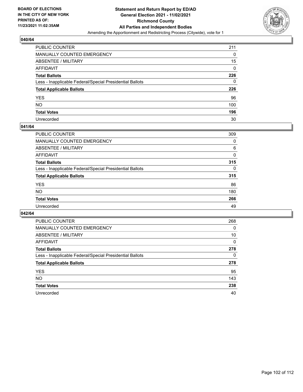

| PUBLIC COUNTER                                           | 211 |
|----------------------------------------------------------|-----|
| <b>MANUALLY COUNTED EMERGENCY</b>                        | 0   |
| <b>ABSENTEE / MILITARY</b>                               | 15  |
| <b>AFFIDAVIT</b>                                         | 0   |
| <b>Total Ballots</b>                                     | 226 |
| Less - Inapplicable Federal/Special Presidential Ballots | 0   |
| <b>Total Applicable Ballots</b>                          | 226 |
| <b>YES</b>                                               | 96  |
| <b>NO</b>                                                | 100 |
| <b>Total Votes</b>                                       | 196 |
| Unrecorded                                               | 30  |

#### **041/64**

| <b>PUBLIC COUNTER</b>                                    | 309      |
|----------------------------------------------------------|----------|
| <b>MANUALLY COUNTED EMERGENCY</b>                        | 0        |
| ABSENTEE / MILITARY                                      | 6        |
| AFFIDAVIT                                                | $\Omega$ |
| <b>Total Ballots</b>                                     | 315      |
| Less - Inapplicable Federal/Special Presidential Ballots | $\Omega$ |
| <b>Total Applicable Ballots</b>                          | 315      |
| <b>YES</b>                                               | 86       |
| <b>NO</b>                                                | 180      |
| <b>Total Votes</b>                                       | 266      |
| Unrecorded                                               | 49       |

| <b>PUBLIC COUNTER</b>                                    | 268      |
|----------------------------------------------------------|----------|
| MANUALLY COUNTED EMERGENCY                               | 0        |
| ABSENTEE / MILITARY                                      | 10       |
| AFFIDAVIT                                                | $\Omega$ |
| <b>Total Ballots</b>                                     | 278      |
| Less - Inapplicable Federal/Special Presidential Ballots | 0        |
| <b>Total Applicable Ballots</b>                          | 278      |
| <b>YES</b>                                               | 95       |
| <b>NO</b>                                                | 143      |
| <b>Total Votes</b>                                       | 238      |
| Unrecorded                                               | 40       |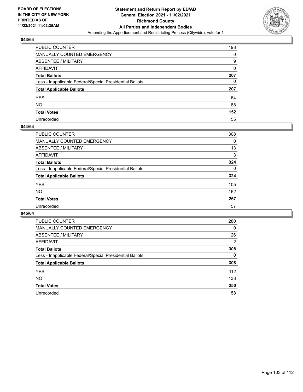

| PUBLIC COUNTER                                           | 198 |
|----------------------------------------------------------|-----|
| MANUALLY COUNTED EMERGENCY                               | 0   |
| ABSENTEE / MILITARY                                      | 9   |
| AFFIDAVIT                                                | 0   |
| <b>Total Ballots</b>                                     | 207 |
| Less - Inapplicable Federal/Special Presidential Ballots | 0   |
| <b>Total Applicable Ballots</b>                          | 207 |
| YES                                                      | 64  |
| NO.                                                      | 88  |
| <b>Total Votes</b>                                       | 152 |
| Unrecorded                                               | 55  |

#### **044/64**

| <b>PUBLIC COUNTER</b>                                    | 308      |
|----------------------------------------------------------|----------|
| MANUALLY COUNTED EMERGENCY                               | 0        |
| ABSENTEE / MILITARY                                      | 13       |
| AFFIDAVIT                                                | 3        |
| <b>Total Ballots</b>                                     | 324      |
| Less - Inapplicable Federal/Special Presidential Ballots | $\Omega$ |
| <b>Total Applicable Ballots</b>                          | 324      |
| <b>YES</b>                                               | 105      |
| <b>NO</b>                                                | 162      |
| <b>Total Votes</b>                                       | 267      |
| Unrecorded                                               | 57       |

| <b>PUBLIC COUNTER</b>                                    | 280      |
|----------------------------------------------------------|----------|
| MANUALLY COUNTED EMERGENCY                               | $\Omega$ |
| ABSENTEE / MILITARY                                      | 26       |
| AFFIDAVIT                                                | 2        |
| <b>Total Ballots</b>                                     | 308      |
| Less - Inapplicable Federal/Special Presidential Ballots | $\Omega$ |
| <b>Total Applicable Ballots</b>                          | 308      |
| <b>YES</b>                                               | 112      |
| <b>NO</b>                                                | 138      |
| <b>Total Votes</b>                                       | 250      |
| Unrecorded                                               | 58       |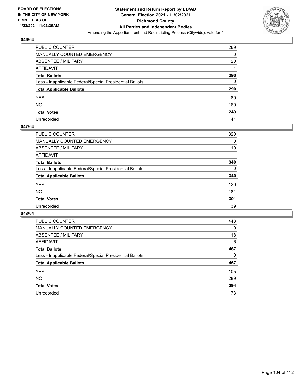

| PUBLIC COUNTER                                           | 269 |
|----------------------------------------------------------|-----|
| <b>MANUALLY COUNTED EMERGENCY</b>                        | 0   |
| <b>ABSENTEE / MILITARY</b>                               | 20  |
| <b>AFFIDAVIT</b>                                         |     |
| <b>Total Ballots</b>                                     | 290 |
| Less - Inapplicable Federal/Special Presidential Ballots | 0   |
| <b>Total Applicable Ballots</b>                          | 290 |
| <b>YES</b>                                               | 89  |
| <b>NO</b>                                                | 160 |
| <b>Total Votes</b>                                       | 249 |
| Unrecorded                                               | 41  |

#### **047/64**

| <b>PUBLIC COUNTER</b>                                    | 320      |
|----------------------------------------------------------|----------|
| <b>MANUALLY COUNTED EMERGENCY</b>                        | 0        |
| <b>ABSENTEE / MILITARY</b>                               | 19       |
| AFFIDAVIT                                                |          |
| <b>Total Ballots</b>                                     | 340      |
| Less - Inapplicable Federal/Special Presidential Ballots | $\Omega$ |
| <b>Total Applicable Ballots</b>                          | 340      |
| <b>YES</b>                                               | 120      |
| NO                                                       | 181      |
| <b>Total Votes</b>                                       | 301      |
| Unrecorded                                               | 39       |

| <b>PUBLIC COUNTER</b>                                    | 443      |
|----------------------------------------------------------|----------|
| MANUALLY COUNTED EMERGENCY                               | $\Omega$ |
| ABSENTEE / MILITARY                                      | 18       |
| AFFIDAVIT                                                | 6        |
| <b>Total Ballots</b>                                     | 467      |
| Less - Inapplicable Federal/Special Presidential Ballots | 0        |
| <b>Total Applicable Ballots</b>                          | 467      |
| <b>YES</b>                                               | 105      |
| NO.                                                      | 289      |
| <b>Total Votes</b>                                       | 394      |
| Unrecorded                                               | 73       |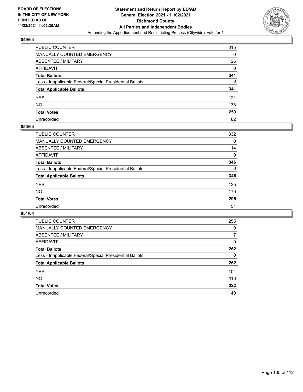

| PUBLIC COUNTER                                           | 315 |
|----------------------------------------------------------|-----|
| MANUALLY COUNTED EMERGENCY                               | 0   |
| <b>ABSENTEE / MILITARY</b>                               | 26  |
| AFFIDAVIT                                                | 0   |
| <b>Total Ballots</b>                                     | 341 |
| Less - Inapplicable Federal/Special Presidential Ballots | 0   |
| <b>Total Applicable Ballots</b>                          | 341 |
| YES                                                      | 121 |
| <b>NO</b>                                                | 138 |
| <b>Total Votes</b>                                       | 259 |
| Unrecorded                                               | 82  |

#### **050/64**

| PUBLIC COUNTER                                           | 332      |
|----------------------------------------------------------|----------|
| MANUALLY COUNTED EMERGENCY                               | 0        |
| ABSENTEE / MILITARY                                      | 14       |
| AFFIDAVIT                                                | $\Omega$ |
| <b>Total Ballots</b>                                     | 346      |
| Less - Inapplicable Federal/Special Presidential Ballots | $\Omega$ |
| <b>Total Applicable Ballots</b>                          | 346      |
| <b>YES</b>                                               | 125      |
| <b>NO</b>                                                | 170      |
| <b>Total Votes</b>                                       | 295      |
| Unrecorded                                               | 51       |

| <b>PUBLIC COUNTER</b>                                    | 255      |
|----------------------------------------------------------|----------|
| MANUALLY COUNTED EMERGENCY                               | 0        |
| ABSENTEE / MILITARY                                      | 7        |
| AFFIDAVIT                                                | $\Omega$ |
| <b>Total Ballots</b>                                     | 262      |
| Less - Inapplicable Federal/Special Presidential Ballots | 0        |
| <b>Total Applicable Ballots</b>                          | 262      |
| <b>YES</b>                                               | 104      |
| <b>NO</b>                                                | 118      |
| <b>Total Votes</b>                                       | 222      |
| Unrecorded                                               | 40       |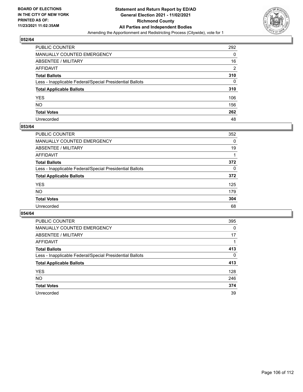

| PUBLIC COUNTER                                           | 292            |
|----------------------------------------------------------|----------------|
| MANUALLY COUNTED EMERGENCY                               | 0              |
| ABSENTEE / MILITARY                                      | 16             |
| AFFIDAVIT                                                | $\overline{2}$ |
| <b>Total Ballots</b>                                     | 310            |
| Less - Inapplicable Federal/Special Presidential Ballots | 0              |
| <b>Total Applicable Ballots</b>                          | 310            |
| YES                                                      | 106            |
| NO.                                                      | 156            |
| <b>Total Votes</b>                                       | 262            |
| Unrecorded                                               | 48             |

#### **053/64**

| <b>PUBLIC COUNTER</b>                                    | 352 |
|----------------------------------------------------------|-----|
| <b>MANUALLY COUNTED EMERGENCY</b>                        | 0   |
| ABSENTEE / MILITARY                                      | 19  |
| AFFIDAVIT                                                |     |
| <b>Total Ballots</b>                                     | 372 |
| Less - Inapplicable Federal/Special Presidential Ballots | 0   |
| <b>Total Applicable Ballots</b>                          | 372 |
| <b>YES</b>                                               | 125 |
| <b>NO</b>                                                | 179 |
| <b>Total Votes</b>                                       | 304 |
| Unrecorded                                               | 68  |

| <b>PUBLIC COUNTER</b>                                    | 395      |
|----------------------------------------------------------|----------|
| <b>MANUALLY COUNTED EMERGENCY</b>                        | $\Omega$ |
| ABSENTEE / MILITARY                                      | 17       |
| AFFIDAVIT                                                |          |
| <b>Total Ballots</b>                                     | 413      |
| Less - Inapplicable Federal/Special Presidential Ballots | $\Omega$ |
| <b>Total Applicable Ballots</b>                          | 413      |
| <b>YES</b>                                               | 128      |
| <b>NO</b>                                                | 246      |
| <b>Total Votes</b>                                       | 374      |
| Unrecorded                                               | 39       |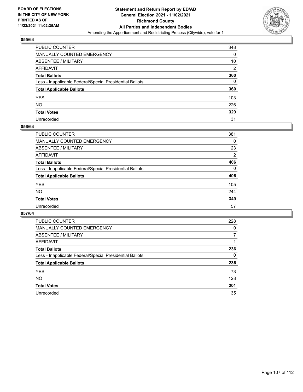

| PUBLIC COUNTER                                           | 348            |
|----------------------------------------------------------|----------------|
| MANUALLY COUNTED EMERGENCY                               | 0              |
| ABSENTEE / MILITARY                                      | 10             |
| AFFIDAVIT                                                | $\overline{2}$ |
| <b>Total Ballots</b>                                     | 360            |
| Less - Inapplicable Federal/Special Presidential Ballots | 0              |
| <b>Total Applicable Ballots</b>                          | 360            |
| YES                                                      | 103            |
| NO.                                                      | 226            |
| <b>Total Votes</b>                                       | 329            |
| Unrecorded                                               | 31             |

#### **056/64**

| PUBLIC COUNTER                                           | 381            |
|----------------------------------------------------------|----------------|
| <b>MANUALLY COUNTED EMERGENCY</b>                        | 0              |
| <b>ABSENTEE / MILITARY</b>                               | 23             |
| AFFIDAVIT                                                | $\overline{2}$ |
| <b>Total Ballots</b>                                     | 406            |
| Less - Inapplicable Federal/Special Presidential Ballots | $\Omega$       |
| <b>Total Applicable Ballots</b>                          | 406            |
| <b>YES</b>                                               | 105            |
| NO.                                                      | 244            |
| <b>Total Votes</b>                                       | 349            |
| Unrecorded                                               | 57             |

| <b>PUBLIC COUNTER</b>                                    | 228 |
|----------------------------------------------------------|-----|
| <b>MANUALLY COUNTED EMERGENCY</b>                        | 0   |
| ABSENTEE / MILITARY                                      |     |
| AFFIDAVIT                                                |     |
| <b>Total Ballots</b>                                     | 236 |
| Less - Inapplicable Federal/Special Presidential Ballots | 0   |
| <b>Total Applicable Ballots</b>                          | 236 |
| <b>YES</b>                                               | 73  |
| <b>NO</b>                                                | 128 |
| <b>Total Votes</b>                                       | 201 |
| Unrecorded                                               | 35  |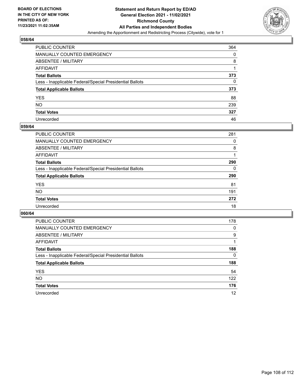

| PUBLIC COUNTER                                           | 364 |
|----------------------------------------------------------|-----|
| MANUALLY COUNTED EMERGENCY                               | 0   |
| <b>ABSENTEE / MILITARY</b>                               | 8   |
| <b>AFFIDAVIT</b>                                         |     |
| <b>Total Ballots</b>                                     | 373 |
| Less - Inapplicable Federal/Special Presidential Ballots | 0   |
| <b>Total Applicable Ballots</b>                          | 373 |
| <b>YES</b>                                               | 88  |
| <b>NO</b>                                                | 239 |
| <b>Total Votes</b>                                       | 327 |
| Unrecorded                                               | 46  |

#### **059/64**

| <b>PUBLIC COUNTER</b>                                    | 281      |
|----------------------------------------------------------|----------|
| <b>MANUALLY COUNTED EMERGENCY</b>                        | 0        |
| ABSENTEE / MILITARY                                      | 8        |
| AFFIDAVIT                                                |          |
| <b>Total Ballots</b>                                     | 290      |
| Less - Inapplicable Federal/Special Presidential Ballots | $\Omega$ |
| <b>Total Applicable Ballots</b>                          | 290      |
| <b>YES</b>                                               | 81       |
| <b>NO</b>                                                | 191      |
| <b>Total Votes</b>                                       | 272      |
| Unrecorded                                               | 18       |

| <b>PUBLIC COUNTER</b>                                    | 178 |
|----------------------------------------------------------|-----|
| MANUALLY COUNTED EMERGENCY                               | 0   |
| ABSENTEE / MILITARY                                      | 9   |
| AFFIDAVIT                                                |     |
| <b>Total Ballots</b>                                     | 188 |
| Less - Inapplicable Federal/Special Presidential Ballots | 0   |
| <b>Total Applicable Ballots</b>                          | 188 |
| <b>YES</b>                                               | 54  |
| <b>NO</b>                                                | 122 |
| <b>Total Votes</b>                                       | 176 |
| Unrecorded                                               | 12  |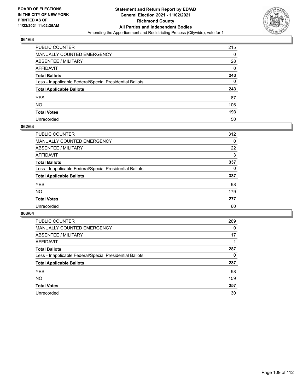

# **061/64**

| PUBLIC COUNTER                                           | 215      |
|----------------------------------------------------------|----------|
| MANUALLY COUNTED EMERGENCY                               | 0        |
| <b>ABSENTEE / MILITARY</b>                               | 28       |
| <b>AFFIDAVIT</b>                                         | $\Omega$ |
| <b>Total Ballots</b>                                     | 243      |
| Less - Inapplicable Federal/Special Presidential Ballots | 0        |
| <b>Total Applicable Ballots</b>                          | 243      |
| <b>YES</b>                                               | 87       |
| <b>NO</b>                                                | 106      |
| <b>Total Votes</b>                                       | 193      |
| Unrecorded                                               | 50       |

### **062/64**

| <b>PUBLIC COUNTER</b>                                    | 312 |
|----------------------------------------------------------|-----|
| <b>MANUALLY COUNTED EMERGENCY</b>                        | 0   |
| ABSENTEE / MILITARY                                      | 22  |
| AFFIDAVIT                                                | 3   |
| <b>Total Ballots</b>                                     | 337 |
| Less - Inapplicable Federal/Special Presidential Ballots | 0   |
| <b>Total Applicable Ballots</b>                          | 337 |
| <b>YES</b>                                               | 98  |
| <b>NO</b>                                                | 179 |
| <b>Total Votes</b>                                       | 277 |
| Unrecorded                                               | 60  |

### **063/64**

| <b>PUBLIC COUNTER</b>                                    | 269      |
|----------------------------------------------------------|----------|
| MANUALLY COUNTED EMERGENCY                               | $\Omega$ |
| ABSENTEE / MILITARY                                      | 17       |
| AFFIDAVIT                                                |          |
| <b>Total Ballots</b>                                     | 287      |
| Less - Inapplicable Federal/Special Presidential Ballots | 0        |
| <b>Total Applicable Ballots</b>                          | 287      |
| <b>YES</b>                                               | 98       |
| NO.                                                      | 159      |
| <b>Total Votes</b>                                       | 257      |
| Unrecorded                                               | 30       |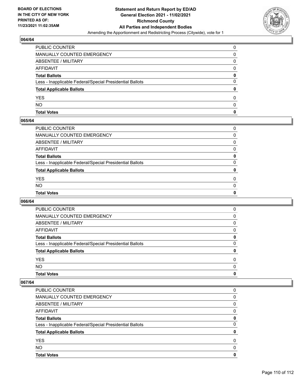

# **064/64**

| PUBLIC COUNTER                                           |   |
|----------------------------------------------------------|---|
| <b>MANUALLY COUNTED EMERGENCY</b>                        | 0 |
| ABSENTEE / MILITARY                                      | 0 |
| AFFIDAVIT                                                | 0 |
| <b>Total Ballots</b>                                     | 0 |
| Less - Inapplicable Federal/Special Presidential Ballots | 0 |
| <b>Total Applicable Ballots</b>                          | 0 |
| <b>YES</b>                                               | 0 |
| <b>NO</b>                                                | 0 |
| <b>Total Votes</b>                                       | 0 |

## **065/64**

| PUBLIC COUNTER                                           | 0        |
|----------------------------------------------------------|----------|
| MANUALLY COUNTED EMERGENCY                               | 0        |
| ABSENTEE / MILITARY                                      | $\Omega$ |
| AFFIDAVIT                                                | 0        |
| Total Ballots                                            | 0        |
| Less - Inapplicable Federal/Special Presidential Ballots | $\Omega$ |
| <b>Total Applicable Ballots</b>                          | 0        |
| <b>YES</b>                                               | $\Omega$ |
| NO.                                                      | $\Omega$ |
| <b>Total Votes</b>                                       | 0        |
|                                                          |          |

## **066/64**

| <b>Total Votes</b>                                       | 0        |
|----------------------------------------------------------|----------|
| <b>NO</b>                                                | $\Omega$ |
| <b>YES</b>                                               | 0        |
| <b>Total Applicable Ballots</b>                          | 0        |
| Less - Inapplicable Federal/Special Presidential Ballots | 0        |
| <b>Total Ballots</b>                                     | 0        |
| AFFIDAVIT                                                | 0        |
| <b>ABSENTEE / MILITARY</b>                               | 0        |
| <b>MANUALLY COUNTED EMERGENCY</b>                        | 0        |
| PUBLIC COUNTER                                           | 0        |

### **067/64**

| <b>Total Votes</b>                                       | O |
|----------------------------------------------------------|---|
| NO.                                                      | O |
| <b>YES</b>                                               | 0 |
| <b>Total Applicable Ballots</b>                          |   |
| Less - Inapplicable Federal/Special Presidential Ballots | 0 |
| <b>Total Ballots</b>                                     | 0 |
| AFFIDAVIT                                                | 0 |
| ABSENTEE / MILITARY                                      | 0 |
| MANUALLY COUNTED EMERGENCY                               | 0 |
| PUBLIC COUNTER                                           | 0 |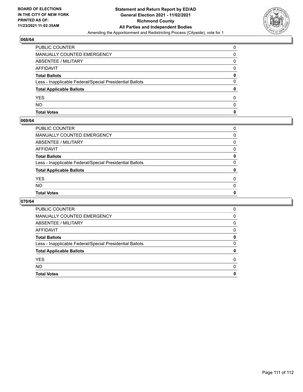

## **068/64**

| <b>Total Votes</b>                                       | 0 |
|----------------------------------------------------------|---|
| <b>NO</b>                                                | 0 |
| <b>YES</b>                                               | 0 |
| <b>Total Applicable Ballots</b>                          | 0 |
| Less - Inapplicable Federal/Special Presidential Ballots | 0 |
| <b>Total Ballots</b>                                     | 0 |
| AFFIDAVIT                                                | 0 |
| ABSENTEE / MILITARY                                      | 0 |
| <b>MANUALLY COUNTED EMERGENCY</b>                        | 0 |
| PUBLIC COUNTER                                           | 0 |

### **069/64**

| PUBLIC COUNTER                                           | 0            |
|----------------------------------------------------------|--------------|
| MANUALLY COUNTED EMERGENCY                               | 0            |
| ABSENTEE / MILITARY                                      | 0            |
| AFFIDAVIT                                                | $\mathbf{0}$ |
| Total Ballots                                            | 0            |
| Less - Inapplicable Federal/Special Presidential Ballots | $\Omega$     |
| <b>Total Applicable Ballots</b>                          | 0            |
| <b>YES</b>                                               | $\Omega$     |
| NO.                                                      | $\Omega$     |
| <b>Total Votes</b>                                       | 0            |
|                                                          |              |

## **070/64**

| PUBLIC COUNTER                                           | 0 |
|----------------------------------------------------------|---|
| MANUALLY COUNTED EMERGENCY                               | 0 |
| ABSENTEE / MILITARY                                      | 0 |
| AFFIDAVIT                                                | 0 |
| <b>Total Ballots</b>                                     | 0 |
| Less - Inapplicable Federal/Special Presidential Ballots | 0 |
| <b>Total Applicable Ballots</b>                          | 0 |
| <b>YES</b>                                               | 0 |
| <b>NO</b>                                                | 0 |
| <b>Total Votes</b>                                       | 0 |
|                                                          |   |